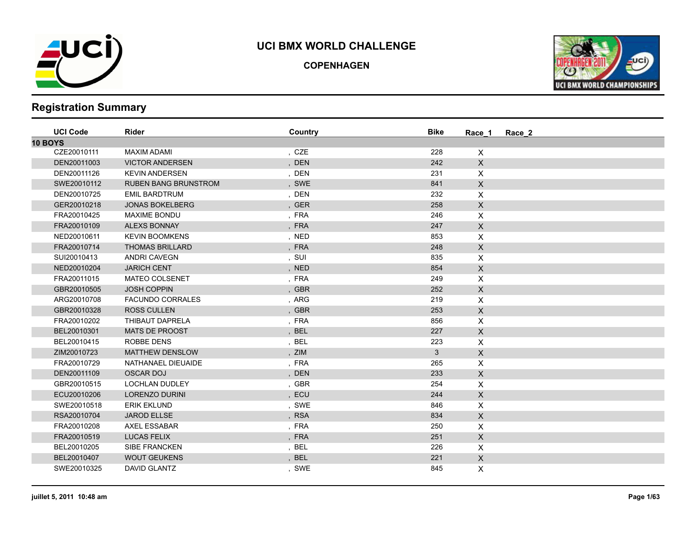

**COPENHAGEN**



| <b>UCI Code</b> | Rider                       | Country | <b>Bike</b>  | Race 1         | Race 2 |
|-----------------|-----------------------------|---------|--------------|----------------|--------|
| 10 BOYS         |                             |         |              |                |        |
| CZE20010111     | MAXIM ADAMI                 | , CZE   | 228          | X              |        |
| DEN20011003     | <b>VICTOR ANDERSEN</b>      | , DEN   | 242          | X              |        |
| DEN20011126     | <b>KEVIN ANDERSEN</b>       | , DEN   | 231          | X              |        |
| SWE20010112     | <b>RUBEN BANG BRUNSTROM</b> | , SWE   | 841          | $\mathsf X$    |        |
| DEN20010725     | <b>EMIL BARDTRUM</b>        | , DEN   | 232          | $\mathsf{X}$   |        |
| GER20010218     | <b>JONAS BOKELBERG</b>      | , GER   | 258          | X              |        |
| FRA20010425     | <b>MAXIME BONDU</b>         | , FRA   | 246          | X              |        |
| FRA20010109     | <b>ALEXS BONNAY</b>         | , FRA   | 247          | $\mathsf{X}$   |        |
| NED20010611     | <b>KEVIN BOOMKENS</b>       | , NED   | 853          | X              |        |
| FRA20010714     | <b>THOMAS BRILLARD</b>      | , FRA   | 248          | $\mathsf{X}$   |        |
| SUI20010413     | <b>ANDRI CAVEGN</b>         | , SUI   | 835          | X              |        |
| NED20010204     | <b>JARICH CENT</b>          | , NED   | 854          | $\mathsf{X}$   |        |
| FRA20011015     | <b>MATEO COLSENET</b>       | , FRA   | 249          | X              |        |
| GBR20010505     | <b>JOSH COPPIN</b>          | , GBR   | 252          | $\mathsf{X}$   |        |
| ARG20010708     | <b>FACUNDO CORRALES</b>     | , ARG   | 219          | X              |        |
| GBR20010328     | <b>ROSS CULLEN</b>          | , GBR   | 253          | $\mathsf X$    |        |
| FRA20010202     | THIBAUT DAPRELA             | , FRA   | 856          | X              |        |
| BEL20010301     | <b>MATS DE PROOST</b>       | , BEL   | 227          | $\mathsf{X}$   |        |
| BEL20010415     | <b>ROBBE DENS</b>           | , BEL   | 223          | X              |        |
| ZIM20010723     | <b>MATTHEW DENSLOW</b>      | , ZIM   | $\mathbf{3}$ | $\mathsf X$    |        |
| FRA20010729     | NATHANAEL DIEUAIDE          | , FRA   | 265          | X              |        |
| DEN20011109     | <b>OSCAR DOJ</b>            | , DEN   | 233          | $\mathsf{X}$   |        |
| GBR20010515     | LOCHLAN DUDLEY              | , GBR   | 254          | X              |        |
| ECU20010206     | <b>LORENZO DURINI</b>       | , ECU   | 244          | $\pmb{\times}$ |        |
| SWE20010518     | <b>ERIK EKLUND</b>          | , SWE   | 846          | X              |        |
| RSA20010704     | <b>JAROD ELLSE</b>          | , RSA   | 834          | $\mathsf{X}$   |        |
| FRA20010208     | <b>AXEL ESSABAR</b>         | , FRA   | 250          | X              |        |
| FRA20010519     | <b>LUCAS FELIX</b>          | , FRA   | 251          | $\mathsf{X}$   |        |
| BEL20010205     | <b>SIBE FRANCKEN</b>        | , BEL   | 226          | $\mathsf{X}$   |        |
| BEL20010407     | <b>WOUT GEUKENS</b>         | , BEL   | 221          | $\mathsf X$    |        |
| SWE20010325     | DAVID GLANTZ                | , SWE   | 845          | X              |        |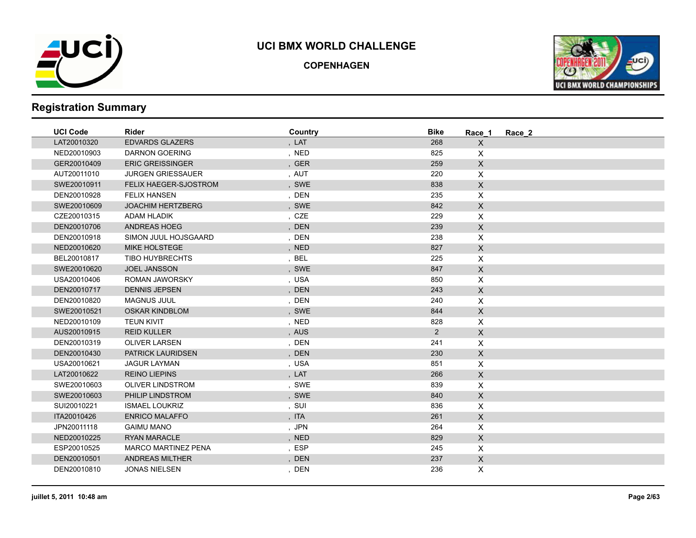

**COPENHAGEN**



| <b>UCI Code</b> | <b>Rider</b>               | Country | <b>Bike</b>    | Race 1                    | Race 2 |
|-----------------|----------------------------|---------|----------------|---------------------------|--------|
| LAT20010320     | <b>EDVARDS GLAZERS</b>     | , LAT   | 268            | $\mathsf{X}$              |        |
| NED20010903     | <b>DARNON GOERING</b>      | , NED   | 825            | $\mathsf{X}$              |        |
| GER20010409     | <b>ERIC GREISSINGER</b>    | , GER   | 259            | $\mathsf{X}$              |        |
| AUT20011010     | <b>JURGEN GRIESSAUER</b>   | , AUT   | 220            | $\pmb{\times}$            |        |
| SWE20010911     | FELIX HAEGER-SJOSTROM      | , SWE   | 838            | $\mathsf X$               |        |
| DEN20010928     | <b>FELIX HANSEN</b>        | , DEN   | 235            | $\mathsf{X}$              |        |
| SWE20010609     | <b>JOACHIM HERTZBERG</b>   | , SWE   | 842            | $\mathsf{X}$              |        |
| CZE20010315     | ADAM HLADIK                | , CZE   | 229            | $\mathsf{X}$              |        |
| DEN20010706     | <b>ANDREAS HOEG</b>        | , DEN   | 239            | $\mathsf{X}$              |        |
| DEN20010918     | SIMON JUUL HOJSGAARD       | , DEN   | 238            | $\pmb{\mathsf{X}}$        |        |
| NED20010620     | <b>MIKE HOLSTEGE</b>       | , NED   | 827            | $\mathsf X$               |        |
| BEL20010817     | <b>TIBO HUYBRECHTS</b>     | , BEL   | 225            | $\pmb{\times}$            |        |
| SWE20010620     | <b>JOEL JANSSON</b>        | , SWE   | 847            | $\mathsf{X}$              |        |
| USA20010406     | <b>ROMAN JAWORSKY</b>      | , USA   | 850            | $\boldsymbol{\mathsf{X}}$ |        |
| DEN20010717     | <b>DENNIS JEPSEN</b>       | , DEN   | 243            | $\mathsf{X}$              |        |
| DEN20010820     | MAGNUS JUUL                | , DEN   | 240            | $\pmb{\times}$            |        |
| SWE20010521     | <b>OSKAR KINDBLOM</b>      | , SWE   | 844            | $\mathsf{X}$              |        |
| NED20010109     | <b>TEUN KIVIT</b>          | , NED   | 828            | $\pmb{\times}$            |        |
| AUS20010915     | <b>REID KULLER</b>         | , AUS   | $\overline{2}$ | $\mathsf{X}$              |        |
| DEN20010319     | <b>OLIVER LARSEN</b>       | , DEN   | 241            | $\pmb{\times}$            |        |
| DEN20010430     | PATRICK LAURIDSEN          | , DEN   | 230            | $\mathsf X$               |        |
| USA20010621     | <b>JAGUR LAYMAN</b>        | , USA   | 851            | $\mathsf{X}$              |        |
| LAT20010622     | <b>REINO LIEPINS</b>       | , LAT   | 266            | $\mathsf{X}$              |        |
| SWE20010603     | <b>OLIVER LINDSTROM</b>    | , SWE   | 839            | $\boldsymbol{\mathsf{X}}$ |        |
| SWE20010603     | PHILIP LINDSTROM           | , SWE   | 840            | $\mathsf{X}$              |        |
| SUI20010221     | <b>ISMAEL LOUKRIZ</b>      | , SUI   | 836            | $\pmb{\mathsf{X}}$        |        |
| ITA20010426     | <b>ENRICO MALAFFO</b>      | , ITA   | 261            | $\mathsf X$               |        |
| JPN20011118     | <b>GAIMU MANO</b>          | , JPN   | 264            | $\pmb{\times}$            |        |
| NED20010225     | <b>RYAN MARACLE</b>        | , NED   | 829            | $\mathsf{X}$              |        |
| ESP20010525     | <b>MARCO MARTINEZ PENA</b> | , ESP   | 245            | $\mathsf{X}$              |        |
| DEN20010501     | <b>ANDREAS MILTHER</b>     | , DEN   | 237            | $\mathsf{X}$              |        |
| DEN20010810     | <b>JONAS NIELSEN</b>       | , DEN   | 236            | X                         |        |
|                 |                            |         |                |                           |        |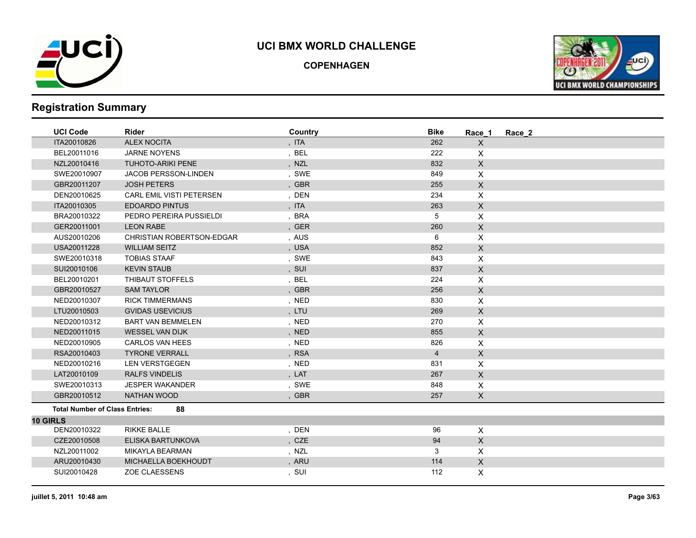

**COPENHAGEN**



| <b>UCI Code</b>                       | <b>Rider</b>                     | Country | <b>Bike</b>    | Race 1                    | Race 2 |
|---------------------------------------|----------------------------------|---------|----------------|---------------------------|--------|
| ITA20010826                           | <b>ALEX NOCITA</b>               | , ITA   | 262            | $\mathsf X$               |        |
| BEL20011016                           | <b>JARNE NOYENS</b>              | , BEL   | 222            | X                         |        |
| NZL20010416                           | <b>TUHOTO-ARIKI PENE</b>         | , NZL   | 832            | $\mathsf{X}$              |        |
| SWE20010907                           | JACOB PERSSON-LINDEN             | , SWE   | 849            | X                         |        |
| GBR20011207                           | <b>JOSH PETERS</b>               | , GBR   | 255            | $\mathsf X$               |        |
| DEN20010625                           | <b>CARL EMIL VISTI PETERSEN</b>  | , DEN   | 234            | $\pmb{\times}$            |        |
| ITA20010305                           | <b>EDOARDO PINTUS</b>            | , ITA   | 263            | $\mathsf X$               |        |
| BRA20010322                           | PEDRO PEREIRA PUSSIELDI          | , BRA   | 5              | X                         |        |
| GER20011001                           | <b>LEON RABE</b>                 | , GER   | 260            | $\mathsf{X}$              |        |
| AUS20010206                           | <b>CHRISTIAN ROBERTSON-EDGAR</b> | , AUS   | 6              | X                         |        |
| USA20011228                           | <b>WILLIAM SEITZ</b>             | , USA   | 852            | $\mathsf X$               |        |
| SWE20010318                           | <b>TOBIAS STAAF</b>              | , SWE   | 843            | X                         |        |
| SUI20010106                           | <b>KEVIN STAUB</b>               | , SUI   | 837            | $\mathsf X$               |        |
| BEL20010201                           | THIBAUT STOFFELS                 | , BEL   | 224            | X                         |        |
| GBR20010527                           | <b>SAM TAYLOR</b>                | , GBR   | 256            | $\mathsf X$               |        |
| NED20010307                           | <b>RICK TIMMERMANS</b>           | , NED   | 830            | $\boldsymbol{\mathsf{X}}$ |        |
| LTU20010503                           | <b>GVIDAS USEVICIUS</b>          | , LTU   | 269            | $\mathsf X$               |        |
| NED20010312                           | <b>BART VAN BEMMELEN</b>         | , NED   | 270            | X                         |        |
| NED20011015                           | WESSEL VAN DIJK                  | , NED   | 855            | $\mathsf{X}$              |        |
| NED20010905                           | <b>CARLOS VAN HEES</b>           | , NED   | 826            | $\pmb{\times}$            |        |
| RSA20010403                           | <b>TYRONE VERRALL</b>            | , RSA   | $\overline{4}$ | $\mathsf X$               |        |
| NED20010216                           | <b>LEN VERSTGEGEN</b>            | , NED   | 831            | X                         |        |
| LAT20010109                           | <b>RALFS VINDELIS</b>            | , LAT   | 267            | $\mathsf{X}$              |        |
| SWE20010313                           | <b>JESPER WAKANDER</b>           | , SWE   | 848            | X                         |        |
| GBR20010512                           | <b>NATHAN WOOD</b>               | , GBR   | 257            | $\mathsf{X}$              |        |
| <b>Total Number of Class Entries:</b> | 88                               |         |                |                           |        |
| <b>10 GIRLS</b>                       |                                  |         |                |                           |        |
| DEN20010322                           | <b>RIKKE BALLE</b>               | , DEN   | 96             | $\mathsf{X}$              |        |
| CZE20010508                           | ELISKA BARTUNKOVA                | , CZE   | 94             | $\mathsf X$               |        |
| NZL20011002                           | <b>MIKAYLA BEARMAN</b>           | , NZL   | 3              | X                         |        |
| ARU20010430                           | MICHAELLA BOEKHOUDT              | , ARU   | 114            | $\mathsf X$               |        |
| SUI20010428                           | <b>ZOE CLAESSENS</b>             | , SUI   | 112            | X                         |        |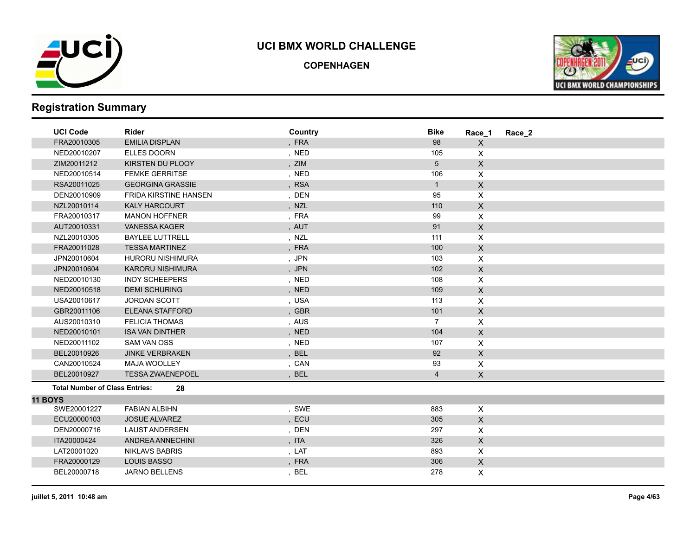

**COPENHAGEN**



| , FRA<br>FRA20010305<br><b>EMILIA DISPLAN</b><br>98<br>X                                     |  |
|----------------------------------------------------------------------------------------------|--|
| , NED<br>105<br>NED20010207<br><b>ELLES DOORN</b><br>X                                       |  |
| ZIM20011212<br>KIRSTEN DU PLOOY<br>, ZIM<br>5<br>$\mathsf{X}$                                |  |
| X<br>106<br>NED20010514<br><b>FEMKE GERRITSE</b><br>, NED                                    |  |
| , RSA<br>$\boldsymbol{\mathsf{X}}$<br>RSA20011025<br><b>GEORGINA GRASSIE</b><br>$\mathbf{1}$ |  |
| DEN20010909<br><b>FRIDA KIRSTINE HANSEN</b><br>, DEN<br>95<br>X                              |  |
| NZL20010114<br><b>KALY HARCOURT</b><br>, NZL<br>110<br>X                                     |  |
| , FRA<br>99<br>X<br>FRA20010317<br><b>MANON HOFFNER</b>                                      |  |
| AUT20010331<br>91<br>$\pmb{\times}$<br><b>VANESSA KAGER</b><br>, AUT                         |  |
| NZL20010305<br><b>BAYLEE LUTTRELL</b><br>, NZL<br>111<br>X                                   |  |
| $\mathsf{X}$<br>FRA20011028<br><b>TESSA MARTINEZ</b><br>, FRA<br>100                         |  |
| 103<br>JPN20010604<br>HURORU NISHIMURA<br>, JPN<br>X                                         |  |
| $\mathsf X$<br>102<br>JPN20010604<br><b>KARORU NISHIMURA</b><br>, JPN                        |  |
| X<br><b>INDY SCHEEPERS</b><br>, NED<br>108<br>NED20010130                                    |  |
| $\mathsf X$<br>, NED<br>NED20010518<br><b>DEMI SCHURING</b><br>109                           |  |
| , USA<br>USA20010617<br><b>JORDAN SCOTT</b><br>113<br>X                                      |  |
| $\mathsf{x}$<br><b>ELEANA STAFFORD</b><br>, GBR<br>101<br>GBR20011106                        |  |
| AUS20010310<br>, AUS<br>$\overline{7}$<br>X<br><b>FELICIA THOMAS</b>                         |  |
| , NED<br>104<br>$\boldsymbol{\mathsf{X}}$<br>NED20010101<br><b>ISA VAN DINTHER</b>           |  |
| NED20011102<br><b>SAM VAN OSS</b><br>107<br>X<br>, NED                                       |  |
| BEL20010926<br><b>JINKE VERBRAKEN</b><br>, BEL<br>92<br>$\mathsf{X}$                         |  |
| 93<br>X<br>CAN20010524<br><b>MAJA WOOLLEY</b><br>, CAN                                       |  |
| <b>TESSA ZWAENEPOEL</b><br>$\mathsf{X}$<br>BEL20010927<br><b>BEL</b><br>$\overline{4}$       |  |
| <b>Total Number of Class Entries:</b><br>28                                                  |  |
| <b>11 BOYS</b>                                                                               |  |
| , SWE<br>X<br>SWE20001227<br><b>FABIAN ALBIHN</b><br>883                                     |  |
| $\mathsf{X}$<br>ECU20000103<br><b>JOSUE ALVAREZ</b><br>ECU<br>305                            |  |
| X<br>297<br>DEN20000716<br><b>LAUST ANDERSEN</b><br>, DEN                                    |  |
| $\mathsf{X}$<br>ITA20000424<br>ANDREA ANNECHINI<br>, ITA<br>326                              |  |
| <b>NIKLAVS BABRIS</b><br>X<br>LAT20001020<br>, LAT<br>893                                    |  |
| $\mathsf{X}$<br>FRA20000129<br><b>LOUIS BASSO</b><br>, FRA<br>306                            |  |
| X<br>BEL20000718<br><b>JARNO BELLENS</b><br>, BEL<br>278                                     |  |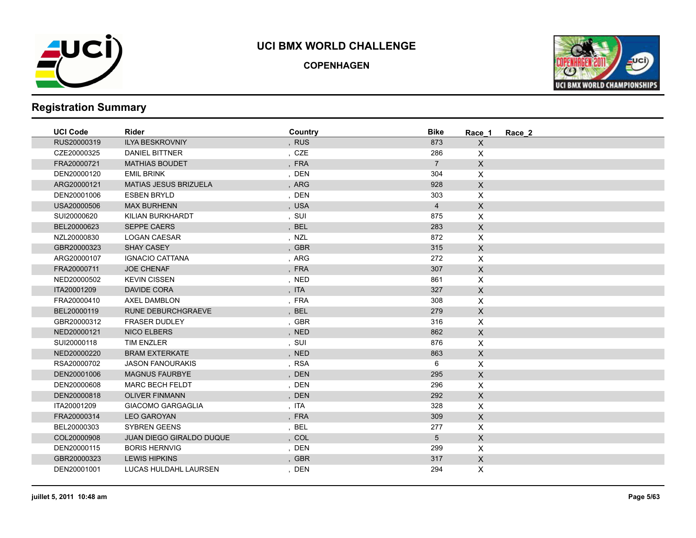

**COPENHAGEN**



| <b>UCI Code</b> | <b>Rider</b>                    | Country | <b>Bike</b>    | Race 1         | Race 2 |
|-----------------|---------------------------------|---------|----------------|----------------|--------|
| RUS20000319     | <b>ILYA BESKROVNIY</b>          | , RUS   | 873            | $\mathsf{X}$   |        |
| CZE20000325     | DANIEL BITTNER                  | , CZE   | 286            | X              |        |
| FRA20000721     | <b>MATHIAS BOUDET</b>           | , FRA   | $\overline{7}$ | $\mathsf{X}$   |        |
| DEN20000120     | <b>EMIL BRINK</b>               | , DEN   | 304            | X              |        |
| ARG20000121     | <b>MATIAS JESUS BRIZUELA</b>    | , ARG   | 928            | $\mathsf{X}$   |        |
| DEN20001006     | <b>ESBEN BRYLD</b>              | , DEN   | 303            | X              |        |
| USA20000506     | <b>MAX BURHENN</b>              | , USA   | $\overline{4}$ | $\mathsf{X}$   |        |
| SUI20000620     | KILIAN BURKHARDT                | , SUI   | 875            | X              |        |
| BEL20000623     | <b>SEPPE CAERS</b>              | , BEL   | 283            | $\mathsf{X}$   |        |
| NZL20000830     | <b>LOGAN CAESAR</b>             | , NZL   | 872            | X              |        |
| GBR20000323     | <b>SHAY CASEY</b>               | , GBR   | 315            | $\mathsf{X}$   |        |
| ARG20000107     | <b>IGNACIO CATTANA</b>          | , ARG   | 272            | X              |        |
| FRA20000711     | <b>JOE CHENAF</b>               | , FRA   | 307            | $\mathsf X$    |        |
| NED20000502     | <b>KEVIN CISSEN</b>             | , NED   | 861            | X              |        |
| ITA20001209     | DAVIDE CORA                     | , ITA   | 327            | $\mathsf{X}$   |        |
| FRA20000410     | <b>AXEL DAMBLON</b>             | , FRA   | 308            | X              |        |
| BEL20000119     | <b>RUNE DEBURCHGRAEVE</b>       | , BEL   | 279            | $\mathsf{X}$   |        |
| GBR20000312     | <b>FRASER DUDLEY</b>            | , GBR   | 316            | X              |        |
| NED20000121     | <b>NICO ELBERS</b>              | , NED   | 862            | $\mathsf X$    |        |
| SUI20000118     | <b>TIM ENZLER</b>               | , SUI   | 876            | $\pmb{\times}$ |        |
| NED20000220     | <b>BRAM EXTERKATE</b>           | , NED   | 863            | $\mathsf X$    |        |
| RSA20000702     | <b>JASON FANOURAKIS</b>         | , RSA   | 6              | X              |        |
| DEN20001006     | <b>MAGNUS FAURBYE</b>           | , DEN   | 295            | $\mathsf{X}$   |        |
| DEN20000608     | <b>MARC BECH FELDT</b>          | , DEN   | 296            | X              |        |
| DEN20000818     | <b>OLIVER FINMANN</b>           | , DEN   | 292            | $\mathsf{X}$   |        |
| ITA20001209     | <b>GIACOMO GARGAGLIA</b>        | , ITA   | 328            | X              |        |
| FRA20000314     | <b>LEO GAROYAN</b>              | , FRA   | 309            | $\mathsf X$    |        |
| BEL20000303     | <b>SYBREN GEENS</b>             | , BEL   | 277            | X              |        |
| COL20000908     | <b>JUAN DIEGO GIRALDO DUQUE</b> | , COL   | 5 <sup>5</sup> | $\mathsf{X}$   |        |
| DEN20000115     | <b>BORIS HERNVIG</b>            | , DEN   | 299            | X              |        |
| GBR20000323     | <b>LEWIS HIPKINS</b>            | , GBR   | 317            | $\mathsf{X}$   |        |
| DEN20001001     | LUCAS HULDAHL LAURSEN           | , DEN   | 294            | X              |        |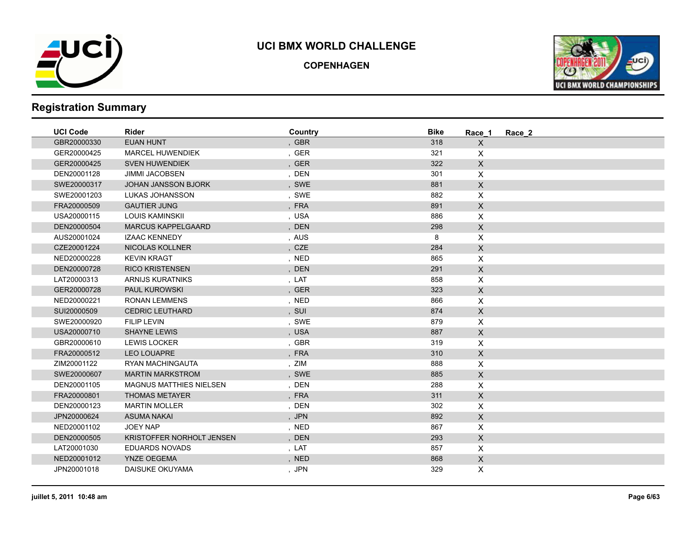

**COPENHAGEN**



| <b>UCI Code</b> | <b>Rider</b>                   | Country | <b>Bike</b> | Race 1             | Race 2 |
|-----------------|--------------------------------|---------|-------------|--------------------|--------|
| GBR20000330     | <b>EUAN HUNT</b>               | , GBR   | 318         | $\mathsf{X}$       |        |
| GER20000425     | <b>MARCEL HUWENDIEK</b>        | , GER   | 321         | $\mathsf{X}$       |        |
| GER20000425     | <b>SVEN HUWENDIEK</b>          | , GER   | 322         | $\mathsf{X}$       |        |
| DEN20001128     | <b>JIMMI JACOBSEN</b>          | , DEN   | 301         | $\pmb{\times}$     |        |
| SWE20000317     | <b>JOHAN JANSSON BJORK</b>     | , SWE   | 881         | $\mathsf X$        |        |
| SWE20001203     | LUKAS JOHANSSON                | , SWE   | 882         | $\pmb{\times}$     |        |
| FRA20000509     | <b>GAUTIER JUNG</b>            | , FRA   | 891         | $\mathsf{X}$       |        |
| USA20000115     | <b>LOUIS KAMINSKII</b>         | , USA   | 886         | X                  |        |
| DEN20000504     | <b>MARCUS KAPPELGAARD</b>      | , DEN   | 298         | $\mathsf{X}$       |        |
| AUS20001024     | <b>IZAAC KENNEDY</b>           | , AUS   | 8           | $\pmb{\times}$     |        |
| CZE20001224     | NICOLAS KOLLNER                | , CZE   | 284         | $\mathsf X$        |        |
| NED20000228     | <b>KEVIN KRAGT</b>             | , NED   | 865         | $\pmb{\times}$     |        |
| DEN20000728     | <b>RICO KRISTENSEN</b>         | , DEN   | 291         | $\mathsf{X}$       |        |
| LAT20000313     | ARNIJS KURATNIKS               | , LAT   | 858         | $\mathsf{X}$       |        |
| GER20000728     | <b>PAUL KUROWSKI</b>           | , GER   | 323         | $\mathsf{X}$       |        |
| NED20000221     | <b>RONAN LEMMENS</b>           | , NED   | 866         | X                  |        |
| SUI20000509     | <b>CEDRIC LEUTHARD</b>         | , SUI   | 874         | $\mathsf{X}$       |        |
| SWE20000920     | <b>FILIP LEVIN</b>             | , SWE   | 879         | $\pmb{\times}$     |        |
| USA20000710     | <b>SHAYNE LEWIS</b>            | , USA   | 887         | $\mathsf{X}$       |        |
| GBR20000610     | <b>LEWIS LOCKER</b>            | , GBR   | 319         | $\mathsf{X}$       |        |
| FRA20000512     | <b>LEO LOUAPRE</b>             | , FRA   | 310         | $\mathsf{X}$       |        |
| ZIM20001122     | RYAN MACHINGAUTA               | , ZIM   | 888         | $\mathsf{X}$       |        |
| SWE20000607     | <b>MARTIN MARKSTROM</b>        | , SWE   | 885         | $\mathsf{X}$       |        |
| DEN20001105     | <b>MAGNUS MATTHIES NIELSEN</b> | , DEN   | 288         | $\pmb{\times}$     |        |
| FRA20000801     | <b>THOMAS METAYER</b>          | , FRA   | 311         | $\mathsf X$        |        |
| DEN20000123     | <b>MARTIN MOLLER</b>           | , DEN   | 302         | $\pmb{\mathsf{X}}$ |        |
| JPN20000624     | <b>ASUMA NAKAI</b>             | , JPN   | 892         | $\mathsf{X}$       |        |
| NED20001102     | <b>JOEY NAP</b>                | , NED   | 867         | $\mathsf{X}$       |        |
| DEN20000505     | KRISTOFFER NORHOLT JENSEN      | , DEN   | 293         | $\mathsf{X}$       |        |
| LAT20001030     | <b>EDUARDS NOVADS</b>          | , LAT   | 857         | $\mathsf{X}$       |        |
| NED20001012     | <b>YNZE OEGEMA</b>             | , NED   | 868         | $\mathsf{X}$       |        |
| JPN20001018     | DAISUKE OKUYAMA                | , JPN   | 329         | X                  |        |
|                 |                                |         |             |                    |        |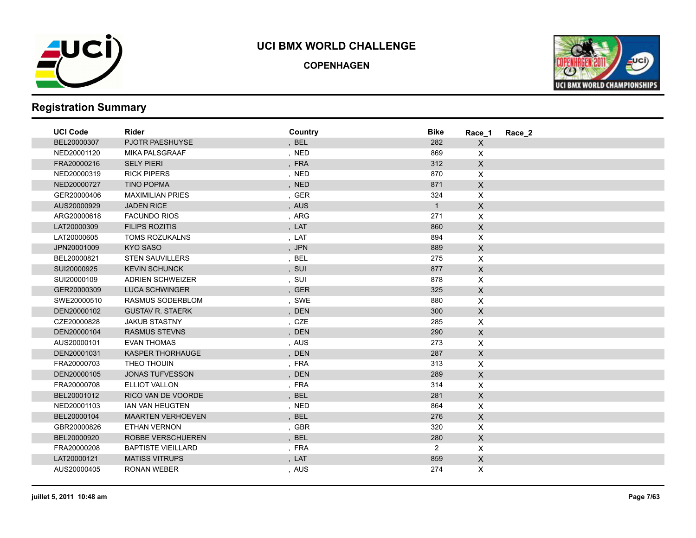

**COPENHAGEN**



| <b>UCI Code</b> | <b>Rider</b>              | Country | <b>Bike</b>    | Race 1                    | Race 2 |
|-----------------|---------------------------|---------|----------------|---------------------------|--------|
| BEL20000307     | PJOTR PAESHUYSE           | , BEL   | 282            | $\mathsf{X}$              |        |
| NED20001120     | <b>MIKA PALSGRAAF</b>     | , NED   | 869            | $\boldsymbol{\mathsf{X}}$ |        |
| FRA20000216     | <b>SELY PIERI</b>         | , FRA   | 312            | $\mathsf X$               |        |
| NED20000319     | <b>RICK PIPERS</b>        | , NED   | 870            | X                         |        |
| NED20000727     | <b>TINO POPMA</b>         | , NED   | 871            | $\mathsf X$               |        |
| GER20000406     | <b>MAXIMILIAN PRIES</b>   | , GER   | 324            | $\boldsymbol{\mathsf{X}}$ |        |
| AUS20000929     | <b>JADEN RICE</b>         | , AUS   | $\mathbf{1}$   | $\mathsf X$               |        |
| ARG20000618     | <b>FACUNDO RIOS</b>       | , ARG   | 271            | X                         |        |
| LAT20000309     | <b>FILIPS ROZITIS</b>     | , LAT   | 860            | $\mathsf X$               |        |
| LAT20000605     | <b>TOMS ROZUKALNS</b>     | , LAT   | 894            | $\pmb{\times}$            |        |
| JPN20001009     | <b>KYO SASO</b>           | , JPN   | 889            | $\mathsf X$               |        |
| BEL20000821     | <b>STEN SAUVILLERS</b>    | , BEL   | 275            | X                         |        |
| SUI20000925     | <b>KEVIN SCHUNCK</b>      | , SUI   | 877            | $\mathsf X$               |        |
| SUI20000109     | <b>ADRIEN SCHWEIZER</b>   | , SUI   | 878            | X                         |        |
| GER20000309     | <b>LUCA SCHWINGER</b>     | , GER   | 325            | $\mathsf{X}$              |        |
| SWE20000510     | RASMUS SODERBLOM          | , SWE   | 880            | X                         |        |
| DEN20000102     | <b>GUSTAV R. STAERK</b>   | , DEN   | 300            | $\mathsf{X}$              |        |
| CZE20000828     | <b>JAKUB STASTNY</b>      | , CZE   | 285            | $\mathsf{X}$              |        |
| DEN20000104     | <b>RASMUS STEVNS</b>      | , DEN   | 290            | $\mathsf{X}$              |        |
| AUS20000101     | <b>EVAN THOMAS</b>        | , AUS   | 273            | X                         |        |
| DEN20001031     | <b>KASPER THORHAUGE</b>   | , DEN   | 287            | $\mathsf X$               |        |
| FRA20000703     | THEO THOUIN               | , FRA   | 313            | $\mathsf{X}$              |        |
| DEN20000105     | <b>JONAS TUFVESSON</b>    | , DEN   | 289            | $\mathsf{X}$              |        |
| FRA20000708     | ELLIOT VALLON             | , FRA   | 314            | X                         |        |
| BEL20001012     | RICO VAN DE VOORDE        | , BEL   | 281            | $\mathsf X$               |        |
| NED20001103     | IAN VAN HEUGTEN           | , NED   | 864            | X                         |        |
| BEL20000104     | <b>MAARTEN VERHOEVEN</b>  | , BEL   | 276            | $\mathsf X$               |        |
| GBR20000826     | <b>ETHAN VERNON</b>       | , GBR   | 320            | X                         |        |
| BEL20000920     | ROBBE VERSCHUEREN         | , BEL   | 280            | $\mathsf X$               |        |
| FRA20000208     | <b>BAPTISTE VIEILLARD</b> | , FRA   | $\overline{2}$ | $\boldsymbol{\mathsf{X}}$ |        |
| LAT20000121     | <b>MATISS VITRUPS</b>     | , LAT   | 859            | $\mathsf{X}$              |        |
| AUS20000405     | <b>RONAN WEBER</b>        | , AUS   | 274            | X                         |        |
|                 |                           |         |                |                           |        |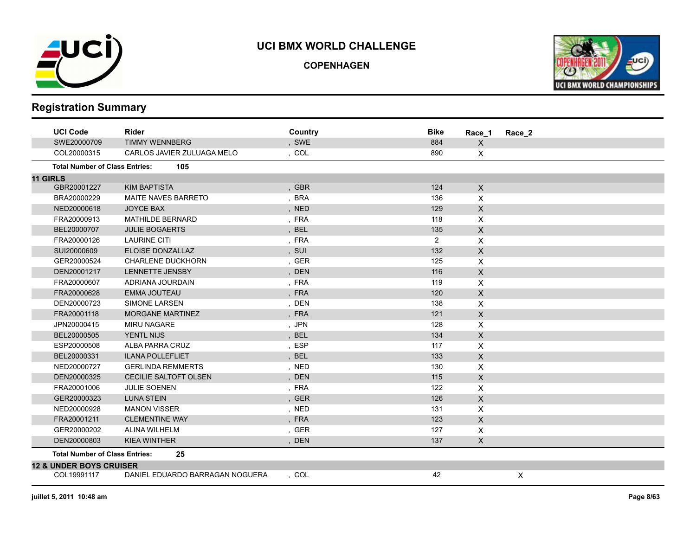

**COPENHAGEN**



|                 | <b>UCI Code</b>                       | <b>Rider</b>                    | Country | <b>Bike</b>    | Race_1                    | Race 2 |
|-----------------|---------------------------------------|---------------------------------|---------|----------------|---------------------------|--------|
|                 | SWE20000709                           | <b>TIMMY WENNBERG</b>           | , SWE   | 884            | X                         |        |
|                 | COL20000315                           | CARLOS JAVIER ZULUAGA MELO      | , COL   | 890            | X                         |        |
|                 | <b>Total Number of Class Entries:</b> | 105                             |         |                |                           |        |
| <b>11 GIRLS</b> |                                       |                                 |         |                |                           |        |
|                 | GBR20001227                           | <b>KIM BAPTISTA</b>             | , GBR   | 124            | X                         |        |
|                 | BRA20000229                           | <b>MAITE NAVES BARRETO</b>      | , BRA   | 136            | X                         |        |
|                 | NED20000618                           | <b>JOYCE BAX</b>                | , NED   | 129            | $\pmb{\times}$            |        |
|                 | FRA20000913                           | <b>MATHILDE BERNARD</b>         | , FRA   | 118            | X                         |        |
|                 | BEL20000707                           | <b>JULIE BOGAERTS</b>           | , BEL   | 135            | $\pmb{\times}$            |        |
|                 | FRA20000126                           | <b>LAURINE CITI</b>             | , FRA   | $\overline{2}$ | X                         |        |
|                 | SUI20000609                           | ELOISE DONZALLAZ                | , SUI   | 132            | $\mathsf{X}$              |        |
|                 | GER20000524                           | <b>CHARLENE DUCKHORN</b>        | , GER   | 125            | X                         |        |
|                 | DEN20001217                           | LENNETTE JENSBY                 | , DEN   | 116            | $\mathsf{X}$              |        |
|                 | FRA20000607                           | ADRIANA JOURDAIN                | , FRA   | 119            | X                         |        |
|                 | FRA20000628                           | <b>EMMA JOUTEAU</b>             | , FRA   | 120            | $\mathsf{x}$              |        |
|                 | DEN20000723                           | SIMONE LARSEN                   | , DEN   | 138            | X                         |        |
|                 | FRA20001118                           | <b>MORGANE MARTINEZ</b>         | , FRA   | 121            | X                         |        |
|                 | JPN20000415                           | <b>MIRU NAGARE</b>              | , JPN   | 128            | X                         |        |
|                 | BEL20000505                           | <b>YENTL NIJS</b>               | , BEL   | 134            | X                         |        |
|                 | ESP20000508                           | ALBA PARRA CRUZ                 | , ESP   | 117            | X                         |        |
|                 | BEL20000331                           | <b>ILANA POLLEFLIET</b>         | , BEL   | 133            | $\mathsf{X}$              |        |
|                 | NED20000727                           | <b>GERLINDA REMMERTS</b>        | , NED   | 130            | X                         |        |
|                 | DEN20000325                           | <b>CECILIE SALTOFT OLSEN</b>    | , DEN   | 115            | X                         |        |
|                 | FRA20001006                           | <b>JULIE SOENEN</b>             | , FRA   | 122            | X                         |        |
|                 | GER20000323                           | <b>LUNA STEIN</b>               | , GER   | 126            | $\boldsymbol{\mathsf{X}}$ |        |
|                 | NED20000928                           | <b>MANON VISSER</b>             | , NED   | 131            | X                         |        |
|                 | FRA20001211                           | <b>CLEMENTINE WAY</b>           | , FRA   | 123            | $\mathsf{X}$              |        |
|                 | GER20000202                           | ALINA WILHELM                   | , GER   | 127            | X                         |        |
|                 | DEN20000803                           | <b>KIEA WINTHER</b>             | , DEN   | 137            | X                         |        |
|                 | <b>Total Number of Class Entries:</b> | 25                              |         |                |                           |        |
|                 | <b>12 &amp; UNDER BOYS CRUISER</b>    |                                 |         |                |                           |        |
|                 | COL19991117                           | DANIEL EDUARDO BARRAGAN NOGUERA | . COL   | 42             |                           | X      |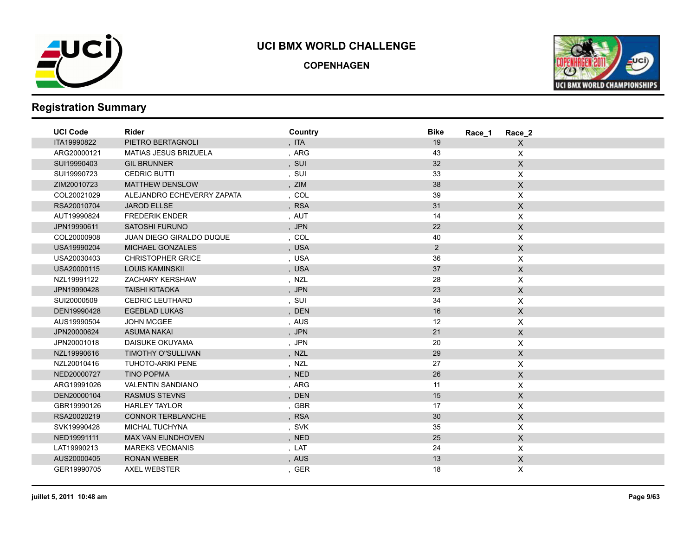

**COPENHAGEN**



| <b>UCI Code</b> | <b>Rider</b>                 | Country | <b>Bike</b>    | Race 2<br>Race 1 |  |
|-----------------|------------------------------|---------|----------------|------------------|--|
| ITA19990822     | PIETRO BERTAGNOLI            | , ITA   | 19             | $\mathsf{X}$     |  |
| ARG20000121     | <b>MATIAS JESUS BRIZUELA</b> | , ARG   | 43             | X                |  |
| SUI19990403     | <b>GIL BRUNNER</b>           | , SUI   | 32             | $\mathsf X$      |  |
| SUI19990723     | <b>CEDRIC BUTTI</b>          | , SUI   | 33             | $\pmb{\times}$   |  |
| ZIM20010723     | <b>MATTHEW DENSLOW</b>       | , ZIM   | 38             | $\mathsf X$      |  |
| COL20021029     | ALEJANDRO ECHEVERRY ZAPATA   | , COL   | 39             | X                |  |
| RSA20010704     | <b>JAROD ELLSE</b>           | , RSA   | 31             | $\mathsf{X}$     |  |
| AUT19990824     | <b>FREDERIK ENDER</b>        | , AUT   | 14             | X                |  |
| JPN19990611     | <b>SATOSHI FURUNO</b>        | , JPN   | 22             | $\mathsf{X}$     |  |
| COL20000908     | JUAN DIEGO GIRALDO DUQUE     | , COL   | 40             | X                |  |
| USA19990204     | <b>MICHAEL GONZALES</b>      | , USA   | $\overline{2}$ | $\mathsf X$      |  |
| USA20030403     | <b>CHRISTOPHER GRICE</b>     | , USA   | 36             | $\pmb{\times}$   |  |
| USA20000115     | <b>LOUIS KAMINSKII</b>       | , USA   | 37             | $\mathsf X$      |  |
| NZL19991122     | ZACHARY KERSHAW              | , NZL   | 28             | X                |  |
| JPN19990428     | <b>TAISHI KITAOKA</b>        | , JPN   | 23             | $\mathsf X$      |  |
| SUI20000509     | <b>CEDRIC LEUTHARD</b>       | , SUI   | 34             | $\pmb{\times}$   |  |
| DEN19990428     | <b>EGEBLAD LUKAS</b>         | , DEN   | 16             | $\mathsf X$      |  |
| AUS19990504     | <b>JOHN MCGEE</b>            | , AUS   | 12             | X                |  |
| JPN20000624     | <b>ASUMA NAKAI</b>           | , JPN   | 21             | $\mathsf X$      |  |
| JPN20001018     | DAISUKE OKUYAMA              | , JPN   | 20             | $\pmb{\times}$   |  |
| NZL19990616     | TIMOTHY O"SULLIVAN           | , NZL   | 29             | $\mathsf X$      |  |
| NZL20010416     | <b>TUHOTO-ARIKI PENE</b>     | , NZL   | 27             | X                |  |
| NED20000727     | <b>TINO POPMA</b>            | , NED   | 26             | $\mathsf X$      |  |
| ARG19991026     | <b>VALENTIN SANDIANO</b>     | , ARG   | 11             | X                |  |
| DEN20000104     | <b>RASMUS STEVNS</b>         | , DEN   | 15             | $\mathsf X$      |  |
| GBR19990126     | <b>HARLEY TAYLOR</b>         | , GBR   | 17             | X                |  |
| RSA20020219     | <b>CONNOR TERBLANCHE</b>     | , RSA   | $30\,$         | $\mathsf X$      |  |
| SVK19990428     | <b>MICHAL TUCHYNA</b>        | , SVK   | 35             | X                |  |
| NED19991111     | MAX VAN EIJNDHOVEN           | , NED   | 25             | $\mathsf{X}$     |  |
| LAT19990213     | <b>MAREKS VECMANIS</b>       | , LAT   | 24             | X                |  |
| AUS20000405     | <b>RONAN WEBER</b>           | , AUS   | 13             | $\mathsf X$      |  |
| GER19990705     | <b>AXEL WEBSTER</b>          | , GER   | 18             | X                |  |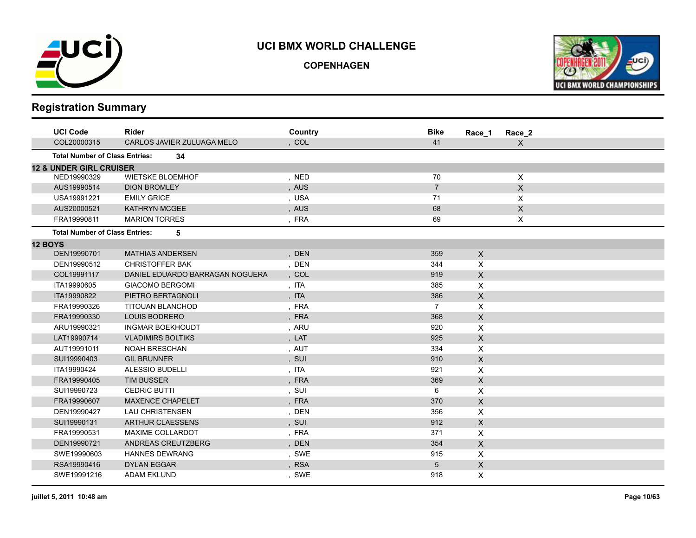

**COPENHAGEN**



| <b>UCI Code</b>                       | Rider                           | Country | <b>Bike</b>    | Race 1                    | Race_2           |  |
|---------------------------------------|---------------------------------|---------|----------------|---------------------------|------------------|--|
| COL20000315                           | CARLOS JAVIER ZULUAGA MELO      | , COL   | 41             |                           | $\boldsymbol{X}$ |  |
| <b>Total Number of Class Entries:</b> | 34                              |         |                |                           |                  |  |
| <b>12 &amp; UNDER GIRL CRUISER</b>    |                                 |         |                |                           |                  |  |
| NED19990329                           | <b>WIETSKE BLOEMHOF</b>         | , NED   | 70             |                           | $\times$         |  |
| AUS19990514                           | <b>DION BROMLEY</b>             | , AUS   | $\overline{7}$ |                           | $\mathsf X$      |  |
| USA19991221                           | <b>EMILY GRICE</b>              | , USA   | 71             |                           | X                |  |
| AUS20000521                           | <b>KATHRYN MCGEE</b>            | , AUS   | 68             |                           | $\mathsf X$      |  |
| FRA19990811                           | <b>MARION TORRES</b>            | , FRA   | 69             |                           | X                |  |
| <b>Total Number of Class Entries:</b> | 5                               |         |                |                           |                  |  |
| <b>12 BOYS</b>                        |                                 |         |                |                           |                  |  |
| DEN19990701                           | <b>MATHIAS ANDERSEN</b>         | , DEN   | 359            | X                         |                  |  |
| DEN19990512                           | <b>CHRISTOFFER BAK</b>          | , DEN   | 344            | X                         |                  |  |
| COL19991117                           | DANIEL EDUARDO BARRAGAN NOGUERA | , COL   | 919            | $\pmb{\times}$            |                  |  |
| ITA19990605                           | <b>GIACOMO BERGOMI</b>          | , ITA   | 385            | $\pmb{\times}$            |                  |  |
| ITA19990822                           | PIETRO BERTAGNOLI               | , ITA   | 386            | $\pmb{\times}$            |                  |  |
| FRA19990326                           | TITOUAN BLANCHOD                | , FRA   | $\overline{7}$ | $\mathsf{X}$              |                  |  |
| FRA19990330                           | <b>LOUIS BODRERO</b>            | , FRA   | 368            | $\pmb{\times}$            |                  |  |
| ARU19990321                           | <b>INGMAR BOEKHOUDT</b>         | , ARU   | 920            | X                         |                  |  |
| LAT19990714                           | <b>VLADIMIRS BOLTIKS</b>        | , LAT   | 925            | $\pmb{\times}$            |                  |  |
| AUT19991011                           | <b>NOAH BRESCHAN</b>            | , AUT   | 334            | X                         |                  |  |
| SUI19990403                           | <b>GIL BRUNNER</b>              | , SUI   | 910            | $\mathsf{X}$              |                  |  |
| ITA19990424                           | ALESSIO BUDELLI                 | , ITA   | 921            | X                         |                  |  |
| FRA19990405                           | <b>TIM BUSSER</b>               | , FRA   | 369            | $\pmb{\times}$            |                  |  |
| SUI19990723                           | <b>CEDRIC BUTTI</b>             | , SUI   | 6              | X                         |                  |  |
| FRA19990607                           | <b>MAXENCE CHAPELET</b>         | , FRA   | 370            | X                         |                  |  |
| DEN19990427                           | <b>LAU CHRISTENSEN</b>          | , DEN   | 356            | X                         |                  |  |
| SUI19990131                           | <b>ARTHUR CLAESSENS</b>         | , SUI   | 912            | $\pmb{\times}$            |                  |  |
| FRA19990531                           | <b>MAXIME COLLARDOT</b>         | , FRA   | 371            | X                         |                  |  |
| DEN19990721                           | ANDREAS CREUTZBERG              | , DEN   | 354            | $\mathsf{X}$              |                  |  |
| SWE19990603                           | <b>HANNES DEWRANG</b>           | , SWE   | 915            | X                         |                  |  |
| RSA19990416                           | <b>DYLAN EGGAR</b>              | , RSA   | 5              | $\boldsymbol{\mathsf{X}}$ |                  |  |
| SWE19991216                           | <b>ADAM EKLUND</b>              | , SWE   | 918            | $\pmb{\times}$            |                  |  |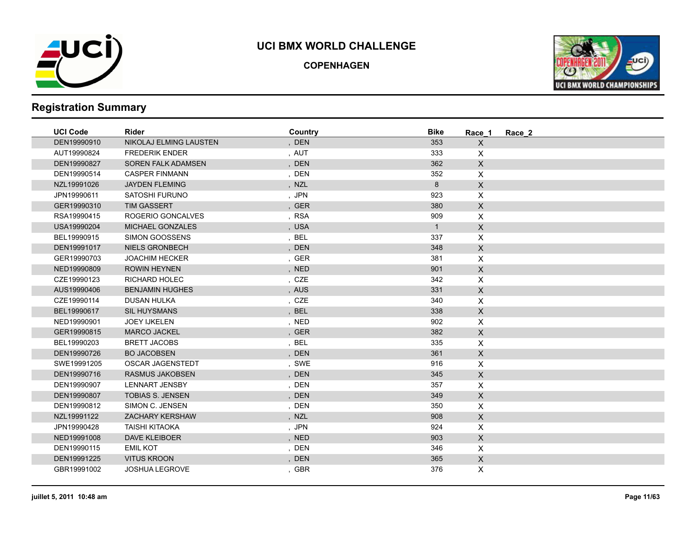

**COPENHAGEN**



| <b>UCI Code</b> | <b>Rider</b>              | Country | <b>Bike</b>    | Race 1             | Race 2 |
|-----------------|---------------------------|---------|----------------|--------------------|--------|
| DEN19990910     | NIKOLAJ ELMING LAUSTEN    | , DEN   | 353            | $\mathsf{X}$       |        |
| AUT19990824     | <b>FREDERIK ENDER</b>     | , AUT   | 333            | X                  |        |
| DEN19990827     | <b>SOREN FALK ADAMSEN</b> | , DEN   | 362            | $\mathsf{X}$       |        |
| DEN19990514     | <b>CASPER FINMANN</b>     | , DEN   | 352            | $\pmb{\times}$     |        |
| NZL19991026     | <b>JAYDEN FLEMING</b>     | , NZL   | 8              | $\mathsf{X}$       |        |
| JPN19990611     | SATOSHI FURUNO            | , JPN   | 923            | $\mathsf{X}$       |        |
| GER19990310     | <b>TIM GASSERT</b>        | , GER   | 380            | $\mathsf{X}$       |        |
| RSA19990415     | ROGERIO GONCALVES         | , RSA   | 909            | $\pmb{\times}$     |        |
| USA19990204     | <b>MICHAEL GONZALES</b>   | , USA   | $\overline{1}$ | $\mathsf X$        |        |
| BEL19990915     | SIMON GOOSSENS            | , BEL   | 337            | $\pmb{\times}$     |        |
| DEN19991017     | <b>NIELS GRONBECH</b>     | , DEN   | 348            | $\mathsf{X}$       |        |
| GER19990703     | <b>JOACHIM HECKER</b>     | , GER   | 381            | $\pmb{\times}$     |        |
| NED19990809     | <b>ROWIN HEYNEN</b>       | , NED   | 901            | $\mathsf X$        |        |
| CZE19990123     | <b>RICHARD HOLEC</b>      | , CZE   | 342            | $\pmb{\times}$     |        |
| AUS19990406     | <b>BENJAMIN HUGHES</b>    | , AUS   | 331            | $\mathsf{X}$       |        |
| CZE19990114     | <b>DUSAN HULKA</b>        | , CZE   | 340            | $\pmb{\times}$     |        |
| BEL19990617     | <b>SIL HUYSMANS</b>       | , BEL   | 338            | $\mathsf{X}$       |        |
| NED19990901     | <b>JOEY IJKELEN</b>       | , NED   | 902            | $\pmb{\mathsf{X}}$ |        |
| GER19990815     | <b>MARCO JACKEL</b>       | , GER   | 382            | $\mathsf X$        |        |
| BEL19990203     | <b>BRETT JACOBS</b>       | ,BEL    | 335            | X                  |        |
| DEN19990726     | <b>BO JACOBSEN</b>        | , DEN   | 361            | $\mathsf{X}$       |        |
| SWE19991205     | OSCAR JAGENSTEDT          | , SWE   | 916            | $\mathsf{X}$       |        |
| DEN19990716     | <b>RASMUS JAKOBSEN</b>    | , DEN   | 345            | $\mathsf{X}$       |        |
| DEN19990907     | <b>LENNART JENSBY</b>     | , DEN   | 357            | X                  |        |
| DEN19990807     | <b>TOBIAS S. JENSEN</b>   | , DEN   | 349            | $\mathsf X$        |        |
| DEN19990812     | SIMON C. JENSEN           | , DEN   | 350            | $\mathsf{X}$       |        |
| NZL19991122     | <b>ZACHARY KERSHAW</b>    | , NZL   | 908            | $\mathsf X$        |        |
| JPN19990428     | <b>TAISHI KITAOKA</b>     | , JPN   | 924            | $\pmb{\times}$     |        |
| NED19991008     | <b>DAVE KLEIBOER</b>      | , NED   | 903            | $\mathsf{X}$       |        |
| DEN19990115     | <b>EMIL KOT</b>           | , DEN   | 346            | $\mathsf{X}$       |        |
| DEN19991225     | <b>VITUS KROON</b>        | , DEN   | 365            | $\mathsf{X}$       |        |
| GBR19991002     | <b>JOSHUA LEGROVE</b>     | , GBR   | 376            | $\mathsf{X}$       |        |
|                 |                           |         |                |                    |        |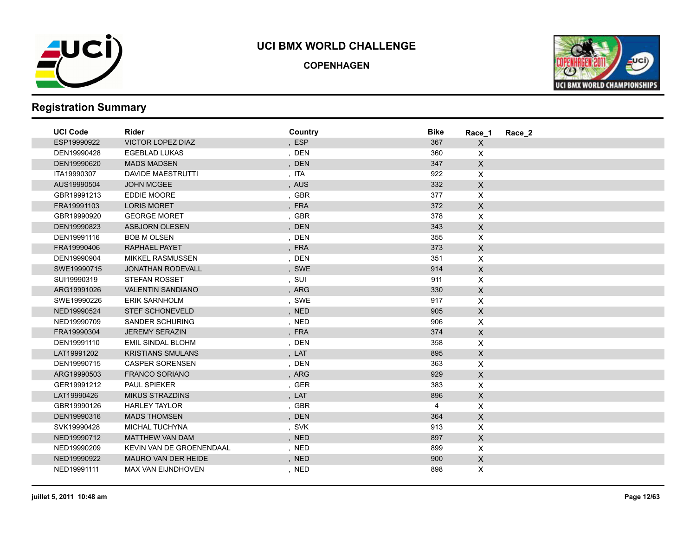

**COPENHAGEN**



| , ESP<br>367<br>ESP19990922<br><b>VICTOR LOPEZ DIAZ</b><br>$\mathsf{X}$<br>, DEN<br>DEN19990428<br><b>EGEBLAD LUKAS</b><br>360<br>X<br>, DEN<br>347<br>$\mathsf{X}$<br>DEN19990620<br><b>MADS MADSEN</b><br>922<br>$\mathsf{X}$<br>ITA19990307<br>DAVIDE MAESTRUTTI<br>, ITA<br>, AUS<br>332<br>$\mathsf X$<br>AUS19990504<br><b>JOHN MCGEE</b><br>EDDIE MOORE<br>, GBR<br>377<br>GBR19991213<br>$\mathsf{X}$<br>, FRA<br>372<br>$\mathsf{X}$<br>FRA19991103<br><b>LORIS MORET</b><br>, GBR<br>378<br>X<br>GBR19990920<br><b>GEORGE MORET</b><br>$\mathsf X$<br>, DEN<br>343<br>DEN19990823<br><b>ASBJORN OLESEN</b><br>, DEN<br>355<br>X<br>DEN19991116<br><b>BOB M OLSEN</b><br>, FRA<br>373<br>$\mathsf{X}$<br>FRA19990406<br><b>RAPHAEL PAYET</b><br>$\mathsf X$<br>, DEN<br>351<br>DEN19990904<br><b>MIKKEL RASMUSSEN</b><br>914<br>$\mathsf X$<br>SWE19990715<br><b>JONATHAN RODEVALL</b><br>, SWE<br>SUI19990319<br><b>STEFAN ROSSET</b><br>, SUI<br>911<br>$\mathsf{X}$<br><b>VALENTIN SANDIANO</b><br>, ARG<br>330<br>$\mathsf{X}$<br>ARG19991026<br>, SWE<br>917<br>$\mathsf{X}$<br>SWE19990226<br><b>ERIK SARNHOLM</b><br>NED19990524<br><b>STEF SCHONEVELD</b><br>, NED<br>905<br>$\mathsf{X}$<br>, NED<br>$\mathsf{X}$<br>NED19990709<br>SANDER SCHURING<br>906<br>, FRA<br>$\mathsf X$<br>FRA19990304<br><b>JEREMY SERAZIN</b><br>374<br>, DEN<br>$\mathsf X$<br>DEN19991110<br><b>EMIL SINDAL BLOHM</b><br>358<br><b>KRISTIANS SMULANS</b><br>, LAT<br>895<br>$\mathsf X$<br>LAT19991202<br>, DEN<br>$\mathsf{X}$<br>DEN19990715<br><b>CASPER SORENSEN</b><br>363<br>ARG19990503<br><b>FRANCO SORIANO</b><br>, ARG<br>929<br>$\mathsf{X}$<br>, GER<br>GER19991212<br>PAUL SPIEKER<br>383<br>X<br>, LAT<br>896<br>$\mathsf{X}$<br>LAT19990426<br><b>MIKUS STRAZDINS</b><br>, GBR<br>$\mathsf{X}$<br>GBR19990126<br><b>HARLEY TAYLOR</b><br>4<br><b>MADS THOMSEN</b><br>, DEN<br>364<br>$\mathsf X$<br>DEN19990316<br>, SVK<br>913<br>X<br>SVK19990428<br><b>MICHAL TUCHYNA</b><br>897<br>$\mathsf{X}$<br>NED19990712<br><b>MATTHEW VAN DAM</b><br>, NED<br>KEVIN VAN DE GROENENDAAL<br>, NED<br>899<br>$\mathsf{X}$<br>NED19990209<br>$\mathsf{X}$<br>NED19990922<br>MAURO VAN DER HEIDE<br>, NED<br>900<br>NED19991111<br><b>MAX VAN EIJNDHOVEN</b><br>, NED<br>898<br>X | <b>UCI Code</b> | <b>Rider</b> | Country | <b>Bike</b> | Race 1 | Race_2 |
|-----------------------------------------------------------------------------------------------------------------------------------------------------------------------------------------------------------------------------------------------------------------------------------------------------------------------------------------------------------------------------------------------------------------------------------------------------------------------------------------------------------------------------------------------------------------------------------------------------------------------------------------------------------------------------------------------------------------------------------------------------------------------------------------------------------------------------------------------------------------------------------------------------------------------------------------------------------------------------------------------------------------------------------------------------------------------------------------------------------------------------------------------------------------------------------------------------------------------------------------------------------------------------------------------------------------------------------------------------------------------------------------------------------------------------------------------------------------------------------------------------------------------------------------------------------------------------------------------------------------------------------------------------------------------------------------------------------------------------------------------------------------------------------------------------------------------------------------------------------------------------------------------------------------------------------------------------------------------------------------------------------------------------------------------------------------------------------------------------------------------------------------------------------------------------------------------------------------------------------------------------------------------------------------|-----------------|--------------|---------|-------------|--------|--------|
|                                                                                                                                                                                                                                                                                                                                                                                                                                                                                                                                                                                                                                                                                                                                                                                                                                                                                                                                                                                                                                                                                                                                                                                                                                                                                                                                                                                                                                                                                                                                                                                                                                                                                                                                                                                                                                                                                                                                                                                                                                                                                                                                                                                                                                                                                         |                 |              |         |             |        |        |
|                                                                                                                                                                                                                                                                                                                                                                                                                                                                                                                                                                                                                                                                                                                                                                                                                                                                                                                                                                                                                                                                                                                                                                                                                                                                                                                                                                                                                                                                                                                                                                                                                                                                                                                                                                                                                                                                                                                                                                                                                                                                                                                                                                                                                                                                                         |                 |              |         |             |        |        |
|                                                                                                                                                                                                                                                                                                                                                                                                                                                                                                                                                                                                                                                                                                                                                                                                                                                                                                                                                                                                                                                                                                                                                                                                                                                                                                                                                                                                                                                                                                                                                                                                                                                                                                                                                                                                                                                                                                                                                                                                                                                                                                                                                                                                                                                                                         |                 |              |         |             |        |        |
|                                                                                                                                                                                                                                                                                                                                                                                                                                                                                                                                                                                                                                                                                                                                                                                                                                                                                                                                                                                                                                                                                                                                                                                                                                                                                                                                                                                                                                                                                                                                                                                                                                                                                                                                                                                                                                                                                                                                                                                                                                                                                                                                                                                                                                                                                         |                 |              |         |             |        |        |
|                                                                                                                                                                                                                                                                                                                                                                                                                                                                                                                                                                                                                                                                                                                                                                                                                                                                                                                                                                                                                                                                                                                                                                                                                                                                                                                                                                                                                                                                                                                                                                                                                                                                                                                                                                                                                                                                                                                                                                                                                                                                                                                                                                                                                                                                                         |                 |              |         |             |        |        |
|                                                                                                                                                                                                                                                                                                                                                                                                                                                                                                                                                                                                                                                                                                                                                                                                                                                                                                                                                                                                                                                                                                                                                                                                                                                                                                                                                                                                                                                                                                                                                                                                                                                                                                                                                                                                                                                                                                                                                                                                                                                                                                                                                                                                                                                                                         |                 |              |         |             |        |        |
|                                                                                                                                                                                                                                                                                                                                                                                                                                                                                                                                                                                                                                                                                                                                                                                                                                                                                                                                                                                                                                                                                                                                                                                                                                                                                                                                                                                                                                                                                                                                                                                                                                                                                                                                                                                                                                                                                                                                                                                                                                                                                                                                                                                                                                                                                         |                 |              |         |             |        |        |
|                                                                                                                                                                                                                                                                                                                                                                                                                                                                                                                                                                                                                                                                                                                                                                                                                                                                                                                                                                                                                                                                                                                                                                                                                                                                                                                                                                                                                                                                                                                                                                                                                                                                                                                                                                                                                                                                                                                                                                                                                                                                                                                                                                                                                                                                                         |                 |              |         |             |        |        |
|                                                                                                                                                                                                                                                                                                                                                                                                                                                                                                                                                                                                                                                                                                                                                                                                                                                                                                                                                                                                                                                                                                                                                                                                                                                                                                                                                                                                                                                                                                                                                                                                                                                                                                                                                                                                                                                                                                                                                                                                                                                                                                                                                                                                                                                                                         |                 |              |         |             |        |        |
|                                                                                                                                                                                                                                                                                                                                                                                                                                                                                                                                                                                                                                                                                                                                                                                                                                                                                                                                                                                                                                                                                                                                                                                                                                                                                                                                                                                                                                                                                                                                                                                                                                                                                                                                                                                                                                                                                                                                                                                                                                                                                                                                                                                                                                                                                         |                 |              |         |             |        |        |
|                                                                                                                                                                                                                                                                                                                                                                                                                                                                                                                                                                                                                                                                                                                                                                                                                                                                                                                                                                                                                                                                                                                                                                                                                                                                                                                                                                                                                                                                                                                                                                                                                                                                                                                                                                                                                                                                                                                                                                                                                                                                                                                                                                                                                                                                                         |                 |              |         |             |        |        |
|                                                                                                                                                                                                                                                                                                                                                                                                                                                                                                                                                                                                                                                                                                                                                                                                                                                                                                                                                                                                                                                                                                                                                                                                                                                                                                                                                                                                                                                                                                                                                                                                                                                                                                                                                                                                                                                                                                                                                                                                                                                                                                                                                                                                                                                                                         |                 |              |         |             |        |        |
|                                                                                                                                                                                                                                                                                                                                                                                                                                                                                                                                                                                                                                                                                                                                                                                                                                                                                                                                                                                                                                                                                                                                                                                                                                                                                                                                                                                                                                                                                                                                                                                                                                                                                                                                                                                                                                                                                                                                                                                                                                                                                                                                                                                                                                                                                         |                 |              |         |             |        |        |
|                                                                                                                                                                                                                                                                                                                                                                                                                                                                                                                                                                                                                                                                                                                                                                                                                                                                                                                                                                                                                                                                                                                                                                                                                                                                                                                                                                                                                                                                                                                                                                                                                                                                                                                                                                                                                                                                                                                                                                                                                                                                                                                                                                                                                                                                                         |                 |              |         |             |        |        |
|                                                                                                                                                                                                                                                                                                                                                                                                                                                                                                                                                                                                                                                                                                                                                                                                                                                                                                                                                                                                                                                                                                                                                                                                                                                                                                                                                                                                                                                                                                                                                                                                                                                                                                                                                                                                                                                                                                                                                                                                                                                                                                                                                                                                                                                                                         |                 |              |         |             |        |        |
|                                                                                                                                                                                                                                                                                                                                                                                                                                                                                                                                                                                                                                                                                                                                                                                                                                                                                                                                                                                                                                                                                                                                                                                                                                                                                                                                                                                                                                                                                                                                                                                                                                                                                                                                                                                                                                                                                                                                                                                                                                                                                                                                                                                                                                                                                         |                 |              |         |             |        |        |
|                                                                                                                                                                                                                                                                                                                                                                                                                                                                                                                                                                                                                                                                                                                                                                                                                                                                                                                                                                                                                                                                                                                                                                                                                                                                                                                                                                                                                                                                                                                                                                                                                                                                                                                                                                                                                                                                                                                                                                                                                                                                                                                                                                                                                                                                                         |                 |              |         |             |        |        |
|                                                                                                                                                                                                                                                                                                                                                                                                                                                                                                                                                                                                                                                                                                                                                                                                                                                                                                                                                                                                                                                                                                                                                                                                                                                                                                                                                                                                                                                                                                                                                                                                                                                                                                                                                                                                                                                                                                                                                                                                                                                                                                                                                                                                                                                                                         |                 |              |         |             |        |        |
|                                                                                                                                                                                                                                                                                                                                                                                                                                                                                                                                                                                                                                                                                                                                                                                                                                                                                                                                                                                                                                                                                                                                                                                                                                                                                                                                                                                                                                                                                                                                                                                                                                                                                                                                                                                                                                                                                                                                                                                                                                                                                                                                                                                                                                                                                         |                 |              |         |             |        |        |
|                                                                                                                                                                                                                                                                                                                                                                                                                                                                                                                                                                                                                                                                                                                                                                                                                                                                                                                                                                                                                                                                                                                                                                                                                                                                                                                                                                                                                                                                                                                                                                                                                                                                                                                                                                                                                                                                                                                                                                                                                                                                                                                                                                                                                                                                                         |                 |              |         |             |        |        |
|                                                                                                                                                                                                                                                                                                                                                                                                                                                                                                                                                                                                                                                                                                                                                                                                                                                                                                                                                                                                                                                                                                                                                                                                                                                                                                                                                                                                                                                                                                                                                                                                                                                                                                                                                                                                                                                                                                                                                                                                                                                                                                                                                                                                                                                                                         |                 |              |         |             |        |        |
|                                                                                                                                                                                                                                                                                                                                                                                                                                                                                                                                                                                                                                                                                                                                                                                                                                                                                                                                                                                                                                                                                                                                                                                                                                                                                                                                                                                                                                                                                                                                                                                                                                                                                                                                                                                                                                                                                                                                                                                                                                                                                                                                                                                                                                                                                         |                 |              |         |             |        |        |
|                                                                                                                                                                                                                                                                                                                                                                                                                                                                                                                                                                                                                                                                                                                                                                                                                                                                                                                                                                                                                                                                                                                                                                                                                                                                                                                                                                                                                                                                                                                                                                                                                                                                                                                                                                                                                                                                                                                                                                                                                                                                                                                                                                                                                                                                                         |                 |              |         |             |        |        |
|                                                                                                                                                                                                                                                                                                                                                                                                                                                                                                                                                                                                                                                                                                                                                                                                                                                                                                                                                                                                                                                                                                                                                                                                                                                                                                                                                                                                                                                                                                                                                                                                                                                                                                                                                                                                                                                                                                                                                                                                                                                                                                                                                                                                                                                                                         |                 |              |         |             |        |        |
|                                                                                                                                                                                                                                                                                                                                                                                                                                                                                                                                                                                                                                                                                                                                                                                                                                                                                                                                                                                                                                                                                                                                                                                                                                                                                                                                                                                                                                                                                                                                                                                                                                                                                                                                                                                                                                                                                                                                                                                                                                                                                                                                                                                                                                                                                         |                 |              |         |             |        |        |
|                                                                                                                                                                                                                                                                                                                                                                                                                                                                                                                                                                                                                                                                                                                                                                                                                                                                                                                                                                                                                                                                                                                                                                                                                                                                                                                                                                                                                                                                                                                                                                                                                                                                                                                                                                                                                                                                                                                                                                                                                                                                                                                                                                                                                                                                                         |                 |              |         |             |        |        |
|                                                                                                                                                                                                                                                                                                                                                                                                                                                                                                                                                                                                                                                                                                                                                                                                                                                                                                                                                                                                                                                                                                                                                                                                                                                                                                                                                                                                                                                                                                                                                                                                                                                                                                                                                                                                                                                                                                                                                                                                                                                                                                                                                                                                                                                                                         |                 |              |         |             |        |        |
|                                                                                                                                                                                                                                                                                                                                                                                                                                                                                                                                                                                                                                                                                                                                                                                                                                                                                                                                                                                                                                                                                                                                                                                                                                                                                                                                                                                                                                                                                                                                                                                                                                                                                                                                                                                                                                                                                                                                                                                                                                                                                                                                                                                                                                                                                         |                 |              |         |             |        |        |
|                                                                                                                                                                                                                                                                                                                                                                                                                                                                                                                                                                                                                                                                                                                                                                                                                                                                                                                                                                                                                                                                                                                                                                                                                                                                                                                                                                                                                                                                                                                                                                                                                                                                                                                                                                                                                                                                                                                                                                                                                                                                                                                                                                                                                                                                                         |                 |              |         |             |        |        |
|                                                                                                                                                                                                                                                                                                                                                                                                                                                                                                                                                                                                                                                                                                                                                                                                                                                                                                                                                                                                                                                                                                                                                                                                                                                                                                                                                                                                                                                                                                                                                                                                                                                                                                                                                                                                                                                                                                                                                                                                                                                                                                                                                                                                                                                                                         |                 |              |         |             |        |        |
|                                                                                                                                                                                                                                                                                                                                                                                                                                                                                                                                                                                                                                                                                                                                                                                                                                                                                                                                                                                                                                                                                                                                                                                                                                                                                                                                                                                                                                                                                                                                                                                                                                                                                                                                                                                                                                                                                                                                                                                                                                                                                                                                                                                                                                                                                         |                 |              |         |             |        |        |
|                                                                                                                                                                                                                                                                                                                                                                                                                                                                                                                                                                                                                                                                                                                                                                                                                                                                                                                                                                                                                                                                                                                                                                                                                                                                                                                                                                                                                                                                                                                                                                                                                                                                                                                                                                                                                                                                                                                                                                                                                                                                                                                                                                                                                                                                                         |                 |              |         |             |        |        |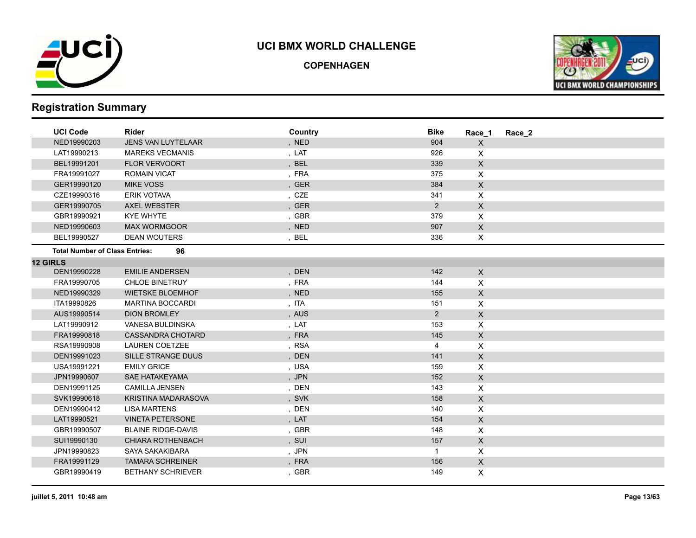

**COPENHAGEN**



| <b>UCI Code</b>                       | <b>Rider</b>               | Country | <b>Bike</b>    | Race 1         | Race 2 |
|---------------------------------------|----------------------------|---------|----------------|----------------|--------|
| NED19990203                           | <b>JENS VAN LUYTELAAR</b>  | , NED   | 904            | $\pmb{\times}$ |        |
| LAT19990213                           | <b>MAREKS VECMANIS</b>     | , LAT   | 926            | X              |        |
| BEL19991201                           | <b>FLOR VERVOORT</b>       | , BEL   | 339            | $\mathsf{X}$   |        |
| FRA19991027                           | <b>ROMAIN VICAT</b>        | , FRA   | 375            | X              |        |
| GER19990120                           | <b>MIKE VOSS</b>           | , GER   | 384            | $\mathsf{X}$   |        |
| CZE19990316                           | <b>ERIK VOTAVA</b>         | , CZE   | 341            | X              |        |
| GER19990705                           | <b>AXEL WEBSTER</b>        | , GER   | $\overline{2}$ | $\mathsf{X}$   |        |
| GBR19990921                           | <b>KYE WHYTE</b>           | , GBR   | 379            | X              |        |
| NED19990603                           | <b>MAX WORMGOOR</b>        | , NED   | 907            | $\mathsf X$    |        |
| BEL19990527                           | <b>DEAN WOUTERS</b>        | , BEL   | 336            | X              |        |
| <b>Total Number of Class Entries:</b> | 96                         |         |                |                |        |
| <b>12 GIRLS</b>                       |                            |         |                |                |        |
| DEN19990228                           | <b>EMILIE ANDERSEN</b>     | , DEN   | 142            | $\mathsf{X}$   |        |
| FRA19990705                           | <b>CHLOE BINETRUY</b>      | , FRA   | 144            | X              |        |
| NED19990329                           | <b>WIETSKE BLOEMHOF</b>    | , NED   | 155            | $\mathsf{X}$   |        |
| ITA19990826                           | <b>MARTINA BOCCARDI</b>    | , ITA   | 151            | X              |        |
| AUS19990514                           | <b>DION BROMLEY</b>        | , AUS   | $\overline{2}$ | $\mathsf X$    |        |
| LAT19990912                           | VANESA BULDINSKA           | , LAT   | 153            | X              |        |
| FRA19990818                           | <b>CASSANDRA CHOTARD</b>   | , FRA   | 145            | $\mathsf{X}$   |        |
| RSA19990908                           | <b>LAUREN COETZEE</b>      | , RSA   | 4              | X              |        |
| DEN19991023                           | SILLE STRANGE DUUS         | , DEN   | 141            | $\mathsf{X}$   |        |
| USA19991221                           | <b>EMILY GRICE</b>         | , USA   | 159            | X              |        |
| JPN19990607                           | <b>SAE HATAKEYAMA</b>      | , JPN   | 152            | $\mathsf{X}$   |        |
| DEN19991125                           | <b>CAMILLA JENSEN</b>      | , DEN   | 143            | X              |        |
| SVK19990618                           | <b>KRISTINA MADARASOVA</b> | , SVK   | 158            | X              |        |
| DEN19990412                           | <b>LISA MARTENS</b>        | , DEN   | 140            | X              |        |
| LAT19990521                           | <b>VINETA PETERSONE</b>    | , LAT   | 154            | $\mathsf{X}$   |        |
| GBR19990507                           | <b>BLAINE RIDGE-DAVIS</b>  | , GBR   | 148            | X              |        |
| SUI19990130                           | <b>CHIARA ROTHENBACH</b>   | , SUI   | 157            | $\mathsf{X}$   |        |
| JPN19990823                           | SAYA SAKAKIBARA            | , JPN   | $\mathbf{1}$   | X              |        |
| FRA19991129                           | <b>TAMARA SCHREINER</b>    | , FRA   | 156            | X              |        |
| GBR19990419                           | <b>BETHANY SCHRIEVER</b>   | , GBR   | 149            | X              |        |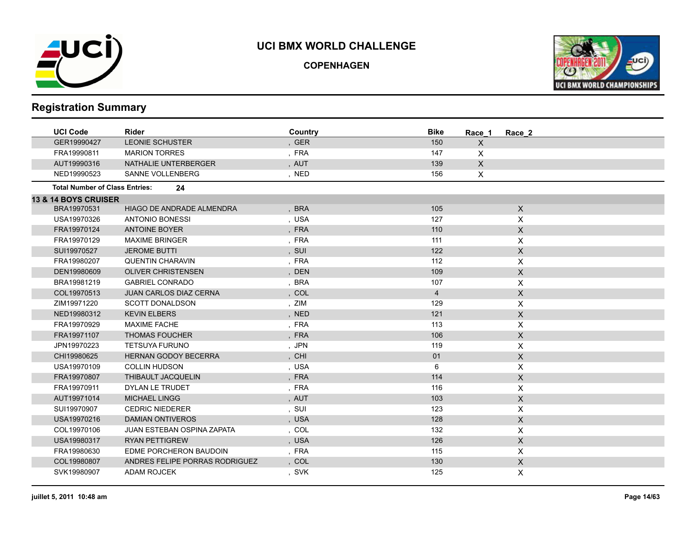

**COPENHAGEN**



| <b>UCI Code</b>                       | Rider                             | Country | <b>Bike</b>    | Race 1       | Race 2           |  |
|---------------------------------------|-----------------------------------|---------|----------------|--------------|------------------|--|
| GER19990427                           | <b>LEONIE SCHUSTER</b>            | , GER   | 150            | X            |                  |  |
| FRA19990811                           | <b>MARION TORRES</b>              | , FRA   | 147            | X            |                  |  |
| AUT19990316                           | NATHALIE UNTERBERGER              | , AUT   | 139            | $\mathsf{X}$ |                  |  |
| NED19990523                           | <b>SANNE VOLLENBERG</b>           | , NED   | 156            | X            |                  |  |
| <b>Total Number of Class Entries:</b> | 24                                |         |                |              |                  |  |
| <b>13 &amp; 14 BOYS CRUISER</b>       |                                   |         |                |              |                  |  |
| BRA19970531                           | HIAGO DE ANDRADE ALMENDRA         | , BRA   | 105            |              | $\mathsf{X}$     |  |
| USA19970326                           | <b>ANTONIO BONESSI</b>            | , USA   | 127            |              | X                |  |
| FRA19970124                           | <b>ANTOINE BOYER</b>              | , FRA   | 110            |              | $\mathsf X$      |  |
| FRA19970129                           | <b>MAXIME BRINGER</b>             | , FRA   | 111            |              | $\pmb{\times}$   |  |
| SUI19970527                           | <b>JEROME BUTTI</b>               | , SUI   | 122            |              | $\mathsf X$      |  |
| FRA19980207                           | <b>QUENTIN CHARAVIN</b>           | , FRA   | 112            |              | X                |  |
| DEN19980609                           | <b>OLIVER CHRISTENSEN</b>         | , DEN   | 109            |              | X                |  |
| BRA19981219                           | <b>GABRIEL CONRADO</b>            | , BRA   | 107            |              | X                |  |
| COL19970513                           | <b>JUAN CARLOS DIAZ CERNA</b>     | , COL   | $\overline{4}$ |              | $\mathsf X$      |  |
| ZIM19971220                           | <b>SCOTT DONALDSON</b>            | , ZIM   | 129            |              | $\pmb{\times}$   |  |
| NED19980312                           | <b>KEVIN ELBERS</b>               | , NED   | 121            |              | $\mathsf X$      |  |
| FRA19970929                           | <b>MAXIME FACHE</b>               | , FRA   | 113            |              | X                |  |
| FRA19971107                           | <b>THOMAS FOUCHER</b>             | , FRA   | 106            |              | $\mathsf{X}$     |  |
| JPN19970223                           | <b>TETSUYA FURUNO</b>             | , JPN   | 119            |              | X                |  |
| CHI19980625                           | <b>HERNAN GODOY BECERRA</b>       | , CHI   | 01             |              | $\mathsf X$      |  |
| USA19970109                           | <b>COLLIN HUDSON</b>              | , USA   | 6              |              | X                |  |
| FRA19970807                           | THIBAULT JACQUELIN                | , FRA   | 114            |              | $\mathsf X$      |  |
| FRA19970911                           | DYLAN LE TRUDET                   | , FRA   | 116            |              | X                |  |
| AUT19971014                           | <b>MICHAEL LINGG</b>              | , AUT   | 103            |              | X                |  |
| SUI19970907                           | <b>CEDRIC NIEDERER</b>            | , SUI   | 123            |              | X                |  |
| USA19970216                           | <b>DAMIAN ONTIVEROS</b>           | , USA   | 128            |              | $\mathsf X$      |  |
| COL19970106                           | <b>JUAN ESTEBAN OSPINA ZAPATA</b> | , COL   | 132            |              | X                |  |
| USA19980317                           | <b>RYAN PETTIGREW</b>             | , USA   | 126            |              | $\mathsf X$      |  |
| FRA19980630                           | EDME PORCHERON BAUDOIN            | , FRA   | 115            |              | X                |  |
| COL19980807                           | ANDRES FELIPE PORRAS RODRIGUEZ    | , COL   | 130            |              | $\boldsymbol{X}$ |  |
| SVK19980907                           | <b>ADAM ROJCEK</b>                | , SVK   | 125            |              | X                |  |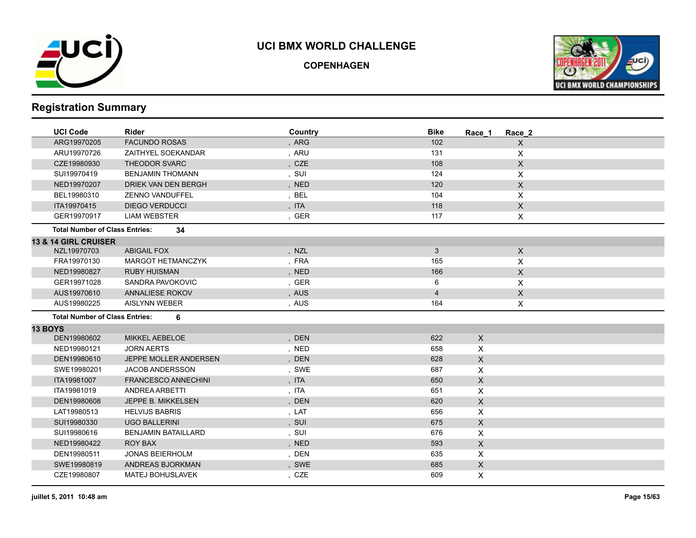

**COPENHAGEN**



| <b>UCI Code</b>                       | <b>Rider</b>               | Country | <b>Bike</b>    | Race 1       | Race 2       |
|---------------------------------------|----------------------------|---------|----------------|--------------|--------------|
| ARG19970205                           | <b>FACUNDO ROSAS</b>       | , ARG   | 102            |              | $\mathsf{X}$ |
| ARU19970726                           | ZAITHYEL SOEKANDAR         | , ARU   | 131            |              | X            |
| CZE19980930                           | THEODOR SVARC              | , CZE   | 108            |              | $\mathsf X$  |
| SUI19970419                           | <b>BENJAMIN THOMANN</b>    | , SUI   | 124            |              | X            |
| NED19970207                           | DRIEK VAN DEN BERGH        | , NED   | 120            |              | $\mathsf X$  |
| BEL19980310                           | <b>ZENNO VANDUFFEL</b>     | , BEL   | 104            |              | X            |
| ITA19970415                           | <b>DIEGO VERDUCCI</b>      | , ITA   | 118            |              | X            |
| GER19970917                           | <b>LIAM WEBSTER</b>        | , GER   | 117            |              | X            |
| <b>Total Number of Class Entries:</b> | 34                         |         |                |              |              |
| <b>13 &amp; 14 GIRL CRUISER</b>       |                            |         |                |              |              |
| NZL19970703                           | <b>ABIGAIL FOX</b>         | , NZL   | $\mathbf{3}$   |              | $\mathsf{X}$ |
| FRA19970130                           | MARGOT HETMANCZYK          | , FRA   | 165            |              | X            |
| NED19980827                           | <b>RUBY HUISMAN</b>        | , NED   | 166            |              | X            |
| GER19971028                           | SANDRA PAVOKOVIC           | , GER   | 6              |              | X            |
| AUS19970610                           | ANNALIESE ROKOV            | , AUS   | $\overline{4}$ |              | $\mathsf X$  |
| AUS19980225                           | <b>AISLYNN WEBER</b>       | , AUS   | 164            |              | X            |
| <b>Total Number of Class Entries:</b> | 6                          |         |                |              |              |
| <b>13 BOYS</b>                        |                            |         |                |              |              |
| DEN19980602                           | <b>MIKKEL AEBELOE</b>      | , DEN   | 622            | $\mathsf{X}$ |              |
| NED19980121                           | <b>JORN AERTS</b>          | , NED   | 658            | X            |              |
| DEN19980610                           | JEPPE MOLLER ANDERSEN      | , DEN   | 628            | $\mathsf{X}$ |              |
| SWE19980201                           | <b>JACOB ANDERSSON</b>     | , SWE   | 687            | X            |              |
| ITA19981007                           | <b>FRANCESCO ANNECHINI</b> | , ITA   | 650            | $\mathsf{X}$ |              |
| ITA19981019                           | ANDREA ARBETTI             | , ITA   | 651            | X            |              |
| DEN19980608                           | JEPPE B. MIKKELSEN         | , DEN   | 620            | X            |              |
| LAT19980513                           | <b>HELVIJS BABRIS</b>      | , LAT   | 656            | X            |              |
| SUI19980330                           | <b>UGO BALLERINI</b>       | , SUI   | 675            | $\mathsf{X}$ |              |
| SUI19980616                           | <b>BENJAMIN BATAILLARD</b> | , SUI   | 676            | X            |              |
| NED19980422                           | <b>ROY BAX</b>             | , NED   | 593            | $\mathsf{X}$ |              |
| DEN19980511                           | <b>JONAS BEIERHOLM</b>     | , DEN   | 635            | X            |              |
| SWE19980819                           | ANDREAS BJORKMAN           | , SWE   | 685            | $\mathsf{X}$ |              |
| CZE19980807                           | <b>MATEJ BOHUSLAVEK</b>    | , CZE   | 609            | X            |              |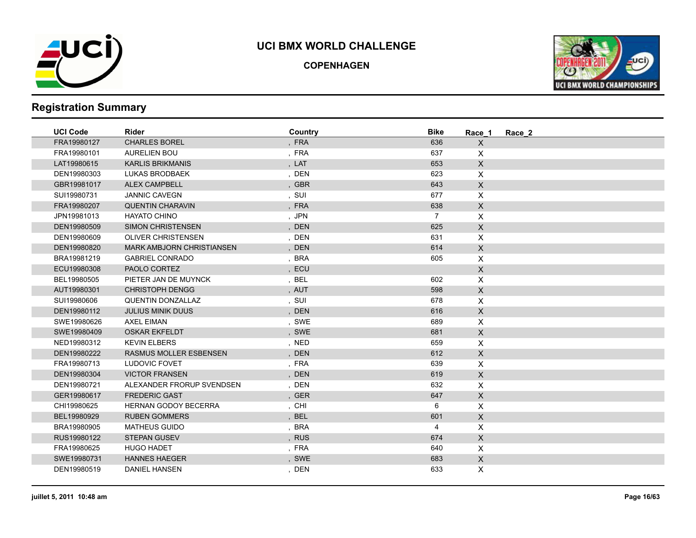

**COPENHAGEN**



| <b>UCI Code</b> | <b>Rider</b>                     | Country | <b>Bike</b>    | Race 1             | Race 2 |  |
|-----------------|----------------------------------|---------|----------------|--------------------|--------|--|
| FRA19980127     | <b>CHARLES BOREL</b>             | , FRA   | 636            | $\mathsf{X}$       |        |  |
| FRA19980101     | <b>AURELIEN BOU</b>              | , FRA   | 637            | $\mathsf{X}$       |        |  |
| LAT19980615     | <b>KARLIS BRIKMANIS</b>          | , LAT   | 653            | $\mathsf{X}$       |        |  |
| DEN19980303     | <b>LUKAS BRODBAEK</b>            | , DEN   | 623            | X                  |        |  |
| GBR19981017     | <b>ALEX CAMPBELL</b>             | , GBR   | 643            | $\mathsf{X}$       |        |  |
| SUI19980731     | <b>JANNIC CAVEGN</b>             | , SUI   | 677            | $\mathsf{X}$       |        |  |
| FRA19980207     | <b>QUENTIN CHARAVIN</b>          | , FRA   | 638            | $\mathsf{X}$       |        |  |
| JPN19981013     | <b>HAYATO CHINO</b>              | , JPN   | $\overline{7}$ | $\pmb{\times}$     |        |  |
| DEN19980509     | <b>SIMON CHRISTENSEN</b>         | , DEN   | 625            | $\mathsf X$        |        |  |
| DEN19980609     | <b>OLIVER CHRISTENSEN</b>        | , DEN   | 631            | $\mathsf{X}$       |        |  |
| DEN19980820     | <b>MARK AMBJORN CHRISTIANSEN</b> | , DEN   | 614            | $\mathsf X$        |        |  |
| BRA19981219     | <b>GABRIEL CONRADO</b>           | , BRA   | 605            | $\mathsf{X}$       |        |  |
| ECU19980308     | PAOLO CORTEZ                     | , ECU   |                | $\mathsf X$        |        |  |
| BEL19980505     | PIETER JAN DE MUYNCK             | , BEL   | 602            | $\mathsf{X}$       |        |  |
| AUT19980301     | <b>CHRISTOPH DENGG</b>           | , AUT   | 598            | $\mathsf{X}$       |        |  |
| SUI19980606     | <b>QUENTIN DONZALLAZ</b>         | , SUI   | 678            | $\mathsf{X}$       |        |  |
| DEN19980112     | <b>JULIUS MINIK DUUS</b>         | , DEN   | 616            | $\mathsf{X}$       |        |  |
| SWE19980626     | <b>AXEL EIMAN</b>                | , SWE   | 689            | $\mathsf{X}$       |        |  |
| SWE19980409     | <b>OSKAR EKFELDT</b>             | , SWE   | 681            | $\mathsf{X}$       |        |  |
| NED19980312     | <b>KEVIN ELBERS</b>              | , NED   | 659            | $\mathsf{X}$       |        |  |
| DEN19980222     | <b>RASMUS MOLLER ESBENSEN</b>    | , DEN   | 612            | $\mathsf{X}$       |        |  |
| FRA19980713     | LUDOVIC FOVET                    | , FRA   | 639            | $\pmb{\mathsf{X}}$ |        |  |
| DEN19980304     | <b>VICTOR FRANSEN</b>            | , DEN   | 619            | $\mathsf X$        |        |  |
| DEN19980721     | ALEXANDER FRORUP SVENDSEN        | , DEN   | 632            | X                  |        |  |
| GER19980617     | <b>FREDERIC GAST</b>             | , GER   | 647            | $\mathsf X$        |        |  |
| CHI19980625     | <b>HERNAN GODOY BECERRA</b>      | , CHI   | 6              | $\mathsf{X}$       |        |  |
| BEL19980929     | <b>RUBEN GOMMERS</b>             | , BEL   | 601            | $\mathsf{X}$       |        |  |
| BRA19980905     | <b>MATHEUS GUIDO</b>             | , BRA   | 4              | X                  |        |  |
| RUS19980122     | <b>STEPAN GUSEV</b>              | , RUS   | 674            | $\mathsf{X}$       |        |  |
| FRA19980625     | <b>HUGO HADET</b>                | , FRA   | 640            | $\mathsf{X}$       |        |  |
| SWE19980731     | <b>HANNES HAEGER</b>             | , SWE   | 683            | $\mathsf{X}$       |        |  |
| DEN19980519     | <b>DANIEL HANSEN</b>             | , DEN   | 633            | X.                 |        |  |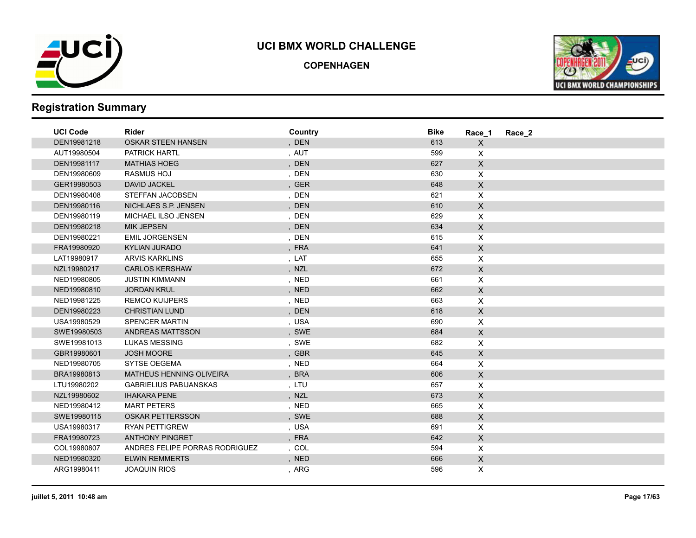

**COPENHAGEN**



| <b>UCI Code</b> | Rider                           | Country | <b>Bike</b> | Race 1                    | Race 2 |
|-----------------|---------------------------------|---------|-------------|---------------------------|--------|
| DEN19981218     | <b>OSKAR STEEN HANSEN</b>       | , DEN   | 613         | $\mathsf{X}$              |        |
| AUT19980504     | <b>PATRICK HARTL</b>            | , AUT   | 599         | $\times$                  |        |
| DEN19981117     | <b>MATHIAS HOEG</b>             | , DEN   | 627         | $\mathsf X$               |        |
| DEN19980609     | <b>RASMUS HOJ</b>               | , DEN   | 630         | $\mathsf{X}$              |        |
| GER19980503     | <b>DAVID JACKEL</b>             | , GER   | 648         | $\mathsf{X}$              |        |
| DEN19980408     | STEFFAN JACOBSEN                | , DEN   | 621         | $\boldsymbol{\mathsf{X}}$ |        |
| DEN19980116     | NICHLAES S.P. JENSEN            | , DEN   | 610         | $\mathsf{X}$              |        |
| DEN19980119     | MICHAEL ILSO JENSEN             | , DEN   | 629         | $\pmb{\times}$            |        |
| DEN19980218     | <b>MIK JEPSEN</b>               | , DEN   | 634         | $\mathsf X$               |        |
| DEN19980221     | <b>EMIL JORGENSEN</b>           | , DEN   | 615         | $\pmb{\times}$            |        |
| FRA19980920     | <b>KYLIAN JURADO</b>            | , FRA   | 641         | $\mathsf X$               |        |
| LAT19980917     | <b>ARVIS KARKLINS</b>           | , LAT   | 655         | $\pmb{\times}$            |        |
| NZL19980217     | <b>CARLOS KERSHAW</b>           | , NZL   | 672         | $\mathsf X$               |        |
| NED19980805     | <b>JUSTIN KIMMANN</b>           | , NED   | 661         | $\pmb{\times}$            |        |
| NED19980810     | <b>JORDAN KRUL</b>              | , NED   | 662         | $\mathsf{X}$              |        |
| NED19981225     | <b>REMCO KUIJPERS</b>           | , NED   | 663         | $\mathsf{X}$              |        |
| DEN19980223     | <b>CHRISTIAN LUND</b>           | , DEN   | 618         | $\mathsf{X}$              |        |
| USA19980529     | <b>SPENCER MARTIN</b>           | , USA   | 690         | $\pmb{\times}$            |        |
| SWE19980503     | ANDREAS MATTSSON                | , SWE   | 684         | $\mathsf X$               |        |
| SWE19981013     | <b>LUKAS MESSING</b>            | , SWE   | 682         | X                         |        |
| GBR19980601     | <b>JOSH MOORE</b>               | , GBR   | 645         | $\mathsf X$               |        |
| NED19980705     | <b>SYTSE OEGEMA</b>             | , NED   | 664         | $\mathsf{X}$              |        |
| BRA19980813     | <b>MATHEUS HENNING OLIVEIRA</b> | , BRA   | 606         | $\mathsf X$               |        |
| LTU19980202     | <b>GABRIELIUS PABIJANSKAS</b>   | , LTU   | 657         | X                         |        |
| NZL19980602     | <b>IHAKARA PENE</b>             | , NZL   | 673         | $\mathsf X$               |        |
| NED19980412     | <b>MART PETERS</b>              | , NED   | 665         | $\mathsf{X}$              |        |
| SWE19980115     | <b>OSKAR PETTERSSON</b>         | , SWE   | 688         | $\mathsf X$               |        |
| USA19980317     | <b>RYAN PETTIGREW</b>           | , USA   | 691         | $\pmb{\times}$            |        |
| FRA19980723     | <b>ANTHONY PINGRET</b>          | , FRA   | 642         | $\mathsf X$               |        |
| COL19980807     | ANDRES FELIPE PORRAS RODRIGUEZ  | , COL   | 594         | $\mathsf{X}$              |        |
| NED19980320     | <b>ELWIN REMMERTS</b>           | , NED   | 666         | $\mathsf{X}$              |        |
| ARG19980411     | <b>JOAQUIN RIOS</b>             | , ARG   | 596         | X                         |        |
|                 |                                 |         |             |                           |        |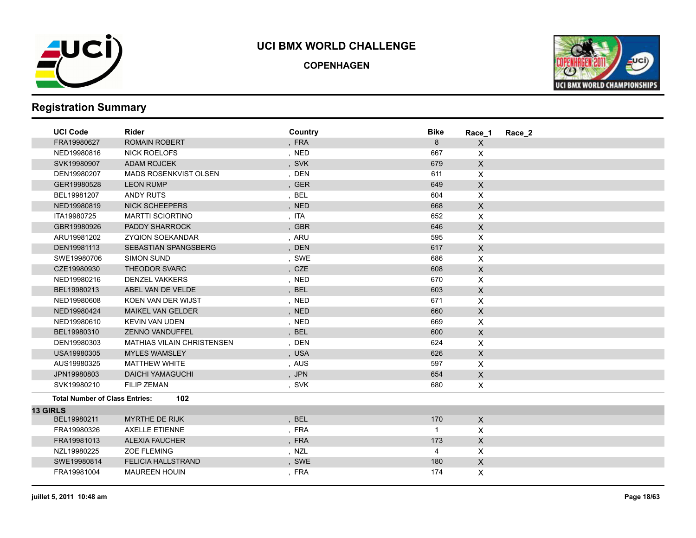

**COPENHAGEN**



| <b>UCI Code</b>                       | <b>Rider</b>                      | Country    | <b>Bike</b>  | Race 1         | Race 2 |
|---------------------------------------|-----------------------------------|------------|--------------|----------------|--------|
| FRA19980627                           | <b>ROMAIN ROBERT</b>              | , FRA      | 8            | $\mathsf{X}$   |        |
| NED19980816                           | <b>NICK ROELOFS</b>               | , NED      | 667          | X              |        |
| SVK19980907                           | <b>ADAM ROJCEK</b>                | , SVK      | 679          | $\mathsf{X}$   |        |
| DEN19980207                           | <b>MADS ROSENKVIST OLSEN</b>      | , DEN      | 611          | X              |        |
| GER19980528                           | <b>LEON RUMP</b>                  | , GER      | 649          | $\mathsf X$    |        |
| BEL19981207                           | <b>ANDY RUTS</b>                  | , BEL      | 604          | X              |        |
| NED19980819                           | <b>NICK SCHEEPERS</b>             | , NED      | 668          | $\mathsf X$    |        |
| ITA19980725                           | <b>MARTTI SCIORTINO</b>           | , ITA      | 652          | X              |        |
| GBR19980926                           | PADDY SHARROCK                    | , GBR      | 646          | $\mathsf{X}$   |        |
| ARU19981202                           | <b>ZYQION SOEKANDAR</b>           | , ARU      | 595          | X              |        |
| DEN19981113                           | <b>SEBASTIAN SPANGSBERG</b>       | DEN        | 617          | $\mathsf X$    |        |
| SWE19980706                           | <b>SIMON SUND</b>                 | , SWE      | 686          | X              |        |
| CZE19980930                           | <b>THEODOR SVARC</b>              | , CZE      | 608          | $\mathsf X$    |        |
| NED19980216                           | <b>DENZEL VAKKERS</b>             | , NED      | 670          | $\pmb{\times}$ |        |
| BEL19980213                           | ABEL VAN DE VELDE                 | ,BEL       | 603          | $\mathsf X$    |        |
| NED19980608                           | KOEN VAN DER WIJST                | , NED      | 671          | $\mathsf{X}$   |        |
| NED19980424                           | <b>MAIKEL VAN GELDER</b>          | , NED      | 660          | $\mathsf{X}$   |        |
| NED19980610                           | <b>KEVIN VAN UDEN</b>             | , NED      | 669          | X              |        |
| BEL19980310                           | <b>ZENNO VANDUFFEL</b>            | , BEL      | 600          | $\mathsf X$    |        |
| DEN19980303                           | <b>MATHIAS VILAIN CHRISTENSEN</b> | , DEN      | 624          | X              |        |
| USA19980305                           | <b>MYLES WAMSLEY</b>              | , USA      | 626          | $\mathsf{X}$   |        |
| AUS19980325                           | <b>MATTHEW WHITE</b>              | , AUS      | 597          | X              |        |
| JPN19980803                           | <b>DAICHI YAMAGUCHI</b>           | , JPN      | 654          | $\mathsf X$    |        |
| SVK19980210                           | <b>FILIP ZEMAN</b>                | , SVK      | 680          | $\mathsf{X}$   |        |
| <b>Total Number of Class Entries:</b> | 102                               |            |              |                |        |
| <b>13 GIRLS</b>                       |                                   |            |              |                |        |
| BEL19980211                           | <b>MYRTHE DE RIJK</b>             | <b>BEL</b> | 170          | $\mathsf{X}$   |        |
| FRA19980326                           | <b>AXELLE ETIENNE</b>             | , FRA      | $\mathbf{1}$ | X              |        |
| FRA19981013                           | <b>ALEXIA FAUCHER</b>             | , FRA      | 173          | $\mathsf{X}$   |        |
| NZL19980225                           | <b>ZOE FLEMING</b>                | , NZL      | 4            | X              |        |
| SWE19980814                           | <b>FELICIA HALLSTRAND</b>         | , SWE      | 180          | $\mathsf{X}$   |        |
| FRA19981004                           | <b>MAUREEN HOUIN</b>              | , FRA      | 174          | X              |        |
|                                       |                                   |            |              |                |        |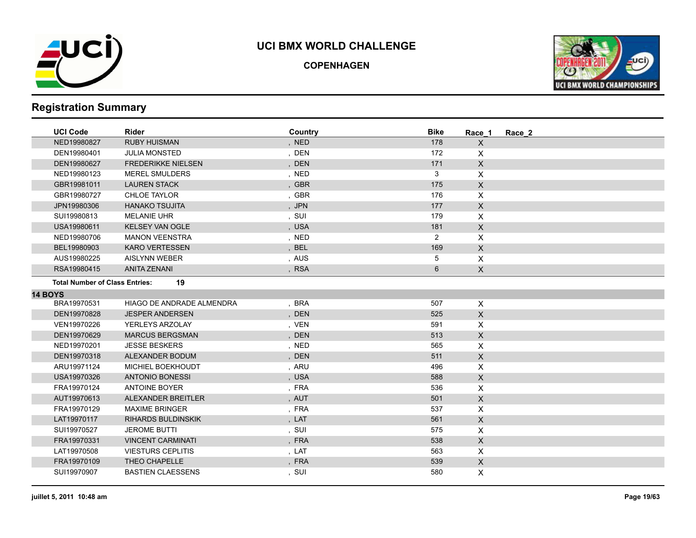

**COPENHAGEN**



| <b>UCI Code</b>                       | Rider                     | Country | <b>Bike</b>    | Race 1                    | Race 2 |
|---------------------------------------|---------------------------|---------|----------------|---------------------------|--------|
| NED19980827                           | <b>RUBY HUISMAN</b>       | , NED   | 178            | X                         |        |
| DEN19980401                           | <b>JULIA MONSTED</b>      | , DEN   | 172            | X                         |        |
| DEN19980627                           | <b>FREDERIKKE NIELSEN</b> | , DEN   | 171            | $\mathsf{X}$              |        |
| NED19980123                           | <b>MEREL SMULDERS</b>     | , NED   | 3              | $\mathsf{X}$              |        |
| GBR19981011                           | <b>LAUREN STACK</b>       | , GBR   | 175            | $\mathsf X$               |        |
| GBR19980727                           | <b>CHLOE TAYLOR</b>       | , GBR   | 176            | X                         |        |
| JPN19980306                           | <b>HANAKO TSUJITA</b>     | , JPN   | 177            | $\mathsf{X}$              |        |
| SUI19980813                           | <b>MELANIE UHR</b>        | , SUI   | 179            | X                         |        |
| USA19980611                           | <b>KELSEY VAN OGLE</b>    | , USA   | 181            | $\pmb{\times}$            |        |
| NED19980706                           | <b>MANON VEENSTRA</b>     | , NED   | $\overline{2}$ | X                         |        |
| BEL19980903                           | <b>KARO VERTESSEN</b>     | , BEL   | 169            | $\pmb{\times}$            |        |
| AUS19980225                           | <b>AISLYNN WEBER</b>      | , AUS   | 5              | X                         |        |
| RSA19980415                           | <b>ANITA ZENANI</b>       | , RSA   | 6              | X                         |        |
| <b>Total Number of Class Entries:</b> | 19                        |         |                |                           |        |
| <b>14 BOYS</b>                        |                           |         |                |                           |        |
| BRA19970531                           | HIAGO DE ANDRADE ALMENDRA | , BRA   | 507            | X                         |        |
| DEN19970828                           | <b>JESPER ANDERSEN</b>    | , DEN   | 525            | $\mathsf{X}$              |        |
| VEN19970226                           | YERLEYS ARZOLAY           | , VEN   | 591            | X                         |        |
| DEN19970629                           | <b>MARCUS BERGSMAN</b>    | , DEN   | 513            | $\mathsf{X}$              |        |
| NED19970201                           | <b>JESSE BESKERS</b>      | , NED   | 565            | X                         |        |
| DEN19970318                           | ALEXANDER BODUM           | , DEN   | 511            | $\mathsf X$               |        |
| ARU19971124                           | MICHIEL BOEKHOUDT         | , ARU   | 496            | X                         |        |
| USA19970326                           | <b>ANTONIO BONESSI</b>    | , USA   | 588            | $\mathsf{X}$              |        |
| FRA19970124                           | <b>ANTOINE BOYER</b>      | , FRA   | 536            | X                         |        |
| AUT19970613                           | ALEXANDER BREITLER        | , AUT   | 501            | X                         |        |
| FRA19970129                           | <b>MAXIME BRINGER</b>     | , FRA   | 537            | $\mathsf{X}$              |        |
| LAT19970117                           | <b>RIHARDS BULDINSKIK</b> | , LAT   | 561            | $\boldsymbol{\mathsf{X}}$ |        |
| SUI19970527                           | <b>JEROME BUTTI</b>       | , SUI   | 575            | X                         |        |
| FRA19970331                           | <b>VINCENT CARMINATI</b>  | , FRA   | 538            | $\mathsf{X}$              |        |
| LAT19970508                           | <b>VIESTURS CEPLITIS</b>  | , LAT   | 563            | X                         |        |
| FRA19970109                           | THEO CHAPELLE             | , FRA   | 539            | $\mathsf{X}$              |        |
| SUI19970907                           | <b>BASTIEN CLAESSENS</b>  | , SUI   | 580            | X                         |        |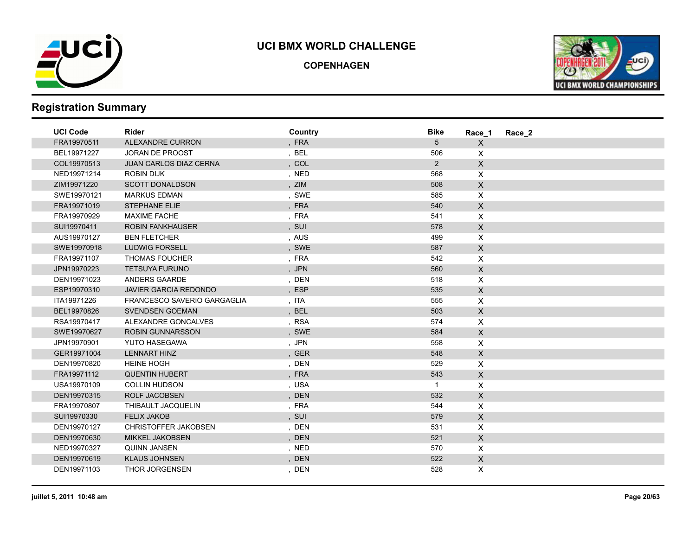

**COPENHAGEN**



| <b>UCI Code</b> | <b>Rider</b>                  | Country | <b>Bike</b>    | Race 1             | Race 2 |
|-----------------|-------------------------------|---------|----------------|--------------------|--------|
| FRA19970511     | ALEXANDRE CURRON              | , FRA   | 5              | $\mathsf{X}$       |        |
| BEL19971227     | <b>JORAN DE PROOST</b>        | , BEL   | 506            | X                  |        |
| COL19970513     | <b>JUAN CARLOS DIAZ CERNA</b> | , $COL$ | $\overline{2}$ | $\mathsf{X}$       |        |
| NED19971214     | <b>ROBIN DIJK</b>             | , NED   | 568            | $\mathsf{X}$       |        |
| ZIM19971220     | <b>SCOTT DONALDSON</b>        | , ZIM   | 508            | $\mathsf{X}$       |        |
| SWE19970121     | <b>MARKUS EDMAN</b>           | , SWE   | 585            | $\mathsf{X}$       |        |
| FRA19971019     | <b>STEPHANE ELIE</b>          | , FRA   | 540            | $\mathsf{X}$       |        |
| FRA19970929     | <b>MAXIME FACHE</b>           | , FRA   | 541            | $\pmb{\times}$     |        |
| SUI19970411     | <b>ROBIN FANKHAUSER</b>       | , SUI   | 578            | $\mathsf X$        |        |
| AUS19970127     | <b>BEN FLETCHER</b>           | , AUS   | 499            | $\mathsf{X}$       |        |
| SWE19970918     | <b>LUDWIG FORSELL</b>         | , SWE   | 587            | $\mathsf X$        |        |
| FRA19971107     | <b>THOMAS FOUCHER</b>         | , FRA   | 542            | $\pmb{\times}$     |        |
| JPN19970223     | <b>TETSUYA FURUNO</b>         | , JPN   | 560            | $\mathsf{X}$       |        |
| DEN19971023     | ANDERS GAARDE                 | , DEN   | 518            | $\pmb{\times}$     |        |
| ESP19970310     | <b>JAVIER GARCIA REDONDO</b>  | , ESP   | 535            | $\mathsf{X}$       |        |
| ITA19971226     | FRANCESCO SAVERIO GARGAGLIA   | , ITA   | 555            | $\pmb{\times}$     |        |
| BEL19970826     | <b>SVENDSEN GOEMAN</b>        | , BEL   | 503            | $\mathsf X$        |        |
| RSA19970417     | ALEXANDRE GONCALVES           | , RSA   | 574            | $\pmb{\times}$     |        |
| SWE19970627     | <b>ROBIN GUNNARSSON</b>       | , SWE   | 584            | $\mathsf{X}$       |        |
| JPN19970901     | <b>YUTO HASEGAWA</b>          | , JPN   | 558            | $\pmb{\times}$     |        |
| GER19971004     | <b>LENNART HINZ</b>           | , GER   | 548            | $\mathsf{X}$       |        |
| DEN19970820     | <b>HEINE HOGH</b>             | , DEN   | 529            | $\mathsf{X}$       |        |
| FRA19971112     | <b>QUENTIN HUBERT</b>         | , FRA   | 543            | $\mathsf{X}$       |        |
| USA19970109     | <b>COLLIN HUDSON</b>          | , USA   | $\mathbf{1}$   | $\pmb{\times}$     |        |
| DEN19970315     | <b>ROLF JACOBSEN</b>          | , DEN   | 532            | $\mathsf X$        |        |
| FRA19970807     | THIBAULT JACQUELIN            | , FRA   | 544            | $\pmb{\mathsf{X}}$ |        |
| SUI19970330     | <b>FELIX JAKOB</b>            | , SUI   | 579            | $\mathsf X$        |        |
| DEN19970127     | <b>CHRISTOFFER JAKOBSEN</b>   | , DEN   | 531            | $\mathsf{X}$       |        |
| DEN19970630     | <b>MIKKEL JAKOBSEN</b>        | , DEN   | 521            | $\mathsf{X}$       |        |
| NED19970327     | <b>QUINN JANSEN</b>           | , NED   | 570            | $\mathsf{X}$       |        |
| DEN19970619     | <b>KLAUS JOHNSEN</b>          | , DEN   | 522            | $\mathsf{X}$       |        |
| DEN19971103     | THOR JORGENSEN                | , DEN   | 528            | X                  |        |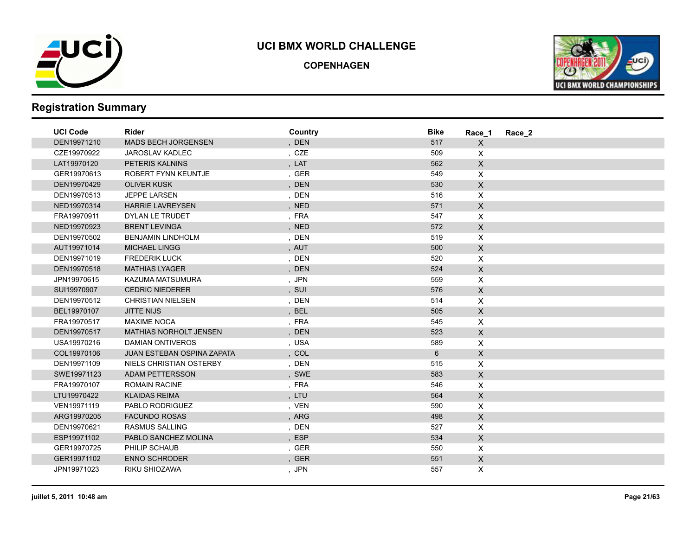

**COPENHAGEN**



| <b>UCI Code</b> | <b>Rider</b>                  | Country | <b>Bike</b>    | Race 1                    | Race 2 |
|-----------------|-------------------------------|---------|----------------|---------------------------|--------|
| DEN19971210     | <b>MADS BECH JORGENSEN</b>    | , DEN   | 517            | $\mathsf{X}$              |        |
| CZE19970922     | <b>JAROSLAV KADLEC</b>        | , CZE   | 509            | $\times$                  |        |
| LAT19970120     | PETERIS KALNINS               | , LAT   | 562            | $\mathsf{X}$              |        |
| GER19970613     | ROBERT FYNN KEUNTJE           | , GER   | 549            | $\mathsf{X}$              |        |
| DEN19970429     | <b>OLIVER KUSK</b>            | , DEN   | 530            | $\mathsf{X}$              |        |
| DEN19970513     | <b>JEPPE LARSEN</b>           | , DEN   | 516            | $\boldsymbol{\mathsf{X}}$ |        |
| NED19970314     | <b>HARRIE LAVREYSEN</b>       | , NED   | 571            | $\mathsf{X}$              |        |
| FRA19970911     | DYLAN LE TRUDET               | , FRA   | 547            | $\pmb{\times}$            |        |
| NED19970923     | <b>BRENT LEVINGA</b>          | , NED   | 572            | $\mathsf X$               |        |
| DEN19970502     | <b>BENJAMIN LINDHOLM</b>      | , DEN   | 519            | $\pmb{\times}$            |        |
| AUT19971014     | <b>MICHAEL LINGG</b>          | , AUT   | 500            | $\mathsf{X}$              |        |
| DEN19971019     | <b>FREDERIK LUCK</b>          | , DEN   | 520            | $\pmb{\times}$            |        |
| DEN19970518     | <b>MATHIAS LYAGER</b>         | , DEN   | 524            | $\mathsf X$               |        |
| JPN19970615     | KAZUMA MATSUMURA              | , JPN   | 559            | $\pmb{\times}$            |        |
| SUI19970907     | <b>CEDRIC NIEDERER</b>        | , SUI   | 576            | $\mathsf{X}$              |        |
| DEN19970512     | <b>CHRISTIAN NIELSEN</b>      | , DEN   | 514            | $\mathsf{X}$              |        |
| BEL19970107     | <b>JITTE NIJS</b>             | , BEL   | 505            | $\mathsf{X}$              |        |
| FRA19970517     | <b>MAXIME NOCA</b>            | , FRA   | 545            | $\pmb{\times}$            |        |
| DEN19970517     | <b>MATHIAS NORHOLT JENSEN</b> | , DEN   | 523            | $\mathsf X$               |        |
| USA19970216     | <b>DAMIAN ONTIVEROS</b>       | , USA   | 589            | X                         |        |
| COL19970106     | JUAN ESTEBAN OSPINA ZAPATA    | , COL   | $6\phantom{1}$ | $\mathsf{X}$              |        |
| DEN19971109     | NIELS CHRISTIAN OSTERBY       | , DEN   | 515            | $\mathsf{X}$              |        |
| SWE19971123     | <b>ADAM PETTERSSON</b>        | , SWE   | 583            | $\mathsf{X}$              |        |
| FRA19970107     | <b>ROMAIN RACINE</b>          | , FRA   | 546            | X                         |        |
| LTU19970422     | <b>KLAIDAS REIMA</b>          | , LTU   | 564            | $\mathsf X$               |        |
| VEN19971119     | PABLO RODRIGUEZ               | , VEN   | 590            | $\mathsf{X}$              |        |
| ARG19970205     | <b>FACUNDO ROSAS</b>          | , ARG   | 498            | $\mathsf X$               |        |
| DEN19970621     | <b>RASMUS SALLING</b>         | , DEN   | 527            | $\pmb{\times}$            |        |
| ESP19971102     | PABLO SANCHEZ MOLINA          | , ESP   | 534            | $\mathsf{X}$              |        |
| GER19970725     | PHILIP SCHAUB                 | , GER   | 550            | $\mathsf{X}$              |        |
| GER19971102     | <b>ENNO SCHRODER</b>          | , GER   | 551            | $\mathsf{X}$              |        |
| JPN19971023     | RIKU SHIOZAWA                 | , JPN   | 557            | X                         |        |
|                 |                               |         |                |                           |        |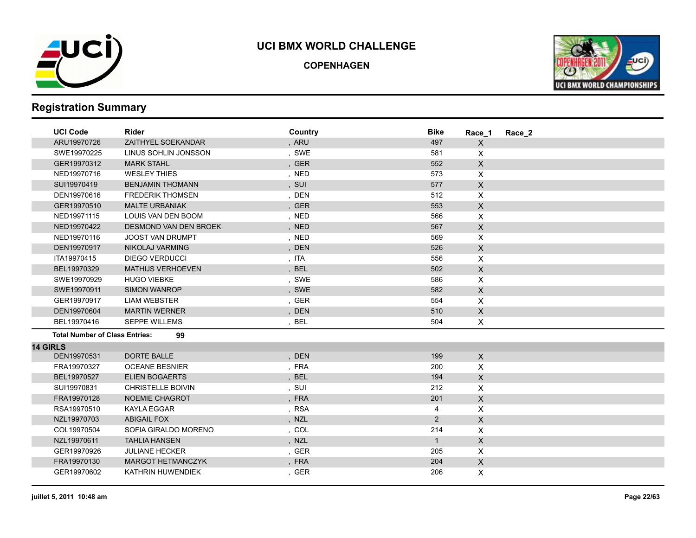

**COPENHAGEN**



| <b>UCI Code</b>                       | Rider                        | Country | <b>Bike</b>    | Race 1                    | Race 2 |
|---------------------------------------|------------------------------|---------|----------------|---------------------------|--------|
| ARU19970726                           | ZAITHYEL SOEKANDAR           | , ARU   | 497            | $\boldsymbol{\mathsf{X}}$ |        |
| SWE19970225                           | LINUS SOHLIN JONSSON         | , SWE   | 581            | X                         |        |
| GER19970312                           | <b>MARK STAHL</b>            | , GER   | 552            | $\mathsf X$               |        |
| NED19970716                           | <b>WESLEY THIES</b>          | , NED   | 573            | $\mathsf{X}$              |        |
| SUI19970419                           | <b>BENJAMIN THOMANN</b>      | , SUI   | 577            | $\mathsf X$               |        |
| DEN19970616                           | <b>FREDERIK THOMSEN</b>      | , DEN   | 512            | X                         |        |
| GER19970510                           | <b>MALTE URBANIAK</b>        | , GER   | 553            | $\pmb{\times}$            |        |
| NED19971115                           | LOUIS VAN DEN BOOM           | , NED   | 566            | X                         |        |
| NED19970422                           | <b>DESMOND VAN DEN BROEK</b> | , NED   | 567            | $\mathsf X$               |        |
| NED19970116                           | <b>JOOST VAN DRUMPT</b>      | , NED   | 569            | $\pmb{\times}$            |        |
| DEN19970917                           | NIKOLAJ VARMING              | , DEN   | 526            | $\boldsymbol{\mathsf{X}}$ |        |
| ITA19970415                           | <b>DIEGO VERDUCCI</b>        | , ITA   | 556            | X                         |        |
| BEL19970329                           | <b>MATHIJS VERHOEVEN</b>     | , BEL   | 502            | $\mathsf{X}$              |        |
| SWE19970929                           | <b>HUGO VIEBKE</b>           | , SWE   | 586            | $\pmb{\times}$            |        |
| SWE19970911                           | <b>SIMON WANROP</b>          | , SWE   | 582            | $\mathsf X$               |        |
| GER19970917                           | <b>LIAM WEBSTER</b>          | , GER   | 554            | $\pmb{\times}$            |        |
| DEN19970604                           | <b>MARTIN WERNER</b>         | , DEN   | 510            | X                         |        |
| BEL19970416                           | <b>SEPPE WILLEMS</b>         | BEL     | 504            | X                         |        |
| <b>Total Number of Class Entries:</b> | 99                           |         |                |                           |        |
| <b>14 GIRLS</b>                       |                              |         |                |                           |        |
| DEN19970531                           | <b>DORTE BALLE</b>           | , DEN   | 199            | $\mathsf X$               |        |
| FRA19970327                           | <b>OCEANE BESNIER</b>        | , FRA   | 200            | X                         |        |
| BEL19970527                           | <b>ELIEN BOGAERTS</b>        | , BEL   | 194            | $\mathsf{X}$              |        |
| SUI19970831                           | <b>CHRISTELLE BOIVIN</b>     | , SUI   | 212            | X                         |        |
| FRA19970128                           | NOEMIE CHAGROT               | , FRA   | 201            | $\mathsf{X}$              |        |
| RSA19970510                           | <b>KAYLA EGGAR</b>           | , RSA   | 4              | X                         |        |
| NZL19970703                           | <b>ABIGAIL FOX</b>           | , NZL   | $\overline{2}$ | $\mathsf X$               |        |
| COL19970504                           | SOFIA GIRALDO MORENO         | , COL   | 214            | X                         |        |
| NZL19970611                           | <b>TAHLIA HANSEN</b>         | , NZL   | $\mathbf{1}$   | $\mathsf X$               |        |
| GER19970926                           | <b>JULIANE HECKER</b>        | , GER   | 205            | X                         |        |
| FRA19970130                           | <b>MARGOT HETMANCZYK</b>     | , FRA   | 204            | X                         |        |
| GER19970602                           | KATHRIN HUWENDIEK            | , GER   | 206            | X                         |        |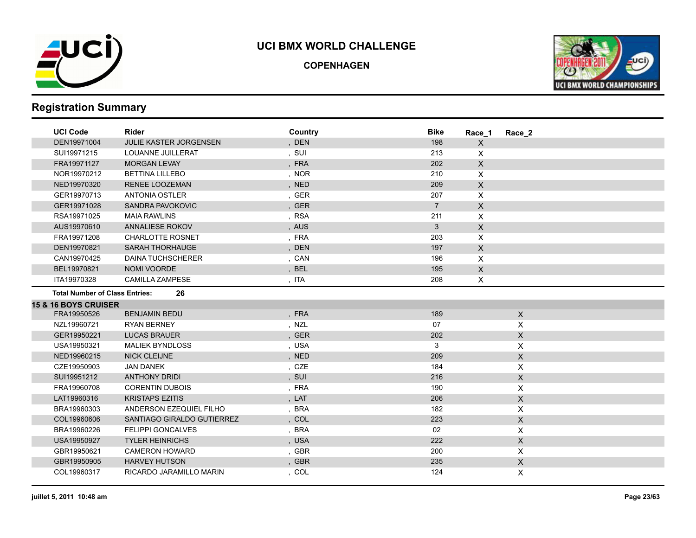

**COPENHAGEN**



| <b>UCI Code</b>                       | Rider                         | Country | <b>Bike</b>    | Race 1         | Race 2                    |  |
|---------------------------------------|-------------------------------|---------|----------------|----------------|---------------------------|--|
| DEN19971004                           | <b>JULIE KASTER JORGENSEN</b> | , DEN   | 198            | X              |                           |  |
| SUI19971215                           | LOUANNE JUILLERAT             | , SUI   | 213            | X              |                           |  |
| FRA19971127                           | <b>MORGAN LEVAY</b>           | , FRA   | 202            | $\mathsf{X}$   |                           |  |
| NOR19970212                           | <b>BETTINA LILLEBO</b>        | , NOR   | 210            | $\pmb{\times}$ |                           |  |
| NED19970320                           | <b>RENEE LOOZEMAN</b>         | , NED   | 209            | $\mathsf X$    |                           |  |
| GER19970713                           | <b>ANTONIA OSTLER</b>         | , GER   | 207            | X              |                           |  |
| GER19971028                           | SANDRA PAVOKOVIC              | , GER   | $\overline{7}$ | X.             |                           |  |
| RSA19971025                           | <b>MAIA RAWLINS</b>           | , RSA   | 211            | X              |                           |  |
| AUS19970610                           | ANNALIESE ROKOV               | , AUS   | 3              | $\pmb{\times}$ |                           |  |
| FRA19971208                           | <b>CHARLOTTE ROSNET</b>       | , FRA   | 203            | X              |                           |  |
| DEN19970821                           | <b>SARAH THORHAUGE</b>        | , DEN   | 197            | $\pmb{\times}$ |                           |  |
| CAN19970425                           | <b>DAINA TUCHSCHERER</b>      | , CAN   | 196            | X              |                           |  |
| BEL19970821                           | NOMI VOORDE                   | , BEL   | 195            | $\mathsf{X}$   |                           |  |
| ITA19970328                           | <b>CAMILLA ZAMPESE</b>        | , ITA   | 208            | X              |                           |  |
| <b>Total Number of Class Entries:</b> | 26                            |         |                |                |                           |  |
| <b>15 &amp; 16 BOYS CRUISER</b>       |                               |         |                |                |                           |  |
| FRA19950526                           | <b>BENJAMIN BEDU</b>          | , FRA   | 189            |                | $\mathsf{X}$              |  |
| NZL19960721                           | <b>RYAN BERNEY</b>            | , NZL   | 07             |                | X                         |  |
| GER19950221                           | <b>LUCAS BRAUER</b>           | , GER   | 202            |                | $\boldsymbol{\mathsf{X}}$ |  |
| USA19950321                           | <b>MALIEK BYNDLOSS</b>        | , USA   | 3              |                | $\pmb{\times}$            |  |
| NED19960215                           | <b>NICK CLEIJNE</b>           | , NED   | 209            |                | $\mathsf X$               |  |
| CZE19950903                           | <b>JAN DANEK</b>              | , CZE   | 184            |                | X                         |  |
| SUI19951212                           | <b>ANTHONY DRIDI</b>          | , SUI   | 216            |                | $\mathsf X$               |  |
| FRA19960708                           | <b>CORENTIN DUBOIS</b>        | , FRA   | 190            |                | $\sf X$                   |  |
| LAT19960316                           | <b>KRISTAPS EZITIS</b>        | , LAT   | 206            |                | $\mathsf{X}$              |  |
| BRA19960303                           | ANDERSON EZEQUIEL FILHO       | , BRA   | 182            |                | $\pmb{\times}$            |  |
| COL19960606                           | SANTIAGO GIRALDO GUTIERREZ    | , COL   | 223            |                | $\mathsf X$               |  |
| BRA19960226                           | <b>FELIPPI GONCALVES</b>      | , BRA   | 02             |                | X                         |  |
| USA19950927                           | <b>TYLER HEINRICHS</b>        | , USA   | 222            |                | $\boldsymbol{\mathsf{X}}$ |  |
| GBR19950621                           | <b>CAMERON HOWARD</b>         | , GBR   | 200            |                | X                         |  |
| GBR19950905                           | <b>HARVEY HUTSON</b>          | , GBR   | 235            |                | $\mathsf X$               |  |
| COL19960317                           | RICARDO JARAMILLO MARIN       | , COL   | 124            |                | X                         |  |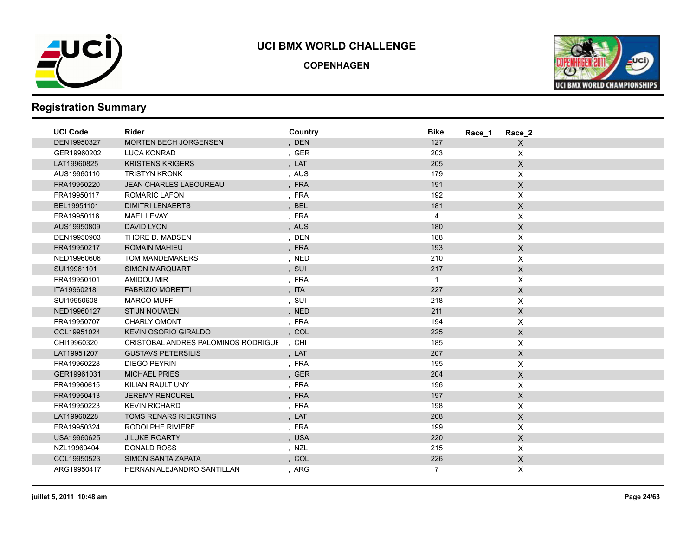

**COPENHAGEN**



| <b>UCI Code</b> | <b>Rider</b>                        | Country | <b>Bike</b><br>Race 1 | Race 2                    |
|-----------------|-------------------------------------|---------|-----------------------|---------------------------|
| DEN19950327     | <b>MORTEN BECH JORGENSEN</b>        | , DEN   | 127                   | $\mathsf{X}$              |
| GER19960202     | <b>LUCA KONRAD</b>                  | , GER   | 203                   | X                         |
| LAT19960825     | <b>KRISTENS KRIGERS</b>             | , LAT   | 205                   | $\pmb{\times}$            |
| AUS19960110     | <b>TRISTYN KRONK</b>                | , AUS   | 179                   | $\mathsf X$               |
| FRA19950220     | <b>JEAN CHARLES LABOUREAU</b>       | , FRA   | 191                   | $\pmb{\times}$            |
| FRA19950117     | <b>ROMARIC LAFON</b>                | , FRA   | 192                   | X                         |
| BEL19951101     | <b>DIMITRI LENAERTS</b>             | , BEL   | 181                   | $\mathsf{X}$              |
| FRA19950116     | <b>MAEL LEVAY</b>                   | , FRA   | $\overline{4}$        | X                         |
| AUS19950809     | <b>DAVID LYON</b>                   | , AUS   | 180                   | $\mathsf X$               |
| DEN19950903     | THORE D. MADSEN                     | , DEN   | 188                   | X                         |
| FRA19950217     | <b>ROMAIN MAHIEU</b>                | , FRA   | 193                   | X                         |
| NED19960606     | TOM MANDEMAKERS                     | , NED   | 210                   | X                         |
| SUI19961101     | <b>SIMON MARQUART</b>               | , SUI   | 217                   | $\boldsymbol{\mathsf{X}}$ |
| FRA19950101     | AMIDOU MIR                          | , FRA   | $\overline{1}$        | X                         |
| ITA19960218     | <b>FABRIZIO MORETTI</b>             | , ITA   | 227                   | X                         |
| SUI19950608     | <b>MARCO MUFF</b>                   | , SUI   | 218                   | X                         |
| NED19960127     | <b>STIJN NOUWEN</b>                 | , NED   | 211                   | $\mathsf X$               |
| FRA19950707     | CHARLY OMONT                        | , FRA   | 194                   | X                         |
| COL19951024     | <b>KEVIN OSORIO GIRALDO</b>         | , COL   | 225                   | $\mathsf X$               |
| CHI19960320     | CRISTOBAL ANDRES PALOMINOS RODRIGUE | , CHI   | 185                   | X                         |
| LAT19951207     | <b>GUSTAVS PETERSILIS</b>           | , LAT   | 207                   | $\mathsf X$               |
| FRA19960228     | <b>DIEGO PEYRIN</b>                 | , FRA   | 195                   | X                         |
| GER19961031     | <b>MICHAEL PRIES</b>                | , GER   | 204                   | $\mathsf X$               |
| FRA19960615     | KILIAN RAULT UNY                    | , FRA   | 196                   | $\mathsf X$               |
| FRA19950413     | <b>JEREMY RENCUREL</b>              | , FRA   | 197                   | $\pmb{\times}$            |
| FRA19950223     | <b>KEVIN RICHARD</b>                | , FRA   | 198                   | X                         |
| LAT19960228     | <b>TOMS RENARS RIEKSTINS</b>        | , LAT   | 208                   | $\mathsf X$               |
| FRA19950324     | RODOLPHE RIVIERE                    | , FRA   | 199                   | X                         |
| USA19960625     | <b>J LUKE ROARTY</b>                | , USA   | 220                   | $\mathsf X$               |
| NZL19960404     | DONALD ROSS                         | , NZL   | 215                   | X                         |
| COL19950523     | <b>SIMON SANTA ZAPATA</b>           | , COL   | 226                   | $\mathsf X$               |
| ARG19950417     | HERNAN ALEJANDRO SANTILLAN          | , ARG   | $\overline{7}$        | X                         |
|                 |                                     |         |                       |                           |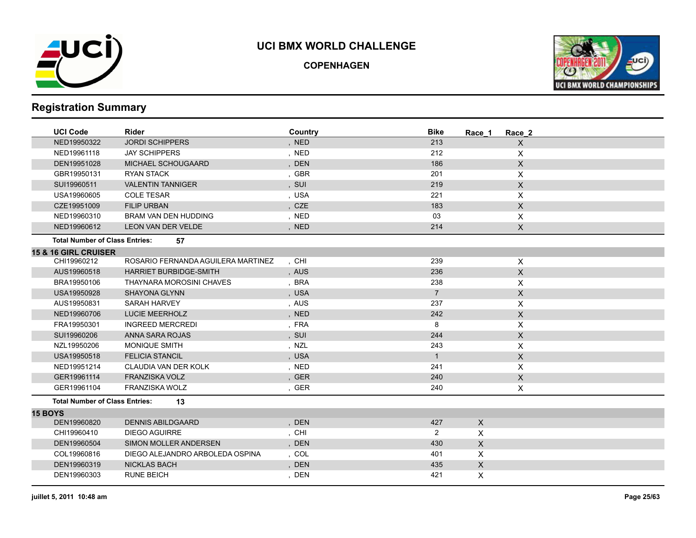

**COPENHAGEN**



| <b>UCI Code</b>                       | <b>Rider</b>                       | Country | <b>Bike</b>    | Race 1                    | Race 2                    |
|---------------------------------------|------------------------------------|---------|----------------|---------------------------|---------------------------|
| NED19950322                           | <b>JORDI SCHIPPERS</b>             | , NED   | 213            |                           | $\mathsf{X}$              |
| NED19961118                           | <b>JAY SCHIPPERS</b>               | , NED   | 212            |                           | X                         |
| DEN19951028                           | MICHAEL SCHOUGAARD                 | , DEN   | 186            |                           | $\mathsf{X}$              |
| GBR19950131                           | <b>RYAN STACK</b>                  | , GBR   | 201            |                           | X                         |
| SUI19960511                           | <b>VALENTIN TANNIGER</b>           | , SUI   | 219            |                           | $\mathsf{X}$              |
| USA19960605                           | <b>COLE TESAR</b>                  | , USA   | 221            |                           | X                         |
| CZE19951009                           | <b>FILIP URBAN</b>                 | , CZE   | 183            |                           | $\mathsf{X}$              |
| NED19960310                           | <b>BRAM VAN DEN HUDDING</b>        | , NED   | 03             |                           | X                         |
| NED19960612                           | LEON VAN DER VELDE                 | , NED   | 214            |                           | $\boldsymbol{\mathsf{X}}$ |
| <b>Total Number of Class Entries:</b> | 57                                 |         |                |                           |                           |
| <b>15 &amp; 16 GIRL CRUISER</b>       |                                    |         |                |                           |                           |
| CHI19960212                           | ROSARIO FERNANDA AGUILERA MARTINEZ | , CHI   | 239            |                           | $\boldsymbol{\mathsf{X}}$ |
| AUS19960518                           | <b>HARRIET BURBIDGE-SMITH</b>      | , AUS   | 236            |                           | $\mathsf X$               |
| BRA19950106                           | THAYNARA MOROSINI CHAVES           | , BRA   | 238            |                           | X                         |
| USA19950928                           | <b>SHAYONA GLYNN</b>               | , USA   | $\overline{7}$ |                           | $\mathsf{X}$              |
| AUS19950831                           | SARAH HARVEY                       | , AUS   | 237            |                           | X                         |
| NED19960706                           | LUCIE MEERHOLZ                     | , NED   | 242            |                           | $\boldsymbol{\mathsf{X}}$ |
| FRA19950301                           | <b>INGREED MERCREDI</b>            | , FRA   | 8              |                           | X                         |
| SUI19960206                           | ANNA SARA ROJAS                    | , SUI   | 244            |                           | $\mathsf{X}$              |
| NZL19950206                           | <b>MONIQUE SMITH</b>               | , NZL   | 243            |                           | X                         |
| USA19950518                           | <b>FELICIA STANCIL</b>             | , USA   | $\mathbf{1}$   |                           | $\mathsf X$               |
| NED19951214                           | CLAUDIA VAN DER KOLK               | , NED   | 241            |                           | X                         |
| GER19961114                           | <b>FRANZISKA VOLZ</b>              | , GER   | 240            |                           | $\mathsf X$               |
| GER19961104                           | FRANZISKA WOLZ                     | , GER   | 240            |                           | X                         |
| <b>Total Number of Class Entries:</b> | 13                                 |         |                |                           |                           |
| <b>15 BOYS</b>                        |                                    |         |                |                           |                           |
| DEN19960820                           | <b>DENNIS ABILDGAARD</b>           | , DEN   | 427            | $\mathsf X$               |                           |
| CHI19960410                           | <b>DIEGO AGUIRRE</b>               | , CHI   | $\overline{2}$ | X                         |                           |
| DEN19960504                           | <b>SIMON MOLLER ANDERSEN</b>       | , DEN   | 430            | $\mathsf{X}$              |                           |
| COL19960816                           | DIEGO ALEJANDRO ARBOLEDA OSPINA    | , COL   | 401            | X                         |                           |
| DEN19960319                           | <b>NICKLAS BACH</b>                | , DEN   | 435            | $\boldsymbol{\mathsf{X}}$ |                           |
| DEN19960303                           | <b>RUNE BEICH</b>                  | , DEN   | 421            | X                         |                           |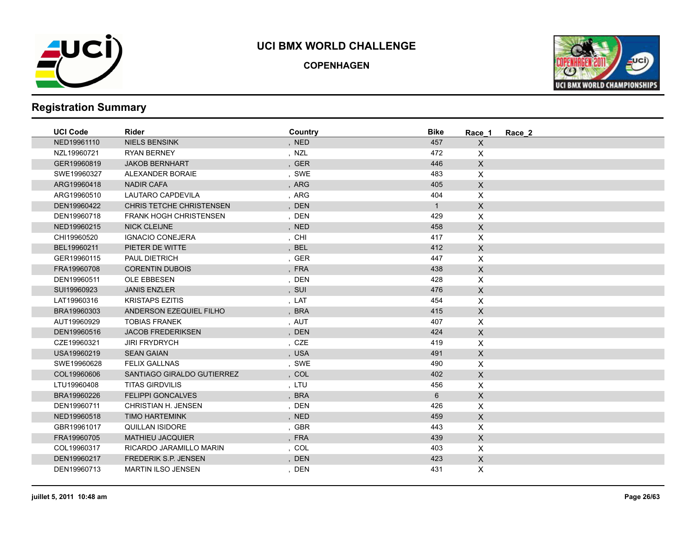

**COPENHAGEN**



| <b>UCI Code</b> | <b>Rider</b>                  | Country | <b>Bike</b>  | Race 1                    | Race 2 |
|-----------------|-------------------------------|---------|--------------|---------------------------|--------|
| NED19961110     | <b>NIELS BENSINK</b>          | , NED   | 457          | $\mathsf X$               |        |
| NZL19960721     | <b>RYAN BERNEY</b>            | , NZL   | 472          | $\mathsf{X}$              |        |
| GER19960819     | <b>JAKOB BERNHART</b>         | , GER   | 446          | $\mathsf X$               |        |
| SWE19960327     | ALEXANDER BORAIE              | , SWE   | 483          | $\mathsf{X}$              |        |
| ARG19960418     | <b>NADIR CAFA</b>             | , ARG   | 405          | $\mathsf{X}$              |        |
| ARG19960510     | LAUTARO CAPDEVILA             | , ARG   | 404          | $\pmb{\times}$            |        |
| DEN19960422     | CHRIS TETCHE CHRISTENSEN      | , DEN   | $\mathbf{1}$ | $\mathsf X$               |        |
| DEN19960718     | <b>FRANK HOGH CHRISTENSEN</b> | , DEN   | 429          | $\mathsf{X}$              |        |
| NED19960215     | <b>NICK CLEIJNE</b>           | , NED   | 458          | $\mathsf X$               |        |
| CHI19960520     | <b>IGNACIO CONEJERA</b>       | , CHI   | 417          | $\mathsf{X}$              |        |
| BEL19960211     | PIETER DE WITTE               | , BEL   | 412          | $\mathsf{X}$              |        |
| GER19960115     | PAUL DIETRICH                 | , GER   | 447          | $\mathsf{X}$              |        |
| FRA19960708     | <b>CORENTIN DUBOIS</b>        | , FRA   | 438          | $\mathsf{X}$              |        |
| DEN19960511     | OLE EBBESEN                   | , DEN   | 428          | $\mathsf{X}$              |        |
| SUI19960923     | <b>JANIS ENZLER</b>           | , SUI   | 476          | $\mathsf{X}$              |        |
| LAT19960316     | <b>KRISTAPS EZITIS</b>        | , LAT   | 454          | X                         |        |
| BRA19960303     | ANDERSON EZEQUIEL FILHO       | , BRA   | 415          | $\mathsf X$               |        |
| AUT19960929     | <b>TOBIAS FRANEK</b>          | , AUT   | 407          | $\mathsf{X}$              |        |
| DEN19960516     | <b>JACOB FREDERIKSEN</b>      | , DEN   | 424          | $\mathsf X$               |        |
| CZE19960321     | <b>JIRI FRYDRYCH</b>          | , CZE   | 419          | X                         |        |
| USA19960219     | <b>SEAN GAIAN</b>             | , USA   | 491          | $\mathsf X$               |        |
| SWE19960628     | <b>FELIX GALLNAS</b>          | , SWE   | 490          | $\boldsymbol{\mathsf{X}}$ |        |
| COL19960606     | SANTIAGO GIRALDO GUTIERREZ    | , COL   | 402          | $\mathsf{X}$              |        |
| LTU19960408     | <b>TITAS GIRDVILIS</b>        | , LTU   | 456          | X                         |        |
| BRA19960226     | <b>FELIPPI GONCALVES</b>      | , BRA   | 6            | $\mathsf X$               |        |
| DEN19960711     | <b>CHRISTIAN H. JENSEN</b>    | , DEN   | 426          | $\pmb{\times}$            |        |
| NED19960518     | <b>TIMO HARTEMINK</b>         | , NED   | 459          | $\mathsf{X}$              |        |
| GBR19961017     | <b>QUILLAN ISIDORE</b>        | , GBR   | 443          | X                         |        |
| FRA19960705     | <b>MATHIEU JACQUIER</b>       | , FRA   | 439          | $\mathsf{X}$              |        |
| COL19960317     | RICARDO JARAMILLO MARIN       | , COL   | 403          | $\mathsf{X}$              |        |
| DEN19960217     | FREDERIK S.P. JENSEN          | , DEN   | 423          | $\mathsf{X}$              |        |
| DEN19960713     | <b>MARTIN ILSO JENSEN</b>     | , DEN   | 431          | X                         |        |
|                 |                               |         |              |                           |        |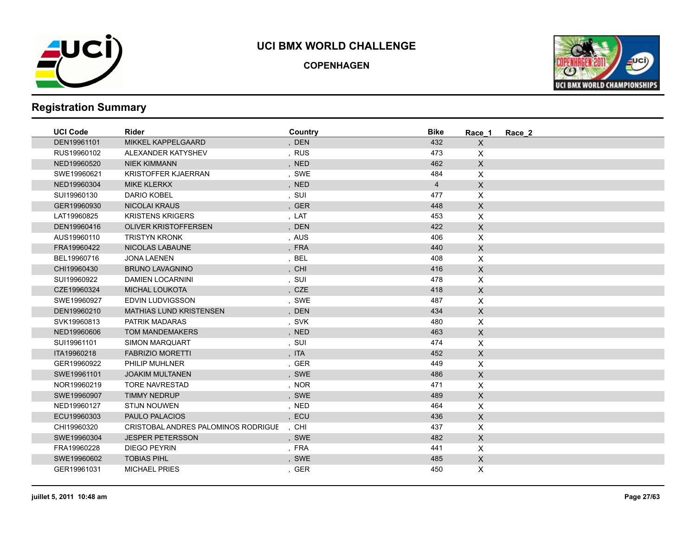

**COPENHAGEN**



| <b>UCI Code</b> | <b>Rider</b>                        | Country | <b>Bike</b>    | Race 1       | Race 2 |
|-----------------|-------------------------------------|---------|----------------|--------------|--------|
| DEN19961101     | <b>MIKKEL KAPPELGAARD</b>           | , DEN   | 432            | X            |        |
| RUS19960102     | ALEXANDER KATYSHEV                  | , RUS   | 473            | X            |        |
| NED19960520     | <b>NIEK KIMMANN</b>                 | , NED   | 462            | $\mathsf{X}$ |        |
| SWE19960621     | <b>KRISTOFFER KJAERRAN</b>          | , SWE   | 484            | X            |        |
| NED19960304     | <b>MIKE KLERKX</b>                  | , NED   | $\overline{4}$ | $\mathsf X$  |        |
| SUI19960130     | <b>DARIO KOBEL</b>                  | , SUI   | 477            | X            |        |
| GER19960930     | <b>NICOLAI KRAUS</b>                | , GER   | 448            | $\mathsf{X}$ |        |
| LAT19960825     | <b>KRISTENS KRIGERS</b>             | , LAT   | 453            | X            |        |
| DEN19960416     | <b>OLIVER KRISTOFFERSEN</b>         | , DEN   | 422            | $\mathsf X$  |        |
| AUS19960110     | <b>TRISTYN KRONK</b>                | , AUS   | 406            | X            |        |
| FRA19960422     | NICOLAS LABAUNE                     | , FRA   | 440            | $\mathsf{X}$ |        |
| BEL19960716     | <b>JONA LAENEN</b>                  | , BEL   | 408            | X            |        |
| CHI19960430     | <b>BRUNO LAVAGNINO</b>              | , CHI   | 416            | $\mathsf X$  |        |
| SUI19960922     | <b>DAMIEN LOCARNINI</b>             | , SUI   | 478            | $\mathsf{X}$ |        |
| CZE19960324     | <b>MICHAL LOUKOTA</b>               | , CZE   | 418            | $\mathsf{X}$ |        |
| SWE19960927     | EDVIN LUDVIGSSON                    | , SWE   | 487            | X            |        |
| DEN19960210     | <b>MATHIAS LUND KRISTENSEN</b>      | , DEN   | 434            | $\mathsf{X}$ |        |
| SVK19960813     | PATRIK MADARAS                      | , SVK   | 480            | X            |        |
| NED19960606     | <b>TOM MANDEMAKERS</b>              | , NED   | 463            | $\mathsf X$  |        |
| SUI19961101     | <b>SIMON MARQUART</b>               | , SUI   | 474            | X            |        |
| ITA19960218     | <b>FABRIZIO MORETTI</b>             | , ITA   | 452            | $\mathsf X$  |        |
| GER19960922     | <b>PHILIP MUHLNER</b>               | , GER   | 449            | X            |        |
| SWE19961101     | <b>JOAKIM MULTANEN</b>              | , SWE   | 486            | $\mathsf{X}$ |        |
| NOR19960219     | <b>TORE NAVRESTAD</b>               | , NOR   | 471            | X            |        |
| SWE19960907     | <b>TIMMY NEDRUP</b>                 | , SWE   | 489            | $\mathsf{X}$ |        |
| NED19960127     | <b>STIJN NOUWEN</b>                 | , NED   | 464            | X            |        |
| ECU19960303     | <b>PAULO PALACIOS</b>               | , ECU   | 436            | $\mathsf{X}$ |        |
| CHI19960320     | CRISTOBAL ANDRES PALOMINOS RODRIGUE | , CHI   | 437            | X            |        |
| SWE19960304     | <b>JESPER PETERSSON</b>             | , SWE   | 482            | $\mathsf{X}$ |        |
| FRA19960228     | <b>DIEGO PEYRIN</b>                 | , FRA   | 441            | X            |        |
| SWE19960602     | <b>TOBIAS PIHL</b>                  | , SWE   | 485            | $\mathsf{X}$ |        |
| GER19961031     | <b>MICHAEL PRIES</b>                | , GER   | 450            | X            |        |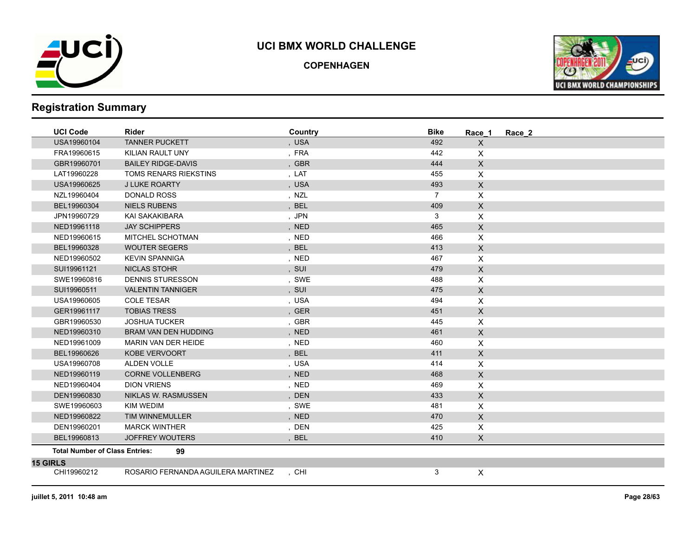

**COPENHAGEN**



| <b>UCI Code</b>                       | <b>Rider</b>                       | Country    | <b>Bike</b>    | Race 1         | Race_2 |
|---------------------------------------|------------------------------------|------------|----------------|----------------|--------|
| USA19960104                           | <b>TANNER PUCKETT</b>              | , USA      | 492            | $\pmb{\times}$ |        |
| FRA19960615                           | KILIAN RAULT UNY                   | , FRA      | 442            | X              |        |
| GBR19960701                           | <b>BAILEY RIDGE-DAVIS</b>          | , GBR      | 444            | $\mathsf{X}$   |        |
| LAT19960228                           | <b>TOMS RENARS RIEKSTINS</b>       | , LAT      | 455            | X              |        |
| USA19960625                           | <b>J LUKE ROARTY</b>               | , USA      | 493            | $\mathsf X$    |        |
| NZL19960404                           | <b>DONALD ROSS</b>                 | , NZL      | $\overline{7}$ | X              |        |
| BEL19960304                           | <b>NIELS RUBENS</b>                | , BEL      | 409            | $\mathsf X$    |        |
| JPN19960729                           | KAI SAKAKIBARA                     | , JPN      | 3              | X              |        |
| NED19961118                           | <b>JAY SCHIPPERS</b>               | , NED      | 465            | X              |        |
| NED19960615                           | MITCHEL SCHOTMAN                   | , NED      | 466            | $\pmb{\times}$ |        |
| BEL19960328                           | <b>WOUTER SEGERS</b>               | , BEL      | 413            | $\mathsf{X}$   |        |
| NED19960502                           | <b>KEVIN SPANNIGA</b>              | , NED      | 467            | X              |        |
| SUI19961121                           | <b>NICLAS STOHR</b>                | , SUI      | 479            | X.             |        |
| SWE19960816                           | <b>DENNIS STURESSON</b>            | , SWE      | 488            | X              |        |
| SUI19960511                           | <b>VALENTIN TANNIGER</b>           | , SUI      | 475            | $\mathsf{X}$   |        |
| USA19960605                           | <b>COLE TESAR</b>                  | , USA      | 494            | X              |        |
| GER19961117                           | <b>TOBIAS TRESS</b>                | , GER      | 451            | $\mathsf{X}$   |        |
| GBR19960530                           | <b>JOSHUA TUCKER</b>               | , GBR      | 445            | X              |        |
| NED19960310                           | <b>BRAM VAN DEN HUDDING</b>        | , NED      | 461            | X              |        |
| NED19961009                           | MARIN VAN DER HEIDE                | , NED      | 460            | X              |        |
| BEL19960626                           | KOBE VERVOORT                      | , BEL      | 411            | $\mathsf X$    |        |
| USA19960708                           | ALDEN VOLLE                        | , USA      | 414            | X              |        |
| NED19960119                           | <b>CORNE VOLLENBERG</b>            | , NED      | 468            | $\mathsf{X}$   |        |
| NED19960404                           | <b>DION VRIENS</b>                 | , NED      | 469            | X              |        |
| DEN19960830                           | <b>NIKLAS W. RASMUSSEN</b>         | , DEN      | 433            | $\mathsf{X}$   |        |
| SWE19960603                           | <b>KIM WEDIM</b>                   | , SWE      | 481            | X              |        |
| NED19960822                           | <b>TIM WINNEMULLER</b>             | , NED      | 470            | X              |        |
| DEN19960201                           | <b>MARCK WINTHER</b>               | , DEN      | 425            | X              |        |
| BEL19960813                           | <b>JOFFREY WOUTERS</b>             | <b>BEL</b> | 410            | X.             |        |
| <b>Total Number of Class Entries:</b> | 99                                 |            |                |                |        |
| <b>15 GIRLS</b>                       |                                    |            |                |                |        |
| CHI19960212                           | ROSARIO FERNANDA AGUILERA MARTINEZ | , CHI      | 3              | X              |        |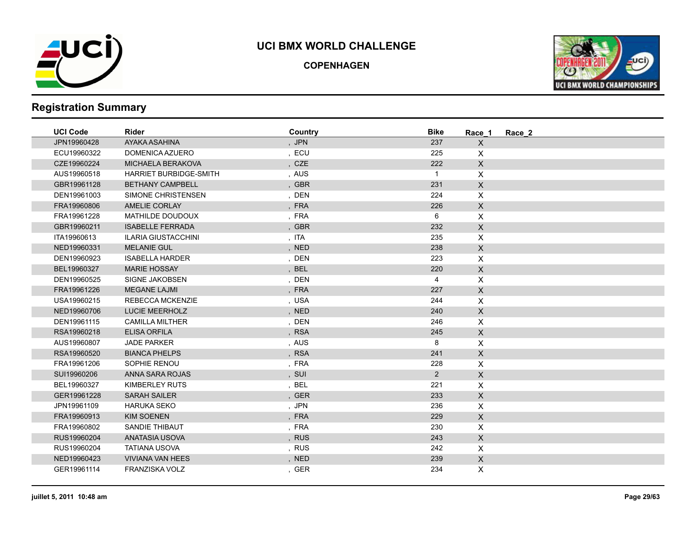

**COPENHAGEN**



| <b>UCI Code</b> | <b>Rider</b>                  | Country | <b>Bike</b>    | Race 1             | Race 2 |
|-----------------|-------------------------------|---------|----------------|--------------------|--------|
| JPN19960428     | AYAKA ASAHINA                 | , JPN   | 237            | $\mathsf X$        |        |
| ECU19960322     | DOMENICA AZUERO               | , ECU   | 225            | $\mathsf{X}$       |        |
| CZE19960224     | MICHAELA BERAKOVA             | , CZE   | 222            | $\mathsf{X}$       |        |
| AUS19960518     | <b>HARRIET BURBIDGE-SMITH</b> | , AUS   | $\mathbf{1}$   | $\pmb{\times}$     |        |
| GBR19961128     | <b>BETHANY CAMPBELL</b>       | , GBR   | 231            | $\mathsf X$        |        |
| DEN19961003     | SIMONE CHRISTENSEN            | , DEN   | 224            | $\pmb{\times}$     |        |
| FRA19960806     | <b>AMELIE CORLAY</b>          | , FRA   | 226            | $\mathsf{X}$       |        |
| FRA19961228     | MATHILDE DOUDOUX              | , FRA   | 6              | $\pmb{\times}$     |        |
| GBR19960211     | <b>ISABELLE FERRADA</b>       | , GBR   | 232            | $\mathsf X$        |        |
| ITA19960613     | <b>ILARIA GIUSTACCHINI</b>    | , ITA   | 235            | $\pmb{\times}$     |        |
| NED19960331     | <b>MELANIE GUL</b>            | , NED   | 238            | $\mathsf X$        |        |
| DEN19960923     | <b>ISABELLA HARDER</b>        | , DEN   | 223            | $\pmb{\mathsf{X}}$ |        |
| BEL19960327     | <b>MARIE HOSSAY</b>           | , BEL   | 220            | $\mathsf X$        |        |
| DEN19960525     | <b>SIGNE JAKOBSEN</b>         | , DEN   | 4              | $\mathsf{X}$       |        |
| FRA19961226     | <b>MEGANE LAJMI</b>           | , FRA   | 227            | $\mathsf{X}$       |        |
| USA19960215     | REBECCA MCKENZIE              | , USA   | 244            | X                  |        |
| NED19960706     | <b>LUCIE MEERHOLZ</b>         | , NED   | 240            | $\mathsf X$        |        |
| DEN19961115     | <b>CAMILLA MILTHER</b>        | , DEN   | 246            | $\pmb{\times}$     |        |
| RSA19960218     | <b>ELISA ORFILA</b>           | , RSA   | 245            | $\mathsf X$        |        |
| AUS19960807     | <b>JADE PARKER</b>            | , AUS   | 8              | X                  |        |
| RSA19960520     | <b>BIANCA PHELPS</b>          | , RSA   | 241            | $\mathsf{X}$       |        |
| FRA19961206     | SOPHIE RENOU                  | , FRA   | 228            | $\mathsf{X}$       |        |
| SUI19960206     | ANNA SARA ROJAS               | , SUI   | $\overline{2}$ | $\mathsf{X}$       |        |
| BEL19960327     | <b>KIMBERLEY RUTS</b>         | ,BEL    | 221            | X                  |        |
| GER19961228     | <b>SARAH SAILER</b>           | , GER   | 233            | $\mathsf X$        |        |
| JPN19961109     | <b>HARUKA SEKO</b>            | , JPN   | 236            | $\pmb{\mathsf{X}}$ |        |
| FRA19960913     | <b>KIM SOENEN</b>             | , FRA   | 229            | $\mathsf X$        |        |
| FRA19960802     | <b>SANDIE THIBAUT</b>         | , FRA   | 230            | $\mathsf{X}$       |        |
| RUS19960204     | ANATASIA USOVA                | , RUS   | 243            | $\mathsf X$        |        |
| RUS19960204     | <b>TATIANA USOVA</b>          | , RUS   | 242            | $\mathsf{X}$       |        |
| NED19960423     | <b>VIVIANA VAN HEES</b>       | , NED   | 239            | $\mathsf{X}$       |        |
| GER19961114     | FRANZISKA VOLZ                | , GER   | 234            | $\mathsf{X}$       |        |
|                 |                               |         |                |                    |        |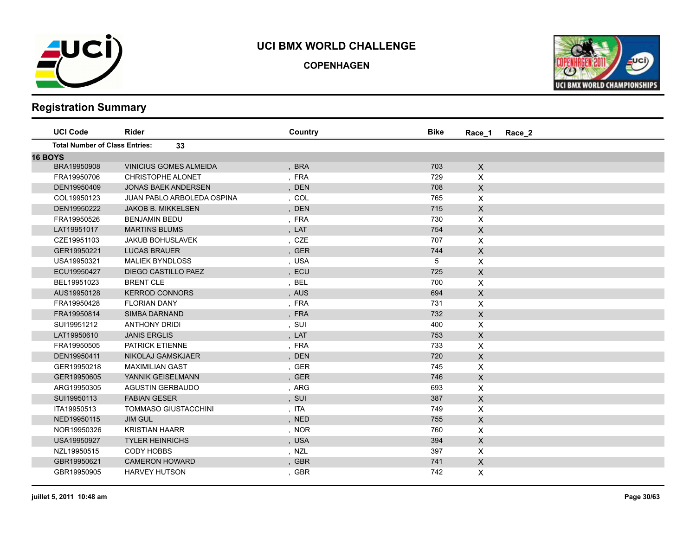

**COPENHAGEN**



| <b>UCI Code</b>                       | <b>Rider</b>                      | Country | <b>Bike</b> | Race_2<br>Race 1          |  |
|---------------------------------------|-----------------------------------|---------|-------------|---------------------------|--|
| <b>Total Number of Class Entries:</b> | 33                                |         |             |                           |  |
| <b>16 BOYS</b>                        |                                   |         |             |                           |  |
| BRA19950908                           | <b>VINICIUS GOMES ALMEIDA</b>     | , BRA   | 703         | $\times$                  |  |
| FRA19950706                           | <b>CHRISTOPHE ALONET</b>          | , FRA   | 729         | X                         |  |
| DEN19950409                           | <b>JONAS BAEK ANDERSEN</b>        | , DEN   | 708         | $\pmb{\times}$            |  |
| COL19950123                           | <b>JUAN PABLO ARBOLEDA OSPINA</b> | , COL   | 765         | X                         |  |
| DEN19950222                           | <b>JAKOB B. MIKKELSEN</b>         | , DEN   | 715         | $\pmb{\times}$            |  |
| FRA19950526                           | <b>BENJAMIN BEDU</b>              | , FRA   | 730         | X                         |  |
| LAT19951017                           | <b>MARTINS BLUMS</b>              | , LAT   | 754         | $\mathsf{x}$              |  |
| CZE19951103                           | JAKUB BOHUSLAVEK                  | , CZE   | 707         | X                         |  |
| GER19950221                           | <b>LUCAS BRAUER</b>               | , GER   | 744         | $\boldsymbol{\mathsf{X}}$ |  |
| USA19950321                           | <b>MALIEK BYNDLOSS</b>            | , USA   | 5           | X                         |  |
| ECU19950427                           | DIEGO CASTILLO PAEZ               | , ECU   | 725         | X                         |  |
| BEL19951023                           | <b>BRENT CLE</b>                  | , BEL   | 700         | X                         |  |
| AUS19950128                           | <b>KERROD CONNORS</b>             | , AUS   | 694         | $\pmb{\times}$            |  |
| FRA19950428                           | <b>FLORIAN DANY</b>               | , FRA   | 731         | X                         |  |
| FRA19950814                           | <b>SIMBA DARNAND</b>              | , FRA   | 732         | $\mathsf X$               |  |
| SUI19951212                           | <b>ANTHONY DRIDI</b>              | , SUI   | 400         | X                         |  |
| LAT19950610                           | <b>JANIS ERGLIS</b>               | , LAT   | 753         | $\pmb{\times}$            |  |
| FRA19950505                           | PATRICK ETIENNE                   | , FRA   | 733         | X                         |  |
| DEN19950411                           | NIKOLAJ GAMSKJAER                 | , DEN   | 720         | $\mathsf X$               |  |
| GER19950218                           | <b>MAXIMILIAN GAST</b>            | , GER   | 745         | X                         |  |
| GER19950605                           | YANNIK GEISELMANN                 | , GER   | 746         | X                         |  |
| ARG19950305                           | <b>AGUSTIN GERBAUDO</b>           | , ARG   | 693         | X                         |  |
| SUI19950113                           | <b>FABIAN GESER</b>               | , SUI   | 387         | X                         |  |
| ITA19950513                           | <b>TOMMASO GIUSTACCHINI</b>       | , ITA   | 749         | X                         |  |
| NED19950115                           | <b>JIM GUL</b>                    | , NED   | 755         | $\mathsf{X}$              |  |
| NOR19950326                           | <b>KRISTIAN HAARR</b>             | , NOR   | 760         | X                         |  |
| USA19950927                           | <b>TYLER HEINRICHS</b>            | , USA   | 394         | $\boldsymbol{\mathsf{X}}$ |  |
| NZL19950515                           | <b>CODY HOBBS</b>                 | , NZL   | 397         | X                         |  |
| GBR19950621                           | <b>CAMERON HOWARD</b>             | , GBR   | 741         | $\mathsf{X}$              |  |
| GBR19950905                           | <b>HARVEY HUTSON</b>              | , GBR   | 742         | X                         |  |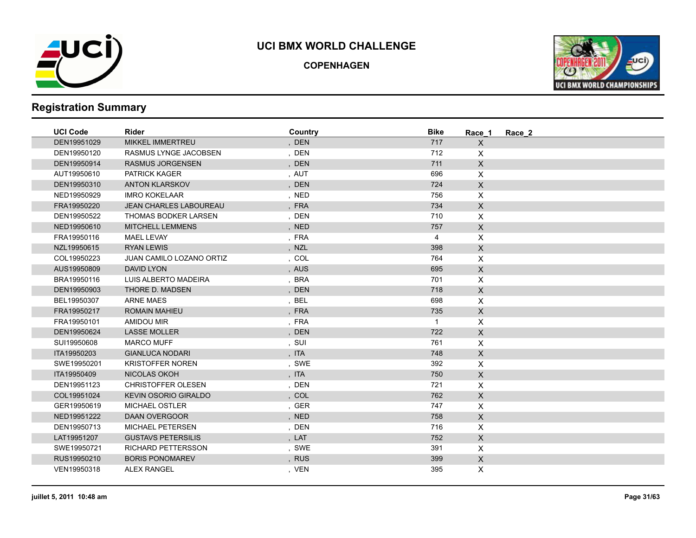

**COPENHAGEN**



| <b>UCI Code</b> | <b>Rider</b>                  | Country | <b>Bike</b>  | Race 1             | Race 2 |
|-----------------|-------------------------------|---------|--------------|--------------------|--------|
| DEN19951029     | <b>MIKKEL IMMERTREU</b>       | , DEN   | 717          | $\mathsf{X}$       |        |
| DEN19950120     | RASMUS LYNGE JACOBSEN         | , DEN   | 712          | $\times$           |        |
| DEN19950914     | <b>RASMUS JORGENSEN</b>       | , DEN   | 711          | $\mathsf X$        |        |
| AUT19950610     | PATRICK KAGER                 | , AUT   | 696          | $\mathsf{X}$       |        |
| DEN19950310     | <b>ANTON KLARSKOV</b>         | , DEN   | 724          | $\mathsf{X}$       |        |
| NED19950929     | <b>IMRO KOKELAAR</b>          | , NED   | 756          | $\mathsf{X}$       |        |
| FRA19950220     | <b>JEAN CHARLES LABOUREAU</b> | , FRA   | 734          | $\mathsf{X}$       |        |
| DEN19950522     | THOMAS BODKER LARSEN          | , DEN   | 710          | $\mathsf{X}$       |        |
| NED19950610     | <b>MITCHELL LEMMENS</b>       | , NED   | 757          | $\mathsf X$        |        |
| FRA19950116     | <b>MAEL LEVAY</b>             | , FRA   | 4            | $\mathsf{X}$       |        |
| NZL19950615     | <b>RYAN LEWIS</b>             | , NZL   | 398          | $\mathsf{X}$       |        |
| COL19950223     | JUAN CAMILO LOZANO ORTIZ      | , COL   | 764          | $\mathsf{X}$       |        |
| AUS19950809     | DAVID LYON                    | , AUS   | 695          | $\mathsf X$        |        |
| BRA19950116     | LUIS ALBERTO MADEIRA          | , BRA   | 701          | $\mathsf{X}$       |        |
| DEN19950903     | THORE D. MADSEN               | , DEN   | 718          | $\mathsf{X}$       |        |
| BEL19950307     | <b>ARNE MAES</b>              | , BEL   | 698          | $\mathsf{X}$       |        |
| FRA19950217     | <b>ROMAIN MAHIEU</b>          | , FRA   | 735          | $\mathsf{X}$       |        |
| FRA19950101     | AMIDOU MIR                    | , FRA   | $\mathbf{1}$ | $\pmb{\mathsf{X}}$ |        |
| DEN19950624     | <b>LASSE MOLLER</b>           | , DEN   | 722          | $\mathsf X$        |        |
| SUI19950608     | <b>MARCO MUFF</b>             | , SUI   | 761          | X                  |        |
| ITA19950203     | <b>GIANLUCA NODARI</b>        | , ITA   | 748          | $\mathsf{X}$       |        |
| SWE19950201     | <b>KRISTOFFER NOREN</b>       | , SWE   | 392          | $\mathsf{X}$       |        |
| ITA19950409     | NICOLAS OKOH                  | , ITA   | 750          | $\mathsf{X}$       |        |
| DEN19951123     | <b>CHRISTOFFER OLESEN</b>     | , DEN   | 721          | X                  |        |
| COL19951024     | <b>KEVIN OSORIO GIRALDO</b>   | , COL   | 762          | $\mathsf{X}$       |        |
| GER19950619     | MICHAEL OSTLER                | , GER   | 747          | $\mathsf{X}$       |        |
| NED19951222     | <b>DAAN OVERGOOR</b>          | , NED   | 758          | $\mathsf X$        |        |
| DEN19950713     | <b>MICHAEL PETERSEN</b>       | , DEN   | 716          | X                  |        |
| LAT19951207     | <b>GUSTAVS PETERSILIS</b>     | , LAT   | 752          | $\mathsf X$        |        |
| SWE19950721     | <b>RICHARD PETTERSSON</b>     | , SWE   | 391          | $\mathsf{X}$       |        |
| RUS19950210     | <b>BORIS PONOMAREV</b>        | , RUS   | 399          | $\mathsf{X}$       |        |
| VEN19950318     | <b>ALEX RANGEL</b>            | , VEN   | 395          | X                  |        |
|                 |                               |         |              |                    |        |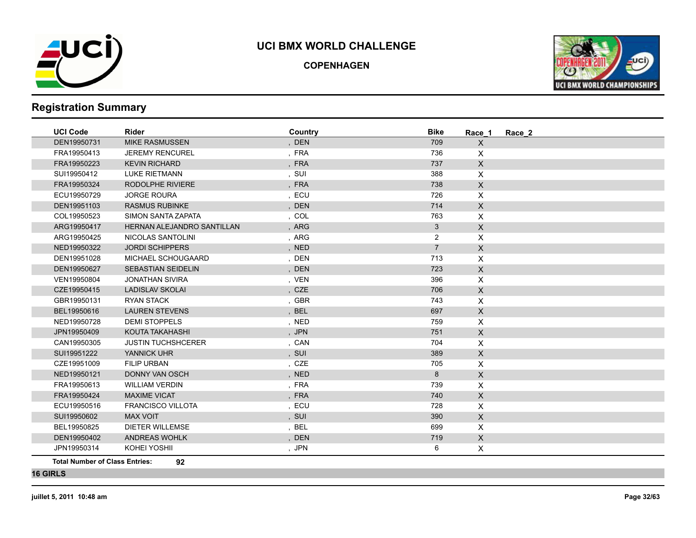

**COPENHAGEN**



# **Registration Summary**

| <b>UCI Code</b> | <b>Rider</b>               | Country | <b>Bike</b>    | Race_1         | Race 2 |  |
|-----------------|----------------------------|---------|----------------|----------------|--------|--|
| DEN19950731     | <b>MIKE RASMUSSEN</b>      | , DEN   | 709            | $\mathsf{X}$   |        |  |
| FRA19950413     | <b>JEREMY RENCUREL</b>     | , FRA   | 736            | X              |        |  |
| FRA19950223     | <b>KEVIN RICHARD</b>       | , FRA   | 737            | $\mathsf{X}$   |        |  |
| SUI19950412     | <b>LUKE RIETMANN</b>       | , SUI   | 388            | X              |        |  |
| FRA19950324     | RODOLPHE RIVIERE           | , FRA   | 738            | $\mathsf{X}$   |        |  |
| ECU19950729     | <b>JORGE ROURA</b>         | , ECU   | 726            | X              |        |  |
| DEN19951103     | <b>RASMUS RUBINKE</b>      | , DEN   | 714            | $\mathsf{X}$   |        |  |
| COL19950523     | SIMON SANTA ZAPATA         | , COL   | 763            | X              |        |  |
| ARG19950417     | HERNAN ALEJANDRO SANTILLAN | , ARG   | 3              | $\mathsf X$    |        |  |
| ARG19950425     | NICOLAS SANTOLINI          | , ARG   | $\overline{2}$ | X              |        |  |
| NED19950322     | <b>JORDI SCHIPPERS</b>     | , NED   | $\overline{7}$ | $\mathsf{X}$   |        |  |
| DEN19951028     | MICHAEL SCHOUGAARD         | , DEN   | 713            | X              |        |  |
| DEN19950627     | <b>SEBASTIAN SEIDELIN</b>  | , DEN   | 723            | $\mathsf X$    |        |  |
| VEN19950804     | <b>JONATHAN SIVIRA</b>     | , VEN   | 396            | $\mathsf{X}$   |        |  |
| CZE19950415     | <b>LADISLAV SKOLAI</b>     | , CZE   | 706            | $\mathsf{X}$   |        |  |
| GBR19950131     | <b>RYAN STACK</b>          | , GBR   | 743            | X              |        |  |
| BEL19950616     | <b>LAUREN STEVENS</b>      | , BEL   | 697            | $\mathsf{X}$   |        |  |
| NED19950728     | <b>DEMI STOPPELS</b>       | , NED   | 759            | X              |        |  |
| JPN19950409     | KOUTA TAKAHASHI            | , JPN   | 751            | $\mathsf X$    |        |  |
| CAN19950305     | <b>JUSTIN TUCHSHCERER</b>  | , CAN   | 704            | X              |        |  |
| SUI19951222     | YANNICK UHR                | , SUI   | 389            | $\mathsf{X}$   |        |  |
| CZE19951009     | <b>FILIP URBAN</b>         | , CZE   | 705            | X              |        |  |
| NED19950121     | <b>DONNY VAN OSCH</b>      | , NED   | 8              | $\mathsf X$    |        |  |
| FRA19950613     | <b>WILLIAM VERDIN</b>      | , FRA   | 739            | $\pmb{\times}$ |        |  |
| FRA19950424     | <b>MAXIME VICAT</b>        | , FRA   | 740            | $\mathsf{X}$   |        |  |
| ECU19950516     | <b>FRANCISCO VILLOTA</b>   | , ECU   | 728            | X              |        |  |
| SUI19950602     | <b>MAX VOIT</b>            | , SUI   | 390            | $\mathsf{X}$   |        |  |
| BEL19950825     | DIETER WILLEMSE            | , BEL   | 699            | X              |        |  |
| DEN19950402     | ANDREAS WOHLK              | , DEN   | 719            | $\mathsf{X}$   |        |  |
| JPN19950314     | KOHEI YOSHII               | , JPN   | 6              | X              |        |  |

**Total Number of Class Entries: 92**

**16 GIRLS**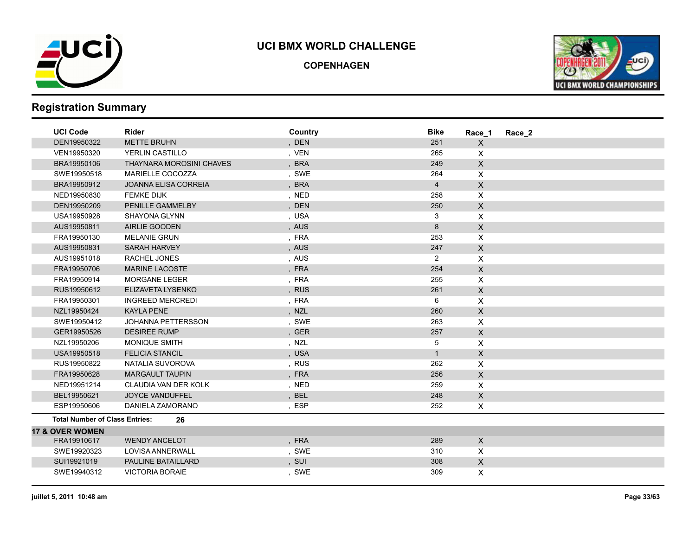

**COPENHAGEN**



| <b>UCI Code</b>                       | Rider                           | Country | <b>Bike</b>    | Race 1                    | Race 2 |
|---------------------------------------|---------------------------------|---------|----------------|---------------------------|--------|
| DEN19950322                           | <b>METTE BRUHN</b>              | , DEN   | 251            | X                         |        |
| VEN19950320                           | YERLIN CASTILLO                 | , VEN   | 265            | X                         |        |
| BRA19950106                           | <b>THAYNARA MOROSINI CHAVES</b> | , BRA   | 249            | X                         |        |
| SWE19950518                           | MARIELLE COCOZZA                | , SWE   | 264            | X                         |        |
| BRA19950912                           | <b>JOANNA ELISA CORREIA</b>     | , BRA   | $\overline{4}$ | $\mathsf{X}$              |        |
| NED19950830                           | <b>FEMKE DIJK</b>               | , NED   | 258            | X                         |        |
| DEN19950209                           | PENILLE GAMMELBY                | , DEN   | 250            | X                         |        |
| USA19950928                           | <b>SHAYONA GLYNN</b>            | , USA   | 3              | X                         |        |
| AUS19950811                           | AIRLIE GOODEN                   | , AUS   | 8              | $\pmb{\times}$            |        |
| FRA19950130                           | <b>MELANIE GRUN</b>             | , FRA   | 253            | X                         |        |
| AUS19950831                           | <b>SARAH HARVEY</b>             | , AUS   | 247            | $\pmb{\times}$            |        |
| AUS19951018                           | RACHEL JONES                    | , AUS   | $\overline{2}$ | X                         |        |
| FRA19950706                           | <b>MARINE LACOSTE</b>           | , FRA   | 254            | $\pmb{\times}$            |        |
| FRA19950914                           | <b>MORGANE LEGER</b>            | , FRA   | 255            | X                         |        |
| RUS19950612                           | ELIZAVETA LYSENKO               | , RUS   | 261            | $\mathsf{X}$              |        |
| FRA19950301                           | <b>INGREED MERCREDI</b>         | , FRA   | 6              | X                         |        |
| NZL19950424                           | <b>KAYLA PENE</b>               | , NZL   | 260            | $\mathsf{X}$              |        |
| SWE19950412                           | JOHANNA PETTERSSON              | , SWE   | 263            | X                         |        |
| GER19950526                           | <b>DESIREE RUMP</b>             | , GER   | 257            | $\boldsymbol{\mathsf{X}}$ |        |
| NZL19950206                           | MONIQUE SMITH                   | , NZL   | 5              | X                         |        |
| USA19950518                           | <b>FELICIA STANCIL</b>          | , USA   | $\mathbf{1}$   | $\boldsymbol{\mathsf{X}}$ |        |
| RUS19950822                           | NATALIA SUVOROVA                | , RUS   | 262            | X                         |        |
| FRA19950628                           | <b>MARGAULT TAUPIN</b>          | , FRA   | 256            | X                         |        |
| NED19951214                           | CLAUDIA VAN DER KOLK            | , NED   | 259            | X                         |        |
| BEL19950621                           | <b>JOYCE VANDUFFEL</b>          | , BEL   | 248            | $\mathsf{X}$              |        |
| ESP19950606                           | DANIELA ZAMORANO                | , ESP   | 252            | $\pmb{\mathsf{X}}$        |        |
| <b>Total Number of Class Entries:</b> | 26                              |         |                |                           |        |
| <b>17 &amp; OVER WOMEN</b>            |                                 |         |                |                           |        |
| FRA19910617                           | <b>WENDY ANCELOT</b>            | , FRA   | 289            | $\mathsf{X}$              |        |
| SWE19920323                           | LOVISA ANNERWALL                | , SWE   | 310            | X                         |        |
| SUI19921019                           | PAULINE BATAILLARD              | , SUI   | 308            | $\mathsf X$               |        |
| SWE19940312                           | <b>VICTORIA BORAIE</b>          | , SWE   | 309            | X                         |        |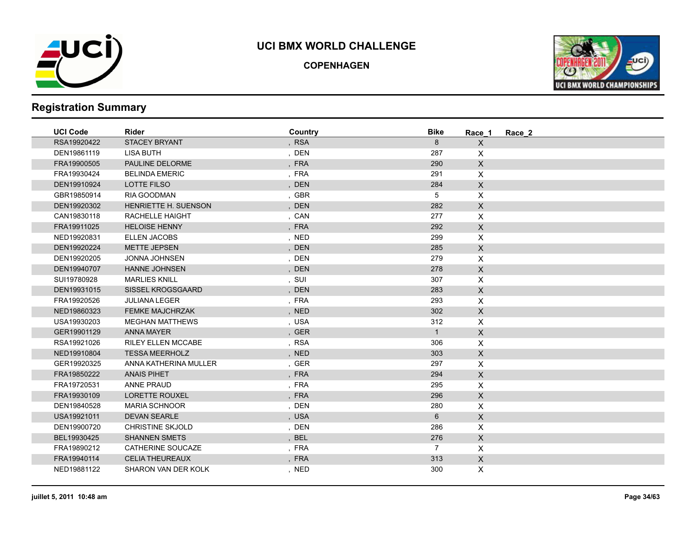

**COPENHAGEN**



| <b>UCI Code</b> | <b>Rider</b>            | Country | <b>Bike</b>    | Race 1         | Race 2 |
|-----------------|-------------------------|---------|----------------|----------------|--------|
| RSA19920422     | <b>STACEY BRYANT</b>    | , RSA   | 8              | $\mathsf{X}$   |        |
| DEN19861119     | <b>LISA BUTH</b>        | , DEN   | 287            | $\mathsf{X}$   |        |
| FRA19900505     | PAULINE DELORME         | , FRA   | 290            | $\mathsf{X}$   |        |
| FRA19930424     | <b>BELINDA EMERIC</b>   | , FRA   | 291            | $\mathsf{X}$   |        |
| DEN19910924     | LOTTE FILSO             | , DEN   | 284            | $\mathsf{X}$   |        |
| GBR19850914     | RIA GOODMAN             | , GBR   | 5              | $\mathsf{X}$   |        |
| DEN19920302     | HENRIETTE H. SUENSON    | , DEN   | 282            | $\mathsf{X}$   |        |
| CAN19830118     | RACHELLE HAIGHT         | , CAN   | 277            | $\mathsf{X}$   |        |
| FRA19911025     | <b>HELOISE HENNY</b>    | , FRA   | 292            | $\mathsf{X}$   |        |
| NED19920831     | <b>ELLEN JACOBS</b>     | , NED   | 299            | $\mathsf{X}$   |        |
| DEN19920224     | <b>METTE JEPSEN</b>     | , DEN   | 285            | $\mathsf X$    |        |
| DEN19920205     | JONNA JOHNSEN           | , DEN   | 279            | $\pmb{\times}$ |        |
| DEN19940707     | <b>HANNE JOHNSEN</b>    | , DEN   | 278            | $\mathsf X$    |        |
| SUI19780928     | <b>MARLIES KNILL</b>    | , SUI   | 307            | X              |        |
| DEN19931015     | SISSEL KROGSGAARD       | , DEN   | 283            | $\mathsf{X}$   |        |
| FRA19920526     | <b>JULIANA LEGER</b>    | , FRA   | 293            | $\mathsf{X}$   |        |
| NED19860323     | <b>FEMKE MAJCHRZAK</b>  | , NED   | 302            | $\mathsf X$    |        |
| USA19930203     | <b>MEGHAN MATTHEWS</b>  | , USA   | 312            | $\mathsf{X}$   |        |
| GER19901129     | ANNA MAYER              | , GER   | $\mathbf{1}$   | $\mathsf{X}$   |        |
| RSA19921026     | RILEY ELLEN MCCABE      | , RSA   | 306            | $\mathsf X$    |        |
| NED19910804     | <b>TESSA MEERHOLZ</b>   | , NED   | 303            | $\mathsf{X}$   |        |
| GER19920325     | ANNA KATHERINA MULLER   | , GER   | 297            | $\mathsf{X}$   |        |
| FRA19850222     | <b>ANAIS PIHET</b>      | , FRA   | 294            | $\mathsf X$    |        |
| FRA19720531     | ANNE PRAUD              | , FRA   | 295            | $\mathsf X$    |        |
| FRA19930109     | <b>LORETTE ROUXEL</b>   | , FRA   | 296            | $\mathsf X$    |        |
| DEN19840528     | <b>MARIA SCHNOOR</b>    | , DEN   | 280            | $\mathsf X$    |        |
| USA19921011     | <b>DEVAN SEARLE</b>     | , USA   | 6              | $\mathsf X$    |        |
| DEN19900720     | <b>CHRISTINE SKJOLD</b> | , DEN   | 286            | $\mathsf{X}$   |        |
| BEL19930425     | <b>SHANNEN SMETS</b>    | , BEL   | 276            | $\mathsf{X}$   |        |
| FRA19890212     | CATHERINE SOUCAZE       | , FRA   | $\overline{7}$ | $\mathsf{X}$   |        |
| FRA19940114     | <b>CELIA THEUREAUX</b>  | , FRA   | 313            | $\mathsf{X}$   |        |
| NED19881122     | SHARON VAN DER KOLK     | , NED   | 300            | X.             |        |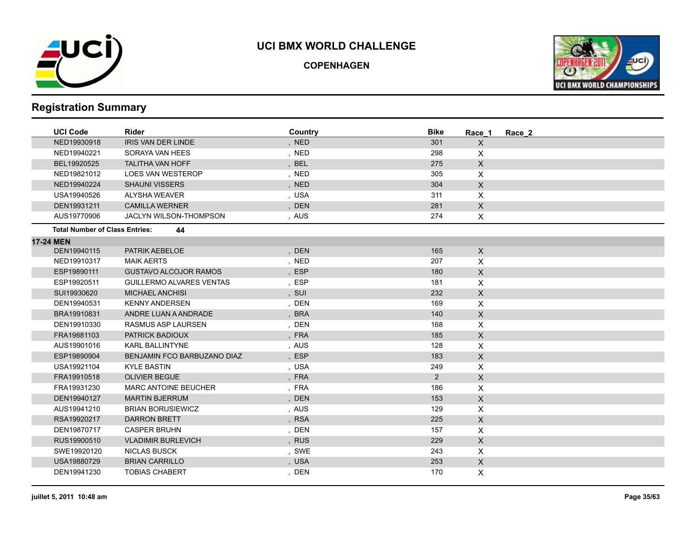

**COPENHAGEN**



| <b>UCI Code</b>                       | <b>Rider</b>                    | Country    | <b>Bike</b> | Race 1                    | Race 2 |
|---------------------------------------|---------------------------------|------------|-------------|---------------------------|--------|
| NED19930918                           | IRIS VAN DER LINDE              | , NED      | 301         | X                         |        |
| NED19940221                           | SORAYA VAN HEES                 | , NED      | 298         | X                         |        |
| BEL19920525                           | <b>TALITHA VAN HOFF</b>         | , BEL      | 275         | $\mathsf{X}$              |        |
| NED19821012                           | LOES VAN WESTEROP               | , NED      | 305         | X                         |        |
| NED19940224                           | <b>SHAUNI VISSERS</b>           | , NED      | 304         | $\mathsf{X}$              |        |
| USA19940526                           | <b>ALYSHA WEAVER</b>            | , USA      | 311         | X                         |        |
| DEN19931211                           | <b>CAMILLA WERNER</b>           | , DEN      | 281         | X                         |        |
| AUS19770906                           | JACLYN WILSON-THOMPSON          | , AUS      | 274         | X                         |        |
| <b>Total Number of Class Entries:</b> | 44                              |            |             |                           |        |
| 17-24 MEN                             |                                 |            |             |                           |        |
| DEN19940115                           | PATRIK AEBELOE                  | , DEN      | 165         | $\mathsf X$               |        |
| NED19910317                           | <b>MAIK AERTS</b>               | , NED      | 207         | X                         |        |
| ESP19890111                           | <b>GUSTAVO ALCOJOR RAMOS</b>    | , ESP      | 180         | $\mathsf{X}$              |        |
| ESP19920511                           | <b>GUILLERMO ALVARES VENTAS</b> | , ESP      | 181         | X                         |        |
| SUI19930620                           | <b>MICHAEL ANCHISI</b>          | , SUI      | 232         | $\boldsymbol{\mathsf{X}}$ |        |
| DEN19940531                           | <b>KENNY ANDERSEN</b>           | , DEN      | 169         | X                         |        |
| BRA19910831                           | ANDRE LUAN A ANDRADE            | <b>BRA</b> | 140         | $\mathsf{X}$              |        |
| DEN19910330                           | RASMUS ASP LAURSEN              | , DEN      | 168         | X                         |        |
| FRA19881103                           | PATRICK BADIOUX                 | , FRA      | 185         | $\mathsf{X}$              |        |
| AUS19901016                           | <b>KARL BALLINTYNE</b>          | , AUS      | 128         | X                         |        |
| ESP19890904                           | BENJAMIN FCO BARBUZANO DIAZ     | , ESP      | 183         | $\mathsf{X}$              |        |
| USA19921104                           | <b>KYLE BASTIN</b>              | , USA      | 249         | X                         |        |
| FRA19910518                           | <b>OLIVIER BEGUE</b>            | , FRA      | 2           | $\boldsymbol{\mathsf{X}}$ |        |
| FRA19931230                           | <b>MARC ANTOINE BEUCHER</b>     | , FRA      | 186         | X                         |        |
| DEN19940127                           | <b>MARTIN BJERRUM</b>           | , DEN      | 153         | $\mathsf{X}$              |        |
| AUS19941210                           | <b>BRIAN BORUSIEWICZ</b>        | , AUS      | 129         | X                         |        |
| RSA19920217                           | <b>DARRON BRETT</b>             | , RSA      | 225         | X                         |        |
| DEN19870717                           | <b>CASPER BRUHN</b>             | , DEN      | 157         | X                         |        |
| RUS19900510                           | <b>VLADIMIR BURLEVICH</b>       | , RUS      | 229         | X                         |        |
| SWE19920120                           | <b>NICLAS BUSCK</b>             | , SWE      | 243         | $\pmb{\times}$            |        |
| USA19880729                           | <b>BRIAN CARRILLO</b>           | , USA      | 253         | $\mathsf{X}$              |        |
| DEN19941230                           | <b>TOBIAS CHABERT</b>           | , DEN      | 170         | X                         |        |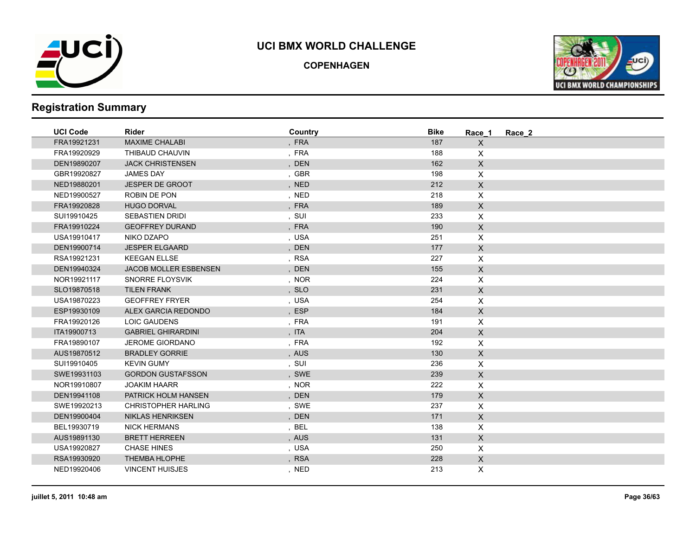

**COPENHAGEN**



| <b>UCI Code</b> | <b>Rider</b>                 | Country | <b>Bike</b> | Race 1                    | Race 2 |
|-----------------|------------------------------|---------|-------------|---------------------------|--------|
| FRA19921231     | <b>MAXIME CHALABI</b>        | , FRA   | 187         | $\mathsf{X}$              |        |
| FRA19920929     | THIBAUD CHAUVIN              | , FRA   | 188         | X                         |        |
| DEN19890207     | <b>JACK CHRISTENSEN</b>      | , DEN   | 162         | $\mathsf{X}$              |        |
| GBR19920827     | <b>JAMES DAY</b>             | , GBR   | 198         | X                         |        |
| NED19880201     | <b>JESPER DE GROOT</b>       | , NED   | 212         | $\mathsf X$               |        |
| NED19900527     | ROBIN DE PON                 | , NED   | 218         | X                         |        |
| FRA19920828     | <b>HUGO DORVAL</b>           | , FRA   | 189         | $\mathsf{X}$              |        |
| SUI19910425     | <b>SEBASTIEN DRIDI</b>       | , SUI   | 233         | X                         |        |
| FRA19910224     | <b>GEOFFREY DURAND</b>       | , FRA   | 190         | $\mathsf{X}$              |        |
| USA19910417     | NIKO DZAPO                   | , USA   | 251         | $\boldsymbol{\mathsf{X}}$ |        |
| DEN19900714     | <b>JESPER ELGAARD</b>        | , DEN   | 177         | $\mathsf{X}$              |        |
| RSA19921231     | <b>KEEGAN ELLSE</b>          | , RSA   | 227         | X                         |        |
| DEN19940324     | <b>JACOB MOLLER ESBENSEN</b> | , DEN   | 155         | $\mathsf X$               |        |
| NOR19921117     | <b>SNORRE FLOYSVIK</b>       | , NOR   | 224         | $\mathsf{X}$              |        |
| SLO19870518     | <b>TILEN FRANK</b>           | , SLO   | 231         | $\mathsf{X}$              |        |
| USA19870223     | <b>GEOFFREY FRYER</b>        | , USA   | 254         | X                         |        |
| ESP19930109     | ALEX GARCIA REDONDO          | , ESP   | 184         | $\mathsf X$               |        |
| FRA19920126     | <b>LOIC GAUDENS</b>          | , FRA   | 191         | $\pmb{\times}$            |        |
| ITA19900713     | <b>GABRIEL GHIRARDINI</b>    | , ITA   | 204         | $\mathsf X$               |        |
| FRA19890107     | <b>JEROME GIORDANO</b>       | , FRA   | 192         | $\pmb{\times}$            |        |
| AUS19870512     | <b>BRADLEY GORRIE</b>        | , AUS   | 130         | $\mathsf X$               |        |
| SUI19910405     | <b>KEVIN GUMY</b>            | , SUI   | 236         | $\boldsymbol{\mathsf{X}}$ |        |
| SWE19931103     | <b>GORDON GUSTAFSSON</b>     | , SWE   | 239         | $\mathsf{X}$              |        |
| NOR19910807     | <b>JOAKIM HAARR</b>          | , NOR   | 222         | X                         |        |
| DEN19941108     | <b>PATRICK HOLM HANSEN</b>   | , DEN   | 179         | $\mathsf{X}$              |        |
| SWE19920213     | <b>CHRISTOPHER HARLING</b>   | , SWE   | 237         | $\mathsf{X}$              |        |
| DEN19900404     | <b>NIKLAS HENRIKSEN</b>      | , DEN   | 171         | $\mathsf{X}$              |        |
| BEL19930719     | <b>NICK HERMANS</b>          | , BEL   | 138         | X                         |        |
| AUS19891130     | <b>BRETT HERREEN</b>         | , AUS   | 131         | $\mathsf{X}$              |        |
| USA19920827     | <b>CHASE HINES</b>           | , USA   | 250         | X                         |        |
| RSA19930920     | <b>THEMBA HLOPHE</b>         | , RSA   | 228         | $\mathsf{X}$              |        |
| NED19920406     | <b>VINCENT HUISJES</b>       | , NED   | 213         | X.                        |        |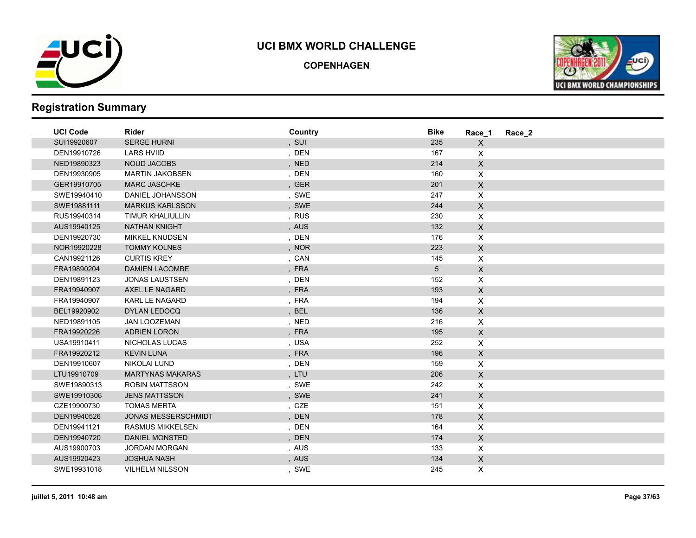

**COPENHAGEN**



| , SUI<br>SUI19920607<br><b>SERGE HURNI</b><br>235<br>X<br><b>LARS HVIID</b><br>, DEN<br>DEN19910726<br>167<br>X<br>$\mathsf{X}$<br>NED19890323<br>NOUD JACOBS<br>, NED<br>214<br>$\mathsf{X}$<br><b>MARTIN JAKOBSEN</b><br>, DEN<br>160<br>DEN19930905<br><b>MARC JASCHKE</b><br>, GER<br>201<br>$\mathsf X$<br>GER19910705<br>DANIEL JOHANSSON<br>, SWE<br>247<br>$\mathsf{X}$<br>SWE19940410<br>, SWE<br>244<br>$\mathsf{X}$<br>SWE19881111<br><b>MARKUS KARLSSON</b><br>X<br>RUS19940314<br>TIMUR KHALIULLIN<br>, RUS<br>230<br>AUS19940125<br><b>NATHAN KNIGHT</b><br>, AUS<br>132<br>$\mathsf X$<br>, DEN<br>DEN19920730<br><b>MIKKEL KNUDSEN</b><br>176<br>X<br>223<br>$\mathsf X$<br>NOR19920228<br><b>TOMMY KOLNES</b><br>, NOR<br><b>CURTIS KREY</b><br>, CAN<br>145<br>X<br>CAN19921126<br><b>DAMIEN LACOMBE</b><br>, FRA<br>$5\phantom{.0}$<br>$\mathsf X$<br>FRA19890204<br>, DEN<br>DEN19891123<br><b>JONAS LAUSTSEN</b><br>152<br>X<br>, FRA<br>AXEL LE NAGARD<br>193<br>$\mathsf{X}$<br>FRA19940907<br>, FRA<br>FRA19940907<br><b>KARL LE NAGARD</b><br>194<br>X<br>BEL19920902<br>DYLAN LEDOCQ<br>, BEL<br>136<br>$\mathsf{X}$<br>, NED<br>216<br>NED19891105<br><b>JAN LOOZEMAN</b><br>X<br><b>ADRIEN LORON</b><br>, FRA<br>195<br>$\mathsf X$<br>FRA19920226<br>NICHOLAS LUCAS<br>, USA<br>252<br>X<br>USA19910411<br><b>KEVIN LUNA</b><br>196<br>$\mathsf{X}$<br>FRA19920212<br>, FRA<br><b>NIKOLAI LUND</b><br>, DEN<br>159<br>X<br>DEN19910607<br>, LTU<br>206<br>$\mathsf{X}$<br>LTU19910709<br><b>MARTYNAS MAKARAS</b><br>, SWE<br>242<br>SWE19890313<br><b>ROBIN MATTSSON</b><br>X<br>$\boldsymbol{\mathsf{X}}$<br><b>JENS MATTSSON</b><br>, SWE<br>241<br>SWE19910306<br><b>TOMAS MERTA</b><br>, CZE<br>CZE19900730<br>151<br>X<br>$\mathsf X$<br><b>JONAS MESSERSCHMIDT</b><br>, DEN<br>178<br>DEN19940526<br><b>RASMUS MIKKELSEN</b><br>, DEN<br>164<br>X<br>DEN19941121<br>$\mathsf{X}$<br>174<br>DEN19940720<br><b>DANIEL MONSTED</b><br>, DEN | <b>UCI Code</b> | <b>Rider</b>         | Country | <b>Bike</b> | Race 1 | Race 2 |
|-----------------------------------------------------------------------------------------------------------------------------------------------------------------------------------------------------------------------------------------------------------------------------------------------------------------------------------------------------------------------------------------------------------------------------------------------------------------------------------------------------------------------------------------------------------------------------------------------------------------------------------------------------------------------------------------------------------------------------------------------------------------------------------------------------------------------------------------------------------------------------------------------------------------------------------------------------------------------------------------------------------------------------------------------------------------------------------------------------------------------------------------------------------------------------------------------------------------------------------------------------------------------------------------------------------------------------------------------------------------------------------------------------------------------------------------------------------------------------------------------------------------------------------------------------------------------------------------------------------------------------------------------------------------------------------------------------------------------------------------------------------------------------------------------------------------------------------------------------------------------------------------------------------------------------------------------------------------------------|-----------------|----------------------|---------|-------------|--------|--------|
|                                                                                                                                                                                                                                                                                                                                                                                                                                                                                                                                                                                                                                                                                                                                                                                                                                                                                                                                                                                                                                                                                                                                                                                                                                                                                                                                                                                                                                                                                                                                                                                                                                                                                                                                                                                                                                                                                                                                                                             |                 |                      |         |             |        |        |
|                                                                                                                                                                                                                                                                                                                                                                                                                                                                                                                                                                                                                                                                                                                                                                                                                                                                                                                                                                                                                                                                                                                                                                                                                                                                                                                                                                                                                                                                                                                                                                                                                                                                                                                                                                                                                                                                                                                                                                             |                 |                      |         |             |        |        |
|                                                                                                                                                                                                                                                                                                                                                                                                                                                                                                                                                                                                                                                                                                                                                                                                                                                                                                                                                                                                                                                                                                                                                                                                                                                                                                                                                                                                                                                                                                                                                                                                                                                                                                                                                                                                                                                                                                                                                                             |                 |                      |         |             |        |        |
|                                                                                                                                                                                                                                                                                                                                                                                                                                                                                                                                                                                                                                                                                                                                                                                                                                                                                                                                                                                                                                                                                                                                                                                                                                                                                                                                                                                                                                                                                                                                                                                                                                                                                                                                                                                                                                                                                                                                                                             |                 |                      |         |             |        |        |
|                                                                                                                                                                                                                                                                                                                                                                                                                                                                                                                                                                                                                                                                                                                                                                                                                                                                                                                                                                                                                                                                                                                                                                                                                                                                                                                                                                                                                                                                                                                                                                                                                                                                                                                                                                                                                                                                                                                                                                             |                 |                      |         |             |        |        |
|                                                                                                                                                                                                                                                                                                                                                                                                                                                                                                                                                                                                                                                                                                                                                                                                                                                                                                                                                                                                                                                                                                                                                                                                                                                                                                                                                                                                                                                                                                                                                                                                                                                                                                                                                                                                                                                                                                                                                                             |                 |                      |         |             |        |        |
|                                                                                                                                                                                                                                                                                                                                                                                                                                                                                                                                                                                                                                                                                                                                                                                                                                                                                                                                                                                                                                                                                                                                                                                                                                                                                                                                                                                                                                                                                                                                                                                                                                                                                                                                                                                                                                                                                                                                                                             |                 |                      |         |             |        |        |
|                                                                                                                                                                                                                                                                                                                                                                                                                                                                                                                                                                                                                                                                                                                                                                                                                                                                                                                                                                                                                                                                                                                                                                                                                                                                                                                                                                                                                                                                                                                                                                                                                                                                                                                                                                                                                                                                                                                                                                             |                 |                      |         |             |        |        |
|                                                                                                                                                                                                                                                                                                                                                                                                                                                                                                                                                                                                                                                                                                                                                                                                                                                                                                                                                                                                                                                                                                                                                                                                                                                                                                                                                                                                                                                                                                                                                                                                                                                                                                                                                                                                                                                                                                                                                                             |                 |                      |         |             |        |        |
|                                                                                                                                                                                                                                                                                                                                                                                                                                                                                                                                                                                                                                                                                                                                                                                                                                                                                                                                                                                                                                                                                                                                                                                                                                                                                                                                                                                                                                                                                                                                                                                                                                                                                                                                                                                                                                                                                                                                                                             |                 |                      |         |             |        |        |
|                                                                                                                                                                                                                                                                                                                                                                                                                                                                                                                                                                                                                                                                                                                                                                                                                                                                                                                                                                                                                                                                                                                                                                                                                                                                                                                                                                                                                                                                                                                                                                                                                                                                                                                                                                                                                                                                                                                                                                             |                 |                      |         |             |        |        |
|                                                                                                                                                                                                                                                                                                                                                                                                                                                                                                                                                                                                                                                                                                                                                                                                                                                                                                                                                                                                                                                                                                                                                                                                                                                                                                                                                                                                                                                                                                                                                                                                                                                                                                                                                                                                                                                                                                                                                                             |                 |                      |         |             |        |        |
|                                                                                                                                                                                                                                                                                                                                                                                                                                                                                                                                                                                                                                                                                                                                                                                                                                                                                                                                                                                                                                                                                                                                                                                                                                                                                                                                                                                                                                                                                                                                                                                                                                                                                                                                                                                                                                                                                                                                                                             |                 |                      |         |             |        |        |
|                                                                                                                                                                                                                                                                                                                                                                                                                                                                                                                                                                                                                                                                                                                                                                                                                                                                                                                                                                                                                                                                                                                                                                                                                                                                                                                                                                                                                                                                                                                                                                                                                                                                                                                                                                                                                                                                                                                                                                             |                 |                      |         |             |        |        |
|                                                                                                                                                                                                                                                                                                                                                                                                                                                                                                                                                                                                                                                                                                                                                                                                                                                                                                                                                                                                                                                                                                                                                                                                                                                                                                                                                                                                                                                                                                                                                                                                                                                                                                                                                                                                                                                                                                                                                                             |                 |                      |         |             |        |        |
|                                                                                                                                                                                                                                                                                                                                                                                                                                                                                                                                                                                                                                                                                                                                                                                                                                                                                                                                                                                                                                                                                                                                                                                                                                                                                                                                                                                                                                                                                                                                                                                                                                                                                                                                                                                                                                                                                                                                                                             |                 |                      |         |             |        |        |
|                                                                                                                                                                                                                                                                                                                                                                                                                                                                                                                                                                                                                                                                                                                                                                                                                                                                                                                                                                                                                                                                                                                                                                                                                                                                                                                                                                                                                                                                                                                                                                                                                                                                                                                                                                                                                                                                                                                                                                             |                 |                      |         |             |        |        |
|                                                                                                                                                                                                                                                                                                                                                                                                                                                                                                                                                                                                                                                                                                                                                                                                                                                                                                                                                                                                                                                                                                                                                                                                                                                                                                                                                                                                                                                                                                                                                                                                                                                                                                                                                                                                                                                                                                                                                                             |                 |                      |         |             |        |        |
|                                                                                                                                                                                                                                                                                                                                                                                                                                                                                                                                                                                                                                                                                                                                                                                                                                                                                                                                                                                                                                                                                                                                                                                                                                                                                                                                                                                                                                                                                                                                                                                                                                                                                                                                                                                                                                                                                                                                                                             |                 |                      |         |             |        |        |
|                                                                                                                                                                                                                                                                                                                                                                                                                                                                                                                                                                                                                                                                                                                                                                                                                                                                                                                                                                                                                                                                                                                                                                                                                                                                                                                                                                                                                                                                                                                                                                                                                                                                                                                                                                                                                                                                                                                                                                             |                 |                      |         |             |        |        |
|                                                                                                                                                                                                                                                                                                                                                                                                                                                                                                                                                                                                                                                                                                                                                                                                                                                                                                                                                                                                                                                                                                                                                                                                                                                                                                                                                                                                                                                                                                                                                                                                                                                                                                                                                                                                                                                                                                                                                                             |                 |                      |         |             |        |        |
|                                                                                                                                                                                                                                                                                                                                                                                                                                                                                                                                                                                                                                                                                                                                                                                                                                                                                                                                                                                                                                                                                                                                                                                                                                                                                                                                                                                                                                                                                                                                                                                                                                                                                                                                                                                                                                                                                                                                                                             |                 |                      |         |             |        |        |
|                                                                                                                                                                                                                                                                                                                                                                                                                                                                                                                                                                                                                                                                                                                                                                                                                                                                                                                                                                                                                                                                                                                                                                                                                                                                                                                                                                                                                                                                                                                                                                                                                                                                                                                                                                                                                                                                                                                                                                             |                 |                      |         |             |        |        |
|                                                                                                                                                                                                                                                                                                                                                                                                                                                                                                                                                                                                                                                                                                                                                                                                                                                                                                                                                                                                                                                                                                                                                                                                                                                                                                                                                                                                                                                                                                                                                                                                                                                                                                                                                                                                                                                                                                                                                                             |                 |                      |         |             |        |        |
|                                                                                                                                                                                                                                                                                                                                                                                                                                                                                                                                                                                                                                                                                                                                                                                                                                                                                                                                                                                                                                                                                                                                                                                                                                                                                                                                                                                                                                                                                                                                                                                                                                                                                                                                                                                                                                                                                                                                                                             |                 |                      |         |             |        |        |
|                                                                                                                                                                                                                                                                                                                                                                                                                                                                                                                                                                                                                                                                                                                                                                                                                                                                                                                                                                                                                                                                                                                                                                                                                                                                                                                                                                                                                                                                                                                                                                                                                                                                                                                                                                                                                                                                                                                                                                             |                 |                      |         |             |        |        |
|                                                                                                                                                                                                                                                                                                                                                                                                                                                                                                                                                                                                                                                                                                                                                                                                                                                                                                                                                                                                                                                                                                                                                                                                                                                                                                                                                                                                                                                                                                                                                                                                                                                                                                                                                                                                                                                                                                                                                                             |                 |                      |         |             |        |        |
|                                                                                                                                                                                                                                                                                                                                                                                                                                                                                                                                                                                                                                                                                                                                                                                                                                                                                                                                                                                                                                                                                                                                                                                                                                                                                                                                                                                                                                                                                                                                                                                                                                                                                                                                                                                                                                                                                                                                                                             |                 |                      |         |             |        |        |
|                                                                                                                                                                                                                                                                                                                                                                                                                                                                                                                                                                                                                                                                                                                                                                                                                                                                                                                                                                                                                                                                                                                                                                                                                                                                                                                                                                                                                                                                                                                                                                                                                                                                                                                                                                                                                                                                                                                                                                             |                 |                      |         |             |        |        |
|                                                                                                                                                                                                                                                                                                                                                                                                                                                                                                                                                                                                                                                                                                                                                                                                                                                                                                                                                                                                                                                                                                                                                                                                                                                                                                                                                                                                                                                                                                                                                                                                                                                                                                                                                                                                                                                                                                                                                                             | AUS19900703     | <b>JORDAN MORGAN</b> | , AUS   | 133         | X      |        |
| $\mathsf{X}$<br>AUS19920423<br><b>JOSHUA NASH</b><br>, AUS<br>134                                                                                                                                                                                                                                                                                                                                                                                                                                                                                                                                                                                                                                                                                                                                                                                                                                                                                                                                                                                                                                                                                                                                                                                                                                                                                                                                                                                                                                                                                                                                                                                                                                                                                                                                                                                                                                                                                                           |                 |                      |         |             |        |        |
| SWE19931018<br><b>VILHELM NILSSON</b><br>, SWE<br>245<br>X                                                                                                                                                                                                                                                                                                                                                                                                                                                                                                                                                                                                                                                                                                                                                                                                                                                                                                                                                                                                                                                                                                                                                                                                                                                                                                                                                                                                                                                                                                                                                                                                                                                                                                                                                                                                                                                                                                                  |                 |                      |         |             |        |        |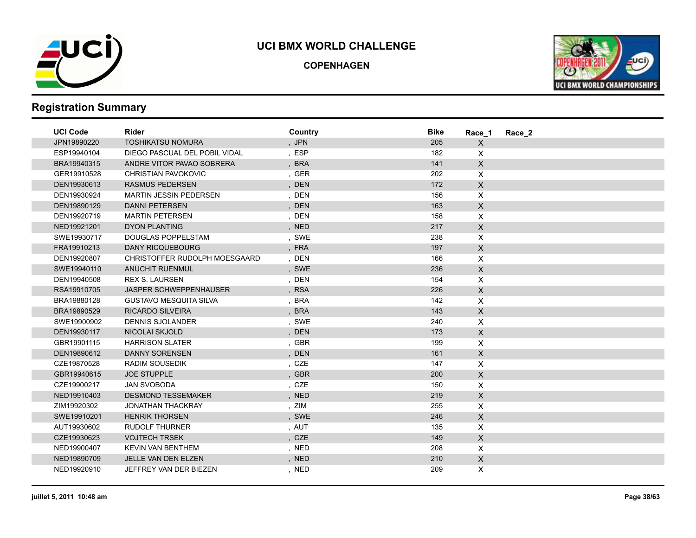

**COPENHAGEN**



| <b>UCI Code</b> | <b>Rider</b>                  | Country | <b>Bike</b> | Race 1         | Race 2 |  |
|-----------------|-------------------------------|---------|-------------|----------------|--------|--|
| JPN19890220     | <b>TOSHIKATSU NOMURA</b>      | , JPN   | 205         | X              |        |  |
| ESP19940104     | DIEGO PASCUAL DEL POBIL VIDAL | , ESP   | 182         | X              |        |  |
| BRA19940315     | ANDRE VITOR PAVAO SOBRERA     | , BRA   | 141         | $\mathsf{X}$   |        |  |
| GER19910528     | <b>CHRISTIAN PAVOKOVIC</b>    | , GER   | 202         | $\mathsf{X}$   |        |  |
| DEN19930613     | <b>RASMUS PEDERSEN</b>        | , DEN   | 172         | $\mathsf{X}$   |        |  |
| DEN19930924     | <b>MARTIN JESSIN PEDERSEN</b> | , DEN   | 156         | $\mathsf{X}$   |        |  |
| DEN19890129     | <b>DANNI PETERSEN</b>         | , DEN   | 163         | $\mathsf{X}$   |        |  |
| DEN19920719     | <b>MARTIN PETERSEN</b>        | , DEN   | 158         | X              |        |  |
| NED19921201     | <b>DYON PLANTING</b>          | , NED   | 217         | $\mathsf{X}$   |        |  |
| SWE19930717     | <b>DOUGLAS POPPELSTAM</b>     | , SWE   | 238         | X              |        |  |
| FRA19910213     | <b>DANY RICQUEBOURG</b>       | , FRA   | 197         | $\mathsf{X}$   |        |  |
| DEN19920807     | CHRISTOFFER RUDOLPH MOESGAARD | , DEN   | 166         | $\pmb{\times}$ |        |  |
| SWE19940110     | <b>ANUCHIT RUENMUL</b>        | , SWE   | 236         | $\mathsf X$    |        |  |
| DEN19940508     | <b>REX S. LAURSEN</b>         | , DEN   | 154         | $\mathsf{X}$   |        |  |
| RSA19910705     | <b>JASPER SCHWEPPENHAUSER</b> | , RSA   | 226         | $\mathsf{X}$   |        |  |
| BRA19880128     | <b>GUSTAVO MESQUITA SILVA</b> | , BRA   | 142         | $\mathsf{X}$   |        |  |
| BRA19890529     | <b>RICARDO SILVEIRA</b>       | , BRA   | 143         | $\mathsf{X}$   |        |  |
| SWE19900902     | <b>DENNIS SJOLANDER</b>       | , SWE   | 240         | $\mathsf{X}$   |        |  |
| DEN19930117     | <b>NICOLAI SKJOLD</b>         | , DEN   | 173         | $\mathsf X$    |        |  |
| GBR19901115     | <b>HARRISON SLATER</b>        | , GBR   | 199         | X              |        |  |
| DEN19890612     | <b>DANNY SORENSEN</b>         | , DEN   | 161         | $\mathsf{X}$   |        |  |
| CZE19870528     | <b>RADIM SOUSEDIK</b>         | , CZE   | 147         | X              |        |  |
| GBR19940615     | <b>JOE STUPPLE</b>            | , GBR   | 200         | $\mathsf{X}$   |        |  |
| CZE19900217     | <b>JAN SVOBODA</b>            | , CZE   | 150         | X              |        |  |
| NED19910403     | <b>DESMOND TESSEMAKER</b>     | , NED   | 219         | $\mathsf{X}$   |        |  |
| ZIM19920302     | <b>JONATHAN THACKRAY</b>      | , ZIM   | 255         | $\mathsf{X}$   |        |  |
| SWE19910201     | <b>HENRIK THORSEN</b>         | , SWE   | 246         | $\mathsf{X}$   |        |  |
| AUT19930602     | <b>RUDOLF THURNER</b>         | , AUT   | 135         | X              |        |  |
| CZE19930623     | <b>VOJTECH TRSEK</b>          | , CZE   | 149         | $\mathsf{X}$   |        |  |
| NED19900407     | <b>KEVIN VAN BENTHEM</b>      | , NED   | 208         | $\mathsf{X}$   |        |  |
| NED19890709     | JELLE VAN DEN ELZEN           | , NED   | 210         | $\mathsf{X}$   |        |  |
| NED19920910     | JEFFREY VAN DER BIEZEN        | , NED   | 209         | X              |        |  |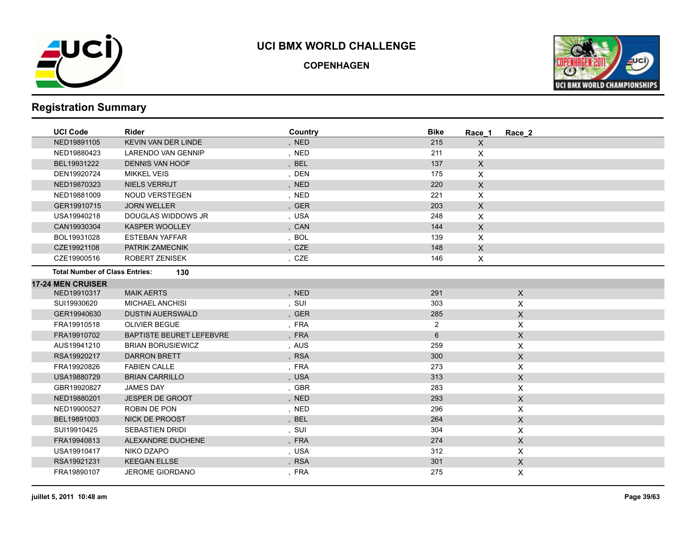

**COPENHAGEN**



| <b>UCI Code</b>                       | <b>Rider</b>                    | Country | <b>Bike</b>    | Race 1                    | Race 2                    |  |
|---------------------------------------|---------------------------------|---------|----------------|---------------------------|---------------------------|--|
| NED19891105                           | <b>KEVIN VAN DER LINDE</b>      | , NED   | 215            | X                         |                           |  |
| NED19880423                           | <b>LARENDO VAN GENNIP</b>       | , NED   | 211            | X                         |                           |  |
| BEL19931222                           | <b>DENNIS VAN HOOF</b>          | , BEL   | 137            | $\mathsf{X}$              |                           |  |
| DEN19920724                           | <b>MIKKEL VEIS</b>              | , DEN   | 175            | X                         |                           |  |
| NED19870323                           | <b>NIELS VERRIJT</b>            | , NED   | 220            | $\mathsf{X}$              |                           |  |
| NED19881009                           | <b>NOUD VERSTEGEN</b>           | , NED   | 221            | X                         |                           |  |
| GER19910715                           | <b>JORN WELLER</b>              | , GER   | 203            | $\mathsf{X}$              |                           |  |
| USA19940218                           | DOUGLAS WIDDOWS JR              | , USA   | 248            | X                         |                           |  |
| CAN19930304                           | KASPER WOOLLEY                  | , CAN   | 144            | X                         |                           |  |
| BOL19931028                           | <b>ESTEBAN YAFFAR</b>           | , BOL   | 139            | X                         |                           |  |
| CZE19921108                           | PATRIK ZAMECNIK                 | , CZE   | 148            | $\boldsymbol{\mathsf{X}}$ |                           |  |
| CZE19900516                           | ROBERT ZENISEK                  | , CZE   | 146            | X                         |                           |  |
| <b>Total Number of Class Entries:</b> | 130                             |         |                |                           |                           |  |
| <b>17-24 MEN CRUISER</b>              |                                 |         |                |                           |                           |  |
| NED19910317                           | <b>MAIK AERTS</b>               | , NED   | 291            |                           | $\mathsf{X}$              |  |
| SUI19930620                           | <b>MICHAEL ANCHISI</b>          | , SUI   | 303            |                           | X                         |  |
| GER19940630                           | <b>DUSTIN AUERSWALD</b>         | , GER   | 285            |                           | $\mathsf{X}$              |  |
| FRA19910518                           | <b>OLIVIER BEGUE</b>            | , FRA   | $\overline{2}$ |                           | $\boldsymbol{\mathsf{X}}$ |  |
| FRA19910702                           | <b>BAPTISTE BEURET LEFEBVRE</b> | , FRA   | 6              |                           | $\mathsf X$               |  |
| AUS19941210                           | <b>BRIAN BORUSIEWICZ</b>        | , AUS   | 259            |                           | X                         |  |
| RSA19920217                           | <b>DARRON BRETT</b>             | , RSA   | 300            |                           | $\mathsf X$               |  |
| FRA19920826                           | <b>FABIEN CALLE</b>             | , FRA   | 273            |                           | X                         |  |
| USA19880729                           | <b>BRIAN CARRILLO</b>           | , USA   | 313            |                           | $\mathsf X$               |  |
| GBR19920827                           | <b>JAMES DAY</b>                | , GBR   | 283            |                           | $\boldsymbol{\mathsf{X}}$ |  |
| NED19880201                           | <b>JESPER DE GROOT</b>          | , NED   | 293            |                           | $\mathsf X$               |  |
| NED19900527                           | ROBIN DE PON                    | , NED   | 296            |                           | X                         |  |
| BEL19891003                           | <b>NICK DE PROOST</b>           | , BEL   | 264            |                           | $\mathsf X$               |  |
| SUI19910425                           | <b>SEBASTIEN DRIDI</b>          | , SUI   | 304            |                           | $\boldsymbol{\mathsf{X}}$ |  |
| FRA19940813                           | ALEXANDRE DUCHENE               | , FRA   | 274            |                           | $\mathsf X$               |  |
| USA19910417                           | NIKO DZAPO                      | , USA   | 312            |                           | X                         |  |
| RSA19921231                           | <b>KEEGAN ELLSE</b>             | , RSA   | 301            |                           | $\mathsf X$               |  |
| FRA19890107                           | <b>JEROME GIORDANO</b>          | , FRA   | 275            |                           | X                         |  |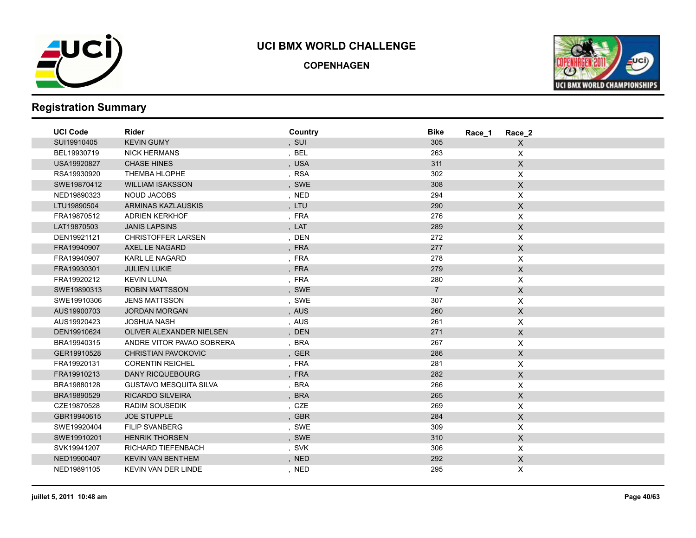

**COPENHAGEN**



| <b>UCI Code</b> | <b>Rider</b>                  | Country | <b>Bike</b><br>Race 1 | Race 2                    |
|-----------------|-------------------------------|---------|-----------------------|---------------------------|
| SUI19910405     | <b>KEVIN GUMY</b>             | , SUI   | 305                   | $\mathsf{X}$              |
| BEL19930719     | <b>NICK HERMANS</b>           | , BEL   | 263                   | X                         |
| USA19920827     | <b>CHASE HINES</b>            | , USA   | 311                   | $\boldsymbol{\mathsf{X}}$ |
| RSA19930920     | <b>THEMBA HLOPHE</b>          | , RSA   | 302                   | $\pmb{\times}$            |
| SWE19870412     | <b>WILLIAM ISAKSSON</b>       | , SWE   | 308                   | $\mathsf X$               |
| NED19890323     | <b>NOUD JACOBS</b>            | , NED   | 294                   | X                         |
| LTU19890504     | ARMINAS KAZLAUSKIS            | , LTU   | 290                   | X                         |
| FRA19870512     | <b>ADRIEN KERKHOF</b>         | , FRA   | 276                   | X                         |
| LAT19870503     | <b>JANIS LAPSINS</b>          | , $LAT$ | 289                   | X                         |
| DEN19921121     | <b>CHRISTOFFER LARSEN</b>     | , DEN   | 272                   | X                         |
| FRA19940907     | AXEL LE NAGARD                | , FRA   | 277                   | $\mathsf X$               |
| FRA19940907     | <b>KARL LE NAGARD</b>         | , FRA   | 278                   | X                         |
| FRA19930301     | <b>JULIEN LUKIE</b>           | , FRA   | 279                   | X                         |
| FRA19920212     | <b>KEVIN LUNA</b>             | , FRA   | 280                   | X                         |
| SWE19890313     | <b>ROBIN MATTSSON</b>         | , SWE   | $\overline{7}$        | $\mathsf X$               |
| SWE19910306     | <b>JENS MATTSSON</b>          | , SWE   | 307                   | $\pmb{\times}$            |
| AUS19900703     | <b>JORDAN MORGAN</b>          | , AUS   | 260                   | X                         |
| AUS19920423     | <b>JOSHUA NASH</b>            | , AUS   | 261                   | X                         |
| DEN19910624     | OLIVER ALEXANDER NIELSEN      | , DEN   | 271                   | $\mathsf X$               |
| BRA19940315     | ANDRE VITOR PAVAO SOBRERA     | , BRA   | 267                   | $\mathsf X$               |
| GER19910528     | <b>CHRISTIAN PAVOKOVIC</b>    | , GER   | 286                   | $\mathsf X$               |
| FRA19920131     | <b>CORENTIN REICHEL</b>       | , FRA   | 281                   | $\pmb{\times}$            |
| FRA19910213     | <b>DANY RICQUEBOURG</b>       | , FRA   | 282                   | $\mathsf X$               |
| BRA19880128     | <b>GUSTAVO MESQUITA SILVA</b> | , BRA   | 266                   | X                         |
| BRA19890529     | <b>RICARDO SILVEIRA</b>       | , BRA   | 265                   | $\mathsf X$               |
| CZE19870528     | <b>RADIM SOUSEDIK</b>         | , CZE   | 269                   | X                         |
| GBR19940615     | <b>JOE STUPPLE</b>            | , GBR   | 284                   | $\mathsf X$               |
| SWE19920404     | <b>FILIP SVANBERG</b>         | , SWE   | 309                   | X                         |
| SWE19910201     | <b>HENRIK THORSEN</b>         | , SWE   | 310                   | $\mathsf X$               |
| SVK19941207     | RICHARD TIEFENBACH            | , SVK   | 306                   | X                         |
| NED19900407     | <b>KEVIN VAN BENTHEM</b>      | , NED   | 292                   | $\boldsymbol{\mathsf{X}}$ |
| NED19891105     | KEVIN VAN DER LINDE           | , NED   | 295                   | X                         |
|                 |                               |         |                       |                           |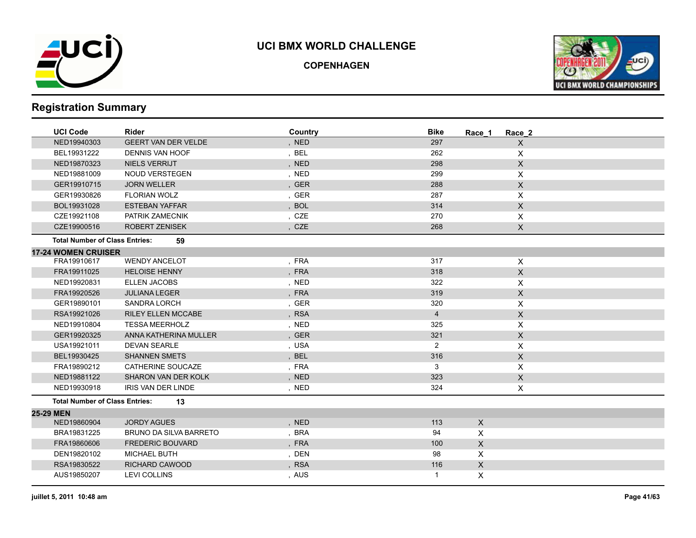

**COPENHAGEN**



| <b>UCI Code</b>                       | <b>Rider</b>                  | Country | <b>Bike</b><br>Race 1 | Race 2         |
|---------------------------------------|-------------------------------|---------|-----------------------|----------------|
| NED19940303                           | <b>GEERT VAN DER VELDE</b>    | , NED   | 297                   | $\mathsf X$    |
| BEL19931222                           | <b>DENNIS VAN HOOF</b>        | , BEL   | 262                   | X              |
| NED19870323                           | NIELS VERRIJT                 | , NED   | 298                   | X              |
| NED19881009                           | <b>NOUD VERSTEGEN</b>         | , NED   | 299                   | X              |
| GER19910715                           | <b>JORN WELLER</b>            | , GER   | 288                   | $\mathsf X$    |
| GER19930826                           | <b>FLORIAN WOLZ</b>           | , GER   | 287                   | X              |
| BOL19931028                           | <b>ESTEBAN YAFFAR</b>         | , BOL   | 314                   | X              |
| CZE19921108                           | PATRIK ZAMECNIK               | , CZE   | 270                   | X              |
| CZE19900516                           | <b>ROBERT ZENISEK</b>         | , CZE   | 268                   | $\mathsf X$    |
| <b>Total Number of Class Entries:</b> | 59                            |         |                       |                |
| <b>17-24 WOMEN CRUISER</b>            |                               |         |                       |                |
| FRA19910617                           | <b>WENDY ANCELOT</b>          | , FRA   | 317                   | $\pmb{\times}$ |
| FRA19911025                           | <b>HELOISE HENNY</b>          | , FRA   | 318                   | $\mathsf X$    |
| NED19920831                           | <b>ELLEN JACOBS</b>           | , NED   | 322                   | X              |
| FRA19920526                           | <b>JULIANA LEGER</b>          | , FRA   | 319                   | $\mathsf{X}$   |
| GER19890101                           | SANDRA LORCH                  | , GER   | 320                   | $\pmb{\times}$ |
| RSA19921026                           | <b>RILEY ELLEN MCCABE</b>     | , RSA   | $\overline{4}$        | $\mathsf X$    |
| NED19910804                           | <b>TESSA MEERHOLZ</b>         | , NED   | 325                   | X              |
| GER19920325                           | ANNA KATHERINA MULLER         | , GER   | 321                   | $\mathsf X$    |
| USA19921011                           | <b>DEVAN SEARLE</b>           | , USA   | $\overline{2}$        | X              |
| BEL19930425                           | <b>SHANNEN SMETS</b>          | , BEL   | 316                   | $\mathsf{X}$   |
| FRA19890212                           | CATHERINE SOUCAZE             | , FRA   | 3                     | X              |
| NED19881122                           | <b>SHARON VAN DER KOLK</b>    | , NED   | 323                   | $\mathsf X$    |
| NED19930918                           | <b>IRIS VAN DER LINDE</b>     | , NED   | 324                   | X              |
| <b>Total Number of Class Entries:</b> | 13                            |         |                       |                |
| 25-29 MEN                             |                               |         |                       |                |
| NED19860904                           | <b>JORDY AGUES</b>            | , NED   | 113<br>$\mathsf{X}$   |                |
| BRA19831225                           | <b>BRUNO DA SILVA BARRETO</b> | , BRA   | X<br>94               |                |
| FRA19860606                           | <b>FREDERIC BOUVARD</b>       | , FRA   | $\mathsf{X}$<br>100   |                |
| DEN19820102                           | <b>MICHAEL BUTH</b>           | , DEN   | X<br>98               |                |
| RSA19830522                           | <b>RICHARD CAWOOD</b>         | , RSA   | $\pmb{\times}$<br>116 |                |
| AUS19850207                           | <b>LEVI COLLINS</b>           | , AUS   | X<br>1                |                |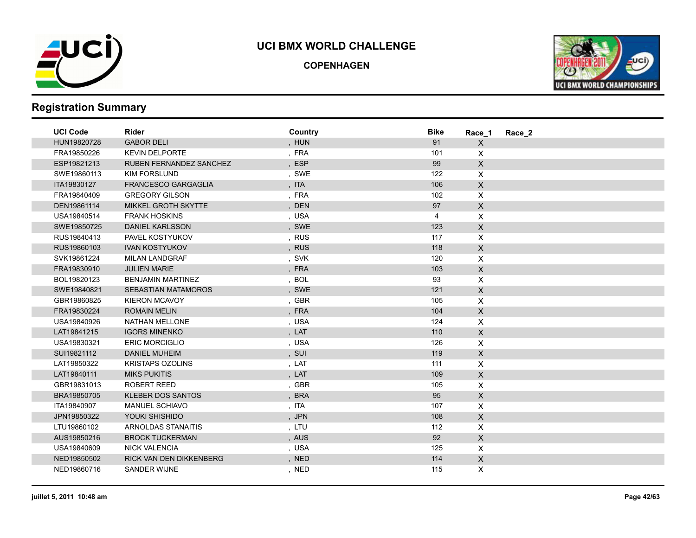

**COPENHAGEN**



| <b>UCI Code</b> | <b>Rider</b>                   | Country | <b>Bike</b> | Race 1             | Race 2 |
|-----------------|--------------------------------|---------|-------------|--------------------|--------|
| HUN19820728     | <b>GABOR DELI</b>              | , HUN   | 91          | $\mathsf{X}$       |        |
| FRA19850226     | <b>KEVIN DELPORTE</b>          | , FRA   | 101         | $\mathsf{X}$       |        |
| ESP19821213     | <b>RUBEN FERNANDEZ SANCHEZ</b> | , ESP   | 99          | $\mathsf{X}$       |        |
| SWE19860113     | <b>KIM FORSLUND</b>            | , SWE   | 122         | $\pmb{\times}$     |        |
| ITA19830127     | <b>FRANCESCO GARGAGLIA</b>     | , ITA   | 106         | $\mathsf X$        |        |
| FRA19840409     | <b>GREGORY GILSON</b>          | ,FRA    | 102         | $\mathsf{X}$       |        |
| DEN19861114     | MIKKEL GROTH SKYTTE            | , DEN   | 97          | $\mathsf{X}$       |        |
| USA19840514     | <b>FRANK HOSKINS</b>           | , USA   | 4           | $\mathsf{X}$       |        |
| SWE19850725     | <b>DANIEL KARLSSON</b>         | , SWE   | 123         | $\mathsf{X}$       |        |
| RUS19840413     | PAVEL KOSTYUKOV                | , RUS   | 117         | $\pmb{\mathsf{X}}$ |        |
| RUS19860103     | <b>IVAN KOSTYUKOV</b>          | , RUS   | 118         | $\mathsf{X}$       |        |
| SVK19861224     | <b>MILAN LANDGRAF</b>          | , SVK   | 120         | $\pmb{\times}$     |        |
| FRA19830910     | <b>JULIEN MARIE</b>            | , FRA   | 103         | $\mathsf{X}$       |        |
| BOL19820123     | <b>BENJAMIN MARTINEZ</b>       | , BOL   | 93          | $\mathsf{X}$       |        |
| SWE19840821     | <b>SEBASTIAN MATAMOROS</b>     | , SWE   | 121         | $\mathsf{X}$       |        |
| GBR19860825     | <b>KIERON MCAVOY</b>           | , GBR   | 105         | $\pmb{\times}$     |        |
| FRA19830224     | <b>ROMAIN MELIN</b>            | , FRA   | 104         | $\mathsf{X}$       |        |
| USA19840926     | NATHAN MELLONE                 | , USA   | 124         | $\pmb{\times}$     |        |
| LAT19841215     | <b>IGORS MINENKO</b>           | , LAT   | 110         | $\mathsf{X}$       |        |
| USA19830321     | ERIC MORCIGLIO                 | , USA   | 126         | $\pmb{\times}$     |        |
| SUI19821112     | <b>DANIEL MUHEIM</b>           | , SUI   | 119         | $\mathsf X$        |        |
| LAT19850322     | <b>KRISTAPS OZOLINS</b>        | , LAT   | 111         | $\pmb{\times}$     |        |
| LAT19840111     | <b>MIKS PUKITIS</b>            | , LAT   | 109         | $\mathsf{X}$       |        |
| GBR19831013     | ROBERT REED                    | , GBR   | 105         | $\mathsf{X}$       |        |
| BRA19850705     | <b>KLEBER DOS SANTOS</b>       | , BRA   | 95          | $\mathsf{X}$       |        |
| ITA19840907     | <b>MANUEL SCHIAVO</b>          | , ITA   | 107         | $\pmb{\mathsf{X}}$ |        |
| JPN19850322     | YOUKI SHISHIDO                 | , JPN   | 108         | $\mathsf X$        |        |
| LTU19860102     | <b>ARNOLDAS STANAITIS</b>      | , LTU   | 112         | $\pmb{\times}$     |        |
| AUS19850216     | <b>BROCK TUCKERMAN</b>         | , AUS   | 92          | $\mathsf{X}$       |        |
| USA19840609     | <b>NICK VALENCIA</b>           | , USA   | 125         | $\mathsf{X}$       |        |
| NED19850502     | RICK VAN DEN DIKKENBERG        | , NED   | 114         | $\mathsf{X}$       |        |
| NED19860716     | <b>SANDER WIJNE</b>            | , NED   | 115         | X                  |        |
|                 |                                |         |             |                    |        |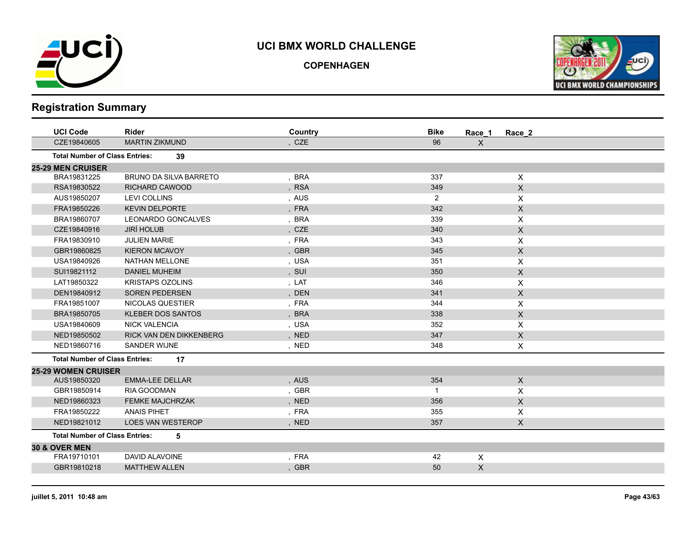

**COPENHAGEN**



| <b>Rider</b>                                | Country | <b>Bike</b>    | Race 2       |                        |
|---------------------------------------------|---------|----------------|--------------|------------------------|
| <b>MARTIN ZIKMUND</b>                       | , CZE   | 96             | X            |                        |
| <b>Total Number of Class Entries:</b><br>39 |         |                |              |                        |
|                                             |         |                |              |                        |
| <b>BRUNO DA SILVA BARRETO</b>               | , BRA   | 337            | X            |                        |
| <b>RICHARD CAWOOD</b>                       | , RSA   | 349            | $\mathsf{X}$ |                        |
| <b>LEVI COLLINS</b>                         | , AUS   | $\overline{2}$ | X            |                        |
| <b>KEVIN DELPORTE</b>                       | , FRA   | 342            | $\mathsf X$  |                        |
| <b>LEONARDO GONCALVES</b>                   | , BRA   | 339            | X            |                        |
| <b>JIRÍ HOLUB</b>                           | , CZE   | 340            | $\mathsf{X}$ |                        |
| <b>JULIEN MARIE</b>                         | , FRA   | 343            | X            |                        |
| <b>KIERON MCAVOY</b>                        | , GBR   | 345            | $\mathsf{X}$ |                        |
| <b>NATHAN MELLONE</b>                       | , USA   | 351            | X            |                        |
| <b>DANIEL MUHEIM</b>                        | , SUI   | 350            | $\mathsf{X}$ |                        |
| <b>KRISTAPS OZOLINS</b>                     | , LAT   | 346            | X            |                        |
| <b>SOREN PEDERSEN</b>                       | , DEN   | 341            | $\mathsf{X}$ |                        |
| NICOLAS QUESTIER                            | , FRA   | 344            | X            |                        |
| <b>KLEBER DOS SANTOS</b>                    | , BRA   | 338            | $\mathsf{X}$ |                        |
| <b>NICK VALENCIA</b>                        | , USA   | 352            | X            |                        |
| <b>RICK VAN DEN DIKKENBERG</b>              | , NED   | 347            | $\mathsf X$  |                        |
| <b>SANDER WIJNE</b>                         | , NED   | 348            | X            |                        |
| <b>Total Number of Class Entries:</b><br>17 |         |                |              |                        |
| <b>25-29 WOMEN CRUISER</b>                  |         |                |              |                        |
| <b>EMMA-LEE DELLAR</b>                      | , AUS   | 354            | X            |                        |
| RIA GOODMAN                                 | , GBR   | 1              | X            |                        |
| <b>FEMKE MAJCHRZAK</b>                      | , NED   | 356            | $\mathsf{X}$ |                        |
| <b>ANAIS PIHET</b>                          | , FRA   | 355            | X            |                        |
| <b>LOES VAN WESTEROP</b>                    | , NED   | 357            | X            |                        |
| <b>Total Number of Class Entries:</b><br>5  |         |                |              |                        |
|                                             |         |                |              |                        |
| <b>DAVID ALAVOINE</b>                       | , FRA   | 42             | X            |                        |
| <b>MATTHEW ALLEN</b>                        | , GBR   | 50             |              |                        |
|                                             |         |                |              | Race_1<br>$\mathsf{X}$ |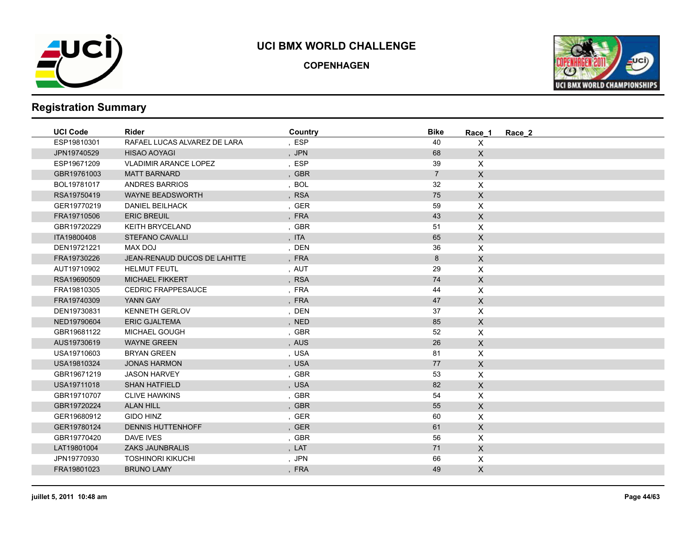

**COPENHAGEN**



| <b>UCI Code</b> | <b>Rider</b>                 | Country | <b>Bike</b>    | Race 1                    | Race 2 |
|-----------------|------------------------------|---------|----------------|---------------------------|--------|
| ESP19810301     | RAFAEL LUCAS ALVAREZ DE LARA | , ESP   | 40             | $\mathsf{X}$              |        |
| JPN19740529     | <b>HISAO AOYAGI</b>          | , JPN   | 68             | $\mathsf{X}$              |        |
| ESP19671209     | <b>VLADIMIR ARANCE LOPEZ</b> | , ESP   | 39             | $\mathsf{X}$              |        |
| GBR19761003     | <b>MATT BARNARD</b>          | , GBR   | $\overline{7}$ | $\mathsf X$               |        |
| BOL19781017     | <b>ANDRES BARRIOS</b>        | , BOL   | 32             | $\pmb{\times}$            |        |
| RSA19750419     | <b>WAYNE BEADSWORTH</b>      | , RSA   | 75             | $\mathsf X$               |        |
| GER19770219     | <b>DANIEL BEILHACK</b>       | , GER   | 59             | $\boldsymbol{\mathsf{X}}$ |        |
| FRA19710506     | <b>ERIC BREUIL</b>           | , FRA   | 43             | $\mathsf X$               |        |
| GBR19720229     | <b>KEITH BRYCELAND</b>       | , GBR   | 51             | $\pmb{\times}$            |        |
| ITA19800408     | STEFANO CAVALLI              | , ITA   | 65             | $\mathsf X$               |        |
| DEN19721221     | MAX DOJ                      | , DEN   | 36             | $\mathsf{X}$              |        |
| FRA19730226     | JEAN-RENAUD DUCOS DE LAHITTE | , FRA   | 8              | $\mathsf X$               |        |
| AUT19710902     | <b>HELMUT FEUTL</b>          | , AUT   | 29             | $\mathsf X$               |        |
| RSA19690509     | <b>MICHAEL FIKKERT</b>       | , RSA   | 74             | $\mathsf X$               |        |
| FRA19810305     | <b>CEDRIC FRAPPESAUCE</b>    | , FRA   | 44             | $\mathsf{X}$              |        |
| FRA19740309     | YANN GAY                     | , FRA   | 47             | $\mathsf{X}$              |        |
| DEN19730831     | <b>KENNETH GERLOV</b>        | , DEN   | 37             | $\boldsymbol{\mathsf{X}}$ |        |
| NED19790604     | <b>ERIC GJALTEMA</b>         | , NED   | 85             | $\mathsf X$               |        |
| GBR19681122     | <b>MICHAEL GOUGH</b>         | , GBR   | 52             | $\boldsymbol{\mathsf{X}}$ |        |
| AUS19730619     | <b>WAYNE GREEN</b>           | , AUS   | 26             | $\mathsf{X}$              |        |
| USA19710603     | <b>BRYAN GREEN</b>           | , USA   | 81             | X                         |        |
| USA19810324     | <b>JONAS HARMON</b>          | , USA   | 77             | $\mathsf X$               |        |
| GBR19671219     | <b>JASON HARVEY</b>          | , GBR   | 53             | X                         |        |
| USA19711018     | <b>SHAN HATFIELD</b>         | , USA   | 82             | $\mathsf{X}$              |        |
| GBR19710707     | <b>CLIVE HAWKINS</b>         | , GBR   | 54             | $\mathsf{X}$              |        |
| GBR19720224     | <b>ALAN HILL</b>             | , GBR   | 55             | $\mathsf X$               |        |
| GER19680912     | <b>GIDO HINZ</b>             | , GER   | 60             | $\mathsf{X}$              |        |
| GER19780124     | <b>DENNIS HUTTENHOFF</b>     | , GER   | 61             | $\mathsf X$               |        |
| GBR19770420     | <b>DAVE IVES</b>             | , GBR   | 56             | $\pmb{\times}$            |        |
| LAT19801004     | <b>ZAKS JAUNBRALIS</b>       | , LAT   | 71             | $\mathsf X$               |        |
| JPN19770930     | <b>TOSHINORI KIKUCHI</b>     | , JPN   | 66             | $\mathsf{X}$              |        |
| FRA19801023     | <b>BRUNO LAMY</b>            | , FRA   | 49             | $\mathsf{X}$              |        |
|                 |                              |         |                |                           |        |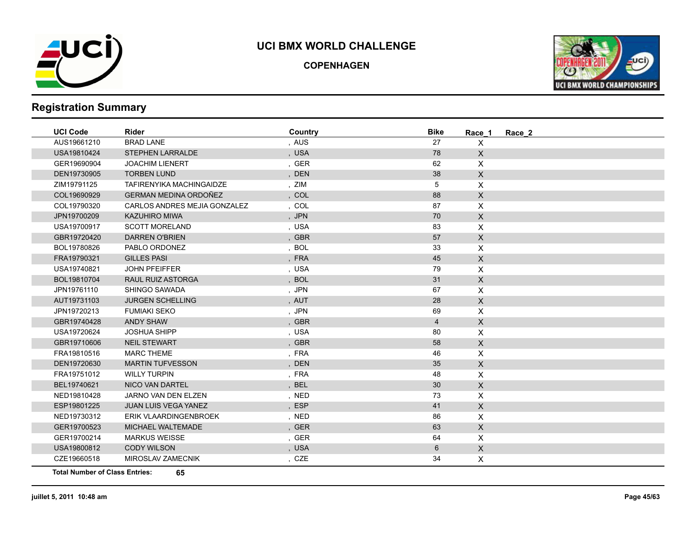

**COPENHAGEN**



# **Registration Summary**

| <b>UCI Code</b> | <b>Rider</b>                        | Country | <b>Bike</b> | Race 1                    | Race 2 |
|-----------------|-------------------------------------|---------|-------------|---------------------------|--------|
| AUS19661210     | <b>BRAD LANE</b>                    | , AUS   | 27          | $\pmb{\times}$            |        |
| USA19810424     | <b>STEPHEN LARRALDE</b>             | , USA   | 78          | $\mathsf{X}$              |        |
| GER19690904     | <b>JOACHIM LIENERT</b>              | , GER   | 62          | $\pmb{\times}$            |        |
| DEN19730905     | <b>TORBEN LUND</b>                  | , DEN   | 38          | $\mathsf{X}$              |        |
| ZIM19791125     | <b>TAFIRENYIKA MACHINGAIDZE</b>     | , ZIM   | 5           | $\mathsf{X}$              |        |
| COL19690929     | GERMAN MEDINA ORDOÑEZ               | , COL   | 88          | $\mathsf{X}$              |        |
| COL19790320     | <b>CARLOS ANDRES MEJIA GONZALEZ</b> | , COL   | 87          | $\mathsf{X}$              |        |
| JPN19700209     | <b>KAZUHIRO MIWA</b>                | , JPN   | 70          | $\mathsf X$               |        |
| USA19700917     | <b>SCOTT MORELAND</b>               | , USA   | 83          | $\boldsymbol{\mathsf{X}}$ |        |
| GBR19720420     | <b>DARREN O'BRIEN</b>               | , GBR   | 57          | $\mathsf{X}$              |        |
| BOL19780826     | PABLO ORDONEZ                       | , BOL   | 33          | $\mathsf{X}$              |        |
| FRA19790321     | <b>GILLES PASI</b>                  | , FRA   | 45          | $\mathsf{X}$              |        |
| USA19740821     | <b>JOHN PFEIFFER</b>                | , USA   | 79          | $\mathsf{X}$              |        |
| BOL19810704     | <b>RAUL RUIZ ASTORGA</b>            | , BOL   | 31          | $\mathsf{X}$              |        |
| JPN19761110     | SHINGO SAWADA                       | , JPN   | 67          | $\mathsf{X}$              |        |
| AUT19731103     | <b>JURGEN SCHELLING</b>             | , AUT   | 28          | $\mathsf{X}$              |        |
| JPN19720213     | <b>FUMIAKI SEKO</b>                 | , JPN   | 69          | X                         |        |
| GBR19740428     | <b>ANDY SHAW</b>                    | , GBR   | 4           | $\mathsf{X}$              |        |
| USA19720624     | <b>JOSHUA SHIPP</b>                 | , USA   | 80          | $\mathsf{X}$              |        |
| GBR19710606     | <b>NEIL STEWART</b>                 | , GBR   | 58          | $\mathsf{X}$              |        |
| FRA19810516     | <b>MARC THEME</b>                   | , FRA   | 46          | $\mathsf{X}$              |        |
| DEN19720630     | <b>MARTIN TUFVESSON</b>             | , DEN   | 35          | $\mathsf{X}$              |        |
| FRA19751012     | <b>WILLY TURPIN</b>                 | , FRA   | 48          | $\boldsymbol{\mathsf{X}}$ |        |
| BEL19740621     | <b>NICO VAN DARTEL</b>              | , BEL   | 30          | $\mathsf X$               |        |
| NED19810428     | JARNO VAN DEN ELZEN                 | , NED   | 73          | $\mathsf{X}$              |        |
| ESP19801225     | <b>JUAN LUIS VEGA YANEZ</b>         | , ESP   | 41          | $\mathsf{X}$              |        |
| NED19730312     | ERIK VLAARDINGENBROEK               | , NED   | 86          | $\mathsf{X}$              |        |
| GER19700523     | MICHAEL WALTEMADE                   | , GER   | 63          | $\mathsf{X}$              |        |
| GER19700214     | <b>MARKUS WEISSE</b>                | , GER   | 64          | $\mathsf{X}$              |        |
| USA19800812     | <b>CODY WILSON</b>                  | , USA   | 6           | $\mathsf X$               |        |
| CZE19660518     | MIROSLAV ZAMECNIK                   | , CZE   | 34          | X                         |        |
|                 |                                     |         |             |                           |        |

**Total Number of Class Entries: 65**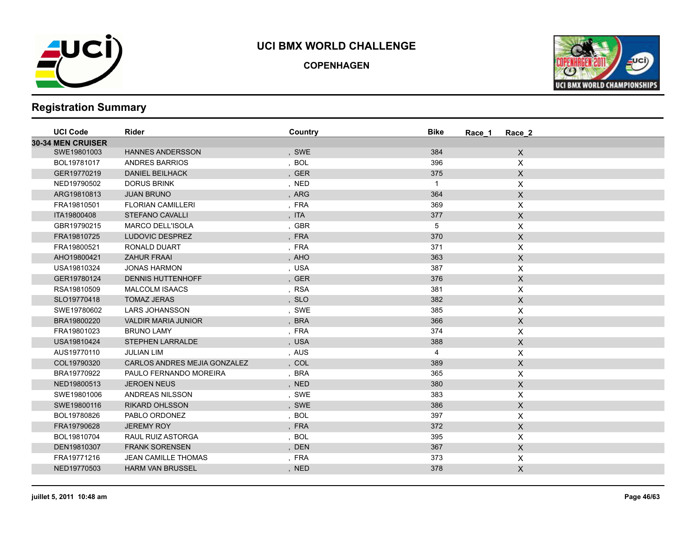

**COPENHAGEN**



| <b>UCI Code</b>          | Rider                        | Country | <b>Bike</b> | Race 2<br>Race 1          |  |
|--------------------------|------------------------------|---------|-------------|---------------------------|--|
| <b>30-34 MEN CRUISER</b> |                              |         |             |                           |  |
| SWE19801003              | <b>HANNES ANDERSSON</b>      | , SWE   | 384         | $\mathsf{X}$              |  |
| BOL19781017              | <b>ANDRES BARRIOS</b>        | , BOL   | 396         | X                         |  |
| GER19770219              | <b>DANIEL BEILHACK</b>       | , GER   | 375         | $\mathsf X$               |  |
| NED19790502              | <b>DORUS BRINK</b>           | , NED   | $\mathbf 1$ | X                         |  |
| ARG19810813              | <b>JUAN BRUNO</b>            | , ARG   | 364         | $\mathsf{X}$              |  |
| FRA19810501              | <b>FLORIAN CAMILLERI</b>     | , FRA   | 369         | $\boldsymbol{\mathsf{X}}$ |  |
| ITA19800408              | <b>STEFANO CAVALLI</b>       | , ITA   | 377         | $\mathsf X$               |  |
| GBR19790215              | <b>MARCO DELL'ISOLA</b>      | , GBR   | 5           | $\boldsymbol{\mathsf{X}}$ |  |
| FRA19810725              | LUDOVIC DESPREZ              | , FRA   | 370         | $\mathsf X$               |  |
| FRA19800521              | RONALD DUART                 | , FRA   | 371         | X                         |  |
| AHO19800421              | <b>ZAHUR FRAAI</b>           | , AHO   | 363         | $\mathsf X$               |  |
| USA19810324              | <b>JONAS HARMON</b>          | , USA   | 387         | X                         |  |
| GER19780124              | <b>DENNIS HUTTENHOFF</b>     | , GER   | 376         | $\mathsf{X}$              |  |
| RSA19810509              | <b>MALCOLM ISAACS</b>        | , RSA   | 381         | $\boldsymbol{\mathsf{X}}$ |  |
| SLO19770418              | <b>TOMAZ JERAS</b>           | , SLO   | 382         | $\mathsf X$               |  |
| SWE19780602              | <b>LARS JOHANSSON</b>        | , SWE   | 385         | $\boldsymbol{\mathsf{X}}$ |  |
| BRA19800220              | <b>VALDIR MARIA JUNIOR</b>   | , BRA   | 366         | $\mathsf X$               |  |
| FRA19801023              | <b>BRUNO LAMY</b>            | , FRA   | 374         | X                         |  |
| USA19810424              | <b>STEPHEN LARRALDE</b>      | , USA   | 388         | $\mathsf X$               |  |
| AUS19770110              | <b>JULIAN LIM</b>            | , AUS   | 4           | X                         |  |
| COL19790320              | CARLOS ANDRES MEJIA GONZALEZ | , COL   | 389         | $\mathsf{X}$              |  |
| BRA19770922              | PAULO FERNANDO MOREIRA       | , BRA   | 365         | X                         |  |
| NED19800513              | <b>JEROEN NEUS</b>           | , NED   | 380         | $\mathsf X$               |  |
| SWE19801006              | ANDREAS NILSSON              | , SWE   | 383         | X                         |  |
| SWE19800116              | <b>RIKARD OHLSSON</b>        | , SWE   | 386         | $\mathsf X$               |  |
| BOL19780826              | PABLO ORDONEZ                | , BOL   | 397         | X                         |  |
| FRA19790628              | <b>JEREMY ROY</b>            | , FRA   | 372         | $\mathsf X$               |  |
| BOL19810704              | RAUL RUIZ ASTORGA            | , BOL   | 395         | X                         |  |
| DEN19810307              | <b>FRANK SORENSEN</b>        | , DEN   | 367         | $\mathsf X$               |  |
| FRA19771216              | <b>JEAN CAMILLE THOMAS</b>   | , FRA   | 373         | X                         |  |
| NED19770503              | <b>HARM VAN BRUSSEL</b>      | , NED   | 378         | $\mathsf X$               |  |
|                          |                              |         |             |                           |  |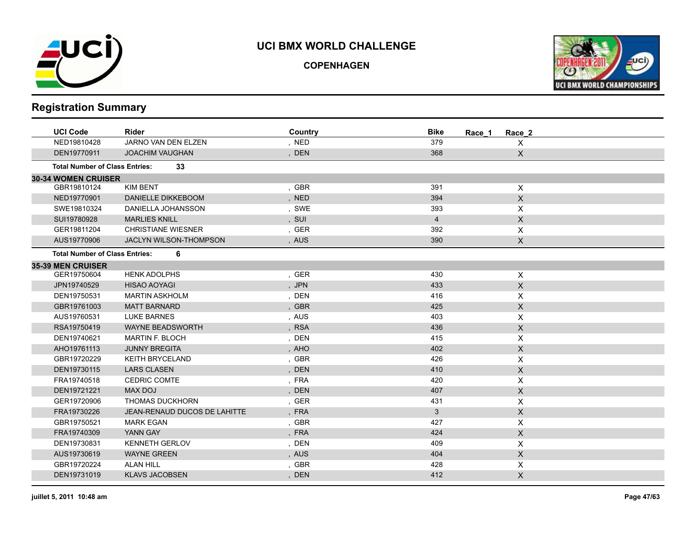

**COPENHAGEN**



| <b>UCI Code</b>                       | <b>Rider</b>                  | Country | <b>Bike</b><br>Race 1 | Race 2                    |
|---------------------------------------|-------------------------------|---------|-----------------------|---------------------------|
| NED19810428                           | JARNO VAN DEN ELZEN           | , NED   | 379                   | $\mathsf{X}$              |
| DEN19770911                           | <b>JOACHIM VAUGHAN</b>        | , DEN   | 368                   | $\mathsf X$               |
| <b>Total Number of Class Entries:</b> | 33                            |         |                       |                           |
| <b>30-34 WOMEN CRUISER</b>            |                               |         |                       |                           |
| GBR19810124                           | KIM BENT                      | , GBR   | 391                   | $\boldsymbol{\mathsf{X}}$ |
| NED19770901                           | DANIELLE DIKKEBOOM            | , NED   | 394                   | $\mathsf{X}$              |
| SWE19810324                           | DANIELLA JOHANSSON            | , SWE   | 393                   | X                         |
| SUI19780928                           | <b>MARLIES KNILL</b>          | , SUI   | $\overline{4}$        | $\mathsf X$               |
| GER19811204                           | <b>CHRISTIANE WIESNER</b>     | , GER   | 392                   | $\boldsymbol{\mathsf{X}}$ |
| AUS19770906                           | <b>JACLYN WILSON-THOMPSON</b> | , AUS   | 390                   | $\mathsf{X}$              |
| <b>Total Number of Class Entries:</b> | 6                             |         |                       |                           |
| <b>35-39 MEN CRUISER</b>              |                               |         |                       |                           |
| GER19750604                           | <b>HENK ADOLPHS</b>           | , GER   | 430                   | $\boldsymbol{\mathsf{X}}$ |
| JPN19740529                           | <b>HISAO AOYAGI</b>           | , JPN   | 433                   | $\boldsymbol{\mathsf{X}}$ |
| DEN19750531                           | <b>MARTIN ASKHOLM</b>         | , DEN   | 416                   | $\boldsymbol{\mathsf{X}}$ |
| GBR19761003                           | <b>MATT BARNARD</b>           | , GBR   | 425                   | $\mathsf X$               |
| AUS19760531                           | <b>LUKE BARNES</b>            | , AUS   | 403                   | X                         |
| RSA19750419                           | <b>WAYNE BEADSWORTH</b>       | , RSA   | 436                   | $\mathsf X$               |
| DEN19740621                           | <b>MARTIN F. BLOCH</b>        | , DEN   | 415                   | X                         |
| AHO19761113                           | <b>JUNNY BREGITA</b>          | , AHO   | 402                   | $\mathsf X$               |
| GBR19720229                           | <b>KEITH BRYCELAND</b>        | , GBR   | 426                   | X                         |
| DEN19730115                           | <b>LARS CLASEN</b>            | , DEN   | 410                   | $\mathsf{X}$              |
| FRA19740518                           | <b>CEDRIC COMTE</b>           | , FRA   | 420                   | X                         |
| DEN19721221                           | MAX DOJ                       | , DEN   | 407                   | $\mathsf X$               |
| GER19720906                           | <b>THOMAS DUCKHORN</b>        | , GER   | 431                   | X                         |
| FRA19730226                           | JEAN-RENAUD DUCOS DE LAHITTE  | , FRA   | $\mathbf{3}$          | $\pmb{\times}$            |
| GBR19750521                           | <b>MARK EGAN</b>              | , GBR   | 427                   | X                         |
| FRA19740309                           | YANN GAY                      | , FRA   | 424                   | $\mathsf X$               |
| DEN19730831                           | <b>KENNETH GERLOV</b>         | , DEN   | 409                   | X                         |
| AUS19730619                           | <b>WAYNE GREEN</b>            | , AUS   | 404                   | $\mathsf X$               |
| GBR19720224                           | <b>ALAN HILL</b>              | , GBR   | 428                   | $\boldsymbol{\mathsf{X}}$ |
| DEN19731019                           | <b>KLAVS JACOBSEN</b>         | , DEN   | 412                   | $\mathsf X$               |
|                                       |                               |         |                       |                           |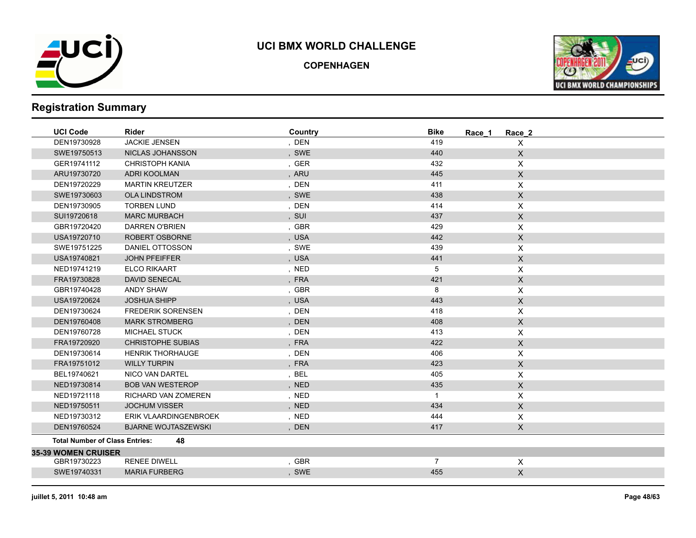

**COPENHAGEN**



| <b>UCI Code</b>                       | <b>Rider</b>               | Country | <b>Bike</b><br>Race 1 | Race 2                    |
|---------------------------------------|----------------------------|---------|-----------------------|---------------------------|
| DEN19730928                           | JACKIE JENSEN              | , DEN   | 419                   | $\mathsf{X}$              |
| SWE19750513                           | NICLAS JOHANSSON           | , SWE   | 440                   | $\mathsf{X}$              |
| GER19741112                           | CHRISTOPH KANIA            | , GER   | 432                   | $\mathsf{X}$              |
| ARU19730720                           | <b>ADRI KOOLMAN</b>        | , ARU   | 445                   | $\mathsf{X}$              |
| DEN19720229                           | <b>MARTIN KREUTZER</b>     | , DEN   | 411                   | $\mathsf{X}$              |
| SWE19730603                           | <b>OLA LINDSTROM</b>       | , SWE   | 438                   | $\mathsf{X}$              |
| DEN19730905                           | <b>TORBEN LUND</b>         | , DEN   | 414                   | $\mathsf{X}$              |
| SUI19720618                           | <b>MARC MURBACH</b>        | , SUI   | 437                   | $\mathsf{X}$              |
| GBR19720420                           | DARREN O'BRIEN             | , GBR   | 429                   | X                         |
| USA19720710                           | ROBERT OSBORNE             | , USA   | 442                   | $\mathsf X$               |
| SWE19751225                           | DANIEL OTTOSSON            | , SWE   | 439                   | $\mathsf{X}$              |
| USA19740821                           | <b>JOHN PFEIFFER</b>       | , USA   | 441                   | $\mathsf X$               |
| NED19741219                           | <b>ELCO RIKAART</b>        | , NED   | 5                     | $\mathsf{X}$              |
| FRA19730828                           | <b>DAVID SENECAL</b>       | , FRA   | 421                   | $\mathsf X$               |
| GBR19740428                           | <b>ANDY SHAW</b>           | , GBR   | 8                     | $\mathsf{X}$              |
| USA19720624                           | <b>JOSHUA SHIPP</b>        | , USA   | 443                   | $\mathsf X$               |
| DEN19730624                           | <b>FREDERIK SORENSEN</b>   | , DEN   | 418                   | $\pmb{\mathsf{X}}$        |
| DEN19760408                           | <b>MARK STROMBERG</b>      | , DEN   | 408                   | $\mathsf{X}$              |
| DEN19760728                           | <b>MICHAEL STUCK</b>       | , DEN   | 413                   | $\mathsf{X}$              |
| FRA19720920                           | <b>CHRISTOPHE SUBIAS</b>   | , FRA   | 422                   | $\mathsf{X}$              |
| DEN19730614                           | <b>HENRIK THORHAUGE</b>    | , DEN   | 406                   | $\pmb{\times}$            |
| FRA19751012                           | <b>WILLY TURPIN</b>        | , FRA   | 423                   | $\mathsf X$               |
| BEL19740621                           | NICO VAN DARTEL            | BEL     | 405                   | $\mathsf{X}$              |
| NED19730814                           | <b>BOB VAN WESTEROP</b>    | , NED   | 435                   | $\mathsf X$               |
| NED19721118                           | RICHARD VAN ZOMEREN        | , NED   | $\mathbf{1}$          | $\mathsf{X}$              |
| NED19750511                           | <b>JOCHUM VISSER</b>       | , NED   | 434                   | $\mathsf{X}$              |
| NED19730312                           | ERIK VLAARDINGENBROEK      | , NED   | 444                   | $\mathsf{X}$              |
| DEN19760524                           | <b>BJARNE WOJTASZEWSKI</b> | , DEN   | 417                   | $\mathsf X$               |
| <b>Total Number of Class Entries:</b> | 48                         |         |                       |                           |
| <b>35-39 WOMEN CRUISER</b>            |                            |         |                       |                           |
| GBR19730223                           | <b>RENEE DIWELL</b>        | , GBR   | $\overline{7}$        | $\boldsymbol{\mathsf{X}}$ |
| SWE19740331                           | <b>MARIA FURBERG</b>       | , SWE   | 455                   | $\mathsf{X}$              |
|                                       |                            |         |                       |                           |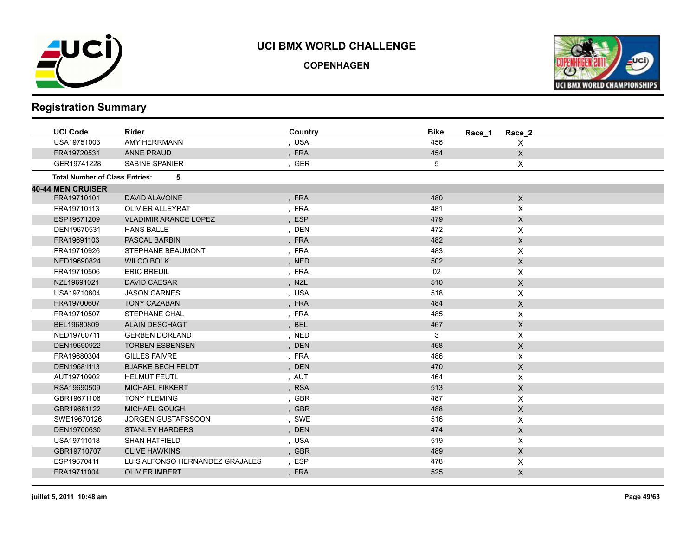

**COPENHAGEN**



| <b>UCI Code</b>                       | <b>Rider</b>                    | Country    | <b>Bike</b><br>Race 1 | Race_2                    |
|---------------------------------------|---------------------------------|------------|-----------------------|---------------------------|
| USA19751003                           | AMY HERRMANN                    | , USA      | 456                   | X                         |
| FRA19720531                           | <b>ANNE PRAUD</b>               | , FRA      | 454                   | X                         |
| GER19741228                           | SABINE SPANIER                  | , GER      | 5                     | X                         |
| <b>Total Number of Class Entries:</b> | 5                               |            |                       |                           |
| <b>40-44 MEN CRUISER</b>              |                                 |            |                       |                           |
| FRA19710101                           | <b>DAVID ALAVOINE</b>           | , FRA      | 480                   | $\mathsf{X}$              |
| FRA19710113                           | <b>OLIVIER ALLEYRAT</b>         | , FRA      | 481                   | X                         |
| ESP19671209                           | <b>VLADIMIR ARANCE LOPEZ</b>    | <b>ESP</b> | 479                   | X                         |
| DEN19670531                           | <b>HANS BALLE</b>               | , DEN      | 472                   | X                         |
| FRA19691103                           | PASCAL BARBIN                   | , FRA      | 482                   | $\mathsf X$               |
| FRA19710926                           | STEPHANE BEAUMONT               | , FRA      | 483                   | X                         |
| NED19690824                           | <b>WILCO BOLK</b>               | , NED      | 502                   | $\boldsymbol{\mathsf{X}}$ |
| FRA19710506                           | <b>ERIC BREUIL</b>              | , FRA      | 02                    | X                         |
| NZL19691021                           | <b>DAVID CAESAR</b>             | , NZL      | 510                   | $\boldsymbol{\mathsf{X}}$ |
| USA19710804                           | <b>JASON CARNES</b>             | , USA      | 518                   | X                         |
| FRA19700607                           | <b>TONY CAZABAN</b>             | , FRA      | 484                   | $\mathsf X$               |
| FRA19710507                           | STEPHANE CHAL                   | , FRA      | 485                   | Χ                         |
| BEL19680809                           | <b>ALAIN DESCHAGT</b>           | <b>BEL</b> | 467                   | $\mathsf X$               |
| NED19700711                           | <b>GERBEN DORLAND</b>           | , NED      | 3                     | X                         |
| DEN19690922                           | <b>TORBEN ESBENSEN</b>          | , DEN      | 468                   | $\mathsf{X}$              |
| FRA19680304                           | <b>GILLES FAIVRE</b>            | , FRA      | 486                   | X                         |
| DEN19681113                           | <b>BJARKE BECH FELDT</b>        | , DEN      | 470                   | X                         |
| AUT19710902                           | <b>HELMUT FEUTL</b>             | , AUT      | 464                   | X                         |
| RSA19690509                           | <b>MICHAEL FIKKERT</b>          | , RSA      | 513                   | $\mathsf X$               |
| GBR19671106                           | <b>TONY FLEMING</b>             | , GBR      | 487                   | X                         |
| GBR19681122                           | <b>MICHAEL GOUGH</b>            | , GBR      | 488                   | $\boldsymbol{\mathsf{X}}$ |
| SWE19670126                           | <b>JORGEN GUSTAFSSOON</b>       | , SWE      | 516                   | X                         |
| DEN19700630                           | <b>STANLEY HARDERS</b>          | , DEN      | 474                   | $\boldsymbol{\mathsf{X}}$ |
| USA19711018                           | <b>SHAN HATFIELD</b>            | , USA      | 519                   | X                         |
| GBR19710707                           | <b>CLIVE HAWKINS</b>            | , GBR      | 489                   | $\mathsf{X}$              |
| ESP19670411                           | LUIS ALFONSO HERNANDEZ GRAJALES | , ESP      | 478                   | X                         |
| FRA19711004                           | <b>OLIVIER IMBERT</b>           | , FRA      | 525                   | $\mathsf{X}$              |
|                                       |                                 |            |                       |                           |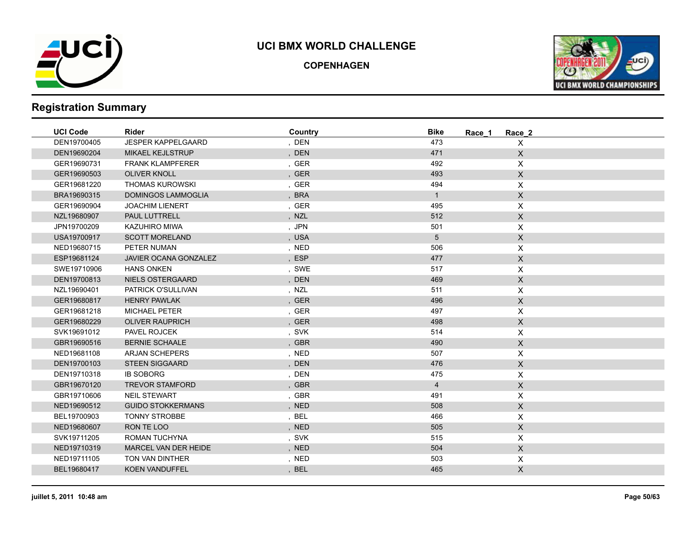

**COPENHAGEN**



| <b>UCI Code</b> | <b>Rider</b>              | Country | <b>Bike</b>    | Race 1<br>Race 2 |  |
|-----------------|---------------------------|---------|----------------|------------------|--|
| DEN19700405     | <b>JESPER KAPPELGAARD</b> | , DEN   | 473            | X                |  |
| DEN19690204     | <b>MIKAEL KEJLSTRUP</b>   | , DEN   | 471            | $\mathsf X$      |  |
| GER19690731     | <b>FRANK KLAMPFERER</b>   | , GER   | 492            | $\mathsf X$      |  |
| GER19690503     | <b>OLIVER KNOLL</b>       | , GER   | 493            | $\mathsf X$      |  |
| GER19681220     | <b>THOMAS KUROWSKI</b>    | , GER   | 494            | $\pmb{\times}$   |  |
| BRA19690315     | <b>DOMINGOS LAMMOGLIA</b> | , BRA   | $\mathbf{1}$   | $\mathsf X$      |  |
| GER19690904     | <b>JOACHIM LIENERT</b>    | , GER   | 495            | X                |  |
| NZL19680907     | PAUL LUTTRELL             | , NZL   | 512            | $\mathsf X$      |  |
| JPN19700209     | KAZUHIRO MIWA             | , JPN   | 501            | X                |  |
| USA19700917     | <b>SCOTT MORELAND</b>     | , USA   | 5              | $\mathsf X$      |  |
| NED19680715     | PETER NUMAN               | , NED   | 506            | X                |  |
| ESP19681124     | JAVIER OCANA GONZALEZ     | , ESP   | 477            | $\mathsf X$      |  |
| SWE19710906     | <b>HANS ONKEN</b>         | , SWE   | 517            | X                |  |
| DEN19700813     | NIELS OSTERGAARD          | , DEN   | 469            | $\mathsf X$      |  |
| NZL19690401     | PATRICK O'SULLIVAN        | , NZL   | 511            | X                |  |
| GER19680817     | <b>HENRY PAWLAK</b>       | , GER   | 496            | X                |  |
| GER19681218     | <b>MICHAEL PETER</b>      | , GER   | 497            | X                |  |
| GER19680229     | <b>OLIVER RAUPRICH</b>    | , GER   | 498            | $\mathsf X$      |  |
| SVK19691012     | PAVEL ROJCEK              | , SVK   | 514            | $\pmb{\times}$   |  |
| GBR19690516     | <b>BERNIE SCHAALE</b>     | , GBR   | 490            | $\mathsf X$      |  |
| NED19681108     | <b>ARJAN SCHEPERS</b>     | , NED   | 507            | X                |  |
| DEN19700103     | <b>STEEN SIGGAARD</b>     | , DEN   | 476            | $\mathsf X$      |  |
| DEN19710318     | <b>IB SOBORG</b>          | , DEN   | 475            | X                |  |
| GBR19670120     | <b>TREVOR STAMFORD</b>    | , GBR   | $\overline{4}$ | $\mathsf X$      |  |
| GBR19710606     | <b>NEIL STEWART</b>       | , GBR   | 491            | $\pmb{\times}$   |  |
| NED19690512     | <b>GUIDO STOKKERMANS</b>  | , NED   | 508            | $\mathsf X$      |  |
| BEL19700903     | <b>TONNY STROBBE</b>      | , BEL   | 466            | X                |  |
| NED19680607     | RON TE LOO                | , NED   | 505            | $\mathsf X$      |  |
| SVK19711205     | ROMAN TUCHYNA             | , SVK   | 515            | X                |  |
| NED19710319     | MARCEL VAN DER HEIDE      | , NED   | 504            | $\mathsf{X}$     |  |
| NED19711105     | TON VAN DINTHER           | , NED   | 503            | X                |  |
| BEL19680417     | <b>KOEN VANDUFFEL</b>     | , BEL   | 465            | $\mathsf X$      |  |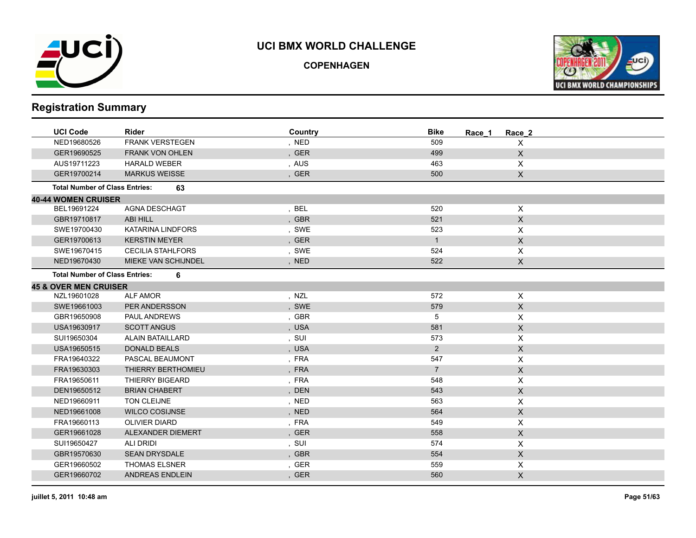

**COPENHAGEN**



| <b>UCI Code</b>                       | <b>Rider</b>             | Country | <b>Bike</b><br>Race 1 | Race 2                    |
|---------------------------------------|--------------------------|---------|-----------------------|---------------------------|
| NED19680526                           | <b>FRANK VERSTEGEN</b>   | , NED   | 509                   | X                         |
| GER19690525                           | <b>FRANK VON OHLEN</b>   | , GER   | 499                   | $\boldsymbol{\mathsf{X}}$ |
| AUS19711223                           | <b>HARALD WEBER</b>      | , AUS   | 463                   | X                         |
| GER19700214                           | <b>MARKUS WEISSE</b>     | , GER   | 500                   | $\mathsf{X}$              |
| <b>Total Number of Class Entries:</b> | 63                       |         |                       |                           |
| <b>40-44 WOMEN CRUISER</b>            |                          |         |                       |                           |
| BEL19691224                           | <b>AGNA DESCHAGT</b>     | , BEL   | 520                   | $\sf X$                   |
| GBR19710817                           | ABI HILL                 | , GBR   | 521                   | $\mathsf X$               |
| SWE19700430                           | <b>KATARINA LINDFORS</b> | , SWE   | 523                   | X                         |
| GER19700613                           | <b>KERSTIN MEYER</b>     | , GER   | $\mathbf{1}$          | $\boldsymbol{\mathsf{X}}$ |
| SWE19670415                           | <b>CECILIA STAHLFORS</b> | , SWE   | 524                   | X                         |
| NED19670430                           | MIEKE VAN SCHIJNDEL      | , NED   | 522                   | $\mathsf X$               |
| <b>Total Number of Class Entries:</b> | 6                        |         |                       |                           |
| <b>45 &amp; OVER MEN CRUISER</b>      |                          |         |                       |                           |
| NZL19601028                           | <b>ALF AMOR</b>          | , NZL   | 572                   | $\pmb{\times}$            |
| SWE19661003                           | PER ANDERSSON            | , SWE   | 579                   | $\mathsf X$               |
| GBR19650908                           | PAUL ANDREWS             | , GBR   | 5                     | X                         |
| USA19630917                           | <b>SCOTT ANGUS</b>       | , USA   | 581                   | $\mathsf{X}$              |
| SUI19650304                           | <b>ALAIN BATAILLARD</b>  | , SUI   | 573                   | X                         |
| USA19650515                           | <b>DONALD BEALS</b>      | , USA   | $\overline{2}$        | $\mathsf X$               |
| FRA19640322                           | PASCAL BEAUMONT          | , FRA   | 547                   | X                         |
| FRA19630303                           | THIERRY BERTHOMIEU       | , FRA   | $7^{\circ}$           | $\mathsf{X}$              |
| FRA19650611                           | THIERRY BIGEARD          | , FRA   | 548                   | X                         |
| DEN19650512                           | <b>BRIAN CHABERT</b>     | , DEN   | 543                   | $\mathsf X$               |
| NED19660911                           | TON CLEIJNE              | , NED   | 563                   | X                         |
| NED19661008                           | <b>WILCO COSIJNSE</b>    | , NED   | 564                   | $\mathsf X$               |
| FRA19660113                           | <b>OLIVIER DIARD</b>     | , FRA   | 549                   | X                         |
| GER19661028                           | ALEXANDER DIEMERT        | , GER   | 558                   | $\mathsf X$               |
| SUI19650427                           | <b>ALI DRIDI</b>         | , SUI   | 574                   | X                         |
| GBR19570630                           | <b>SEAN DRYSDALE</b>     | , GBR   | 554                   | $\mathsf X$               |
| GER19660502                           | <b>THOMAS ELSNER</b>     | , GER   | 559                   | X                         |
| GER19660702                           | <b>ANDREAS ENDLEIN</b>   | , GER   | 560                   | $\mathsf{X}$              |
|                                       |                          |         |                       |                           |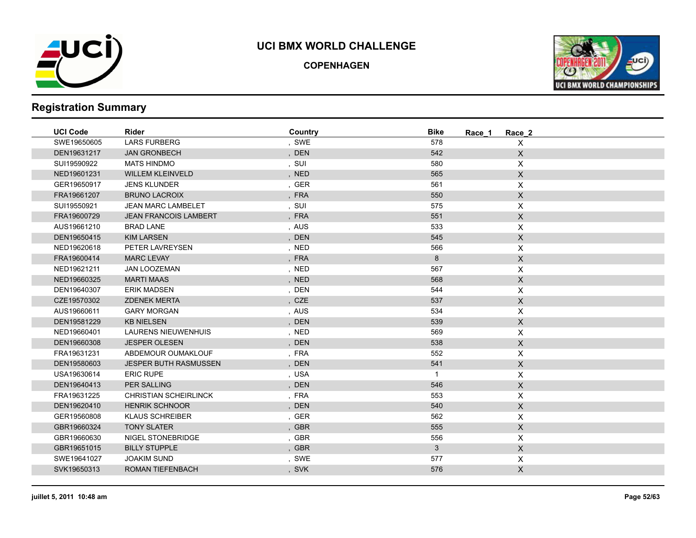

**COPENHAGEN**



| <b>UCI Code</b> | Rider                        | Country | <b>Bike</b><br>Race 1 | Race 2                    |
|-----------------|------------------------------|---------|-----------------------|---------------------------|
| SWE19650605     | <b>LARS FURBERG</b>          | , SWE   | 578                   | X                         |
| DEN19631217     | <b>JAN GRONBECH</b>          | , DEN   | 542                   | $\boldsymbol{\mathsf{X}}$ |
| SUI19590922     | <b>MATS HINDMO</b>           | , SUI   | 580                   | X                         |
| NED19601231     | <b>WILLEM KLEINVELD</b>      | , NED   | 565                   | $\mathsf X$               |
| GER19650917     | <b>JENS KLUNDER</b>          | , GER   | 561                   | X                         |
| FRA19661207     | <b>BRUNO LACROIX</b>         | , FRA   | 550                   | $\mathsf X$               |
| SUI19550921     | <b>JEAN MARC LAMBELET</b>    | , SUI   | 575                   | X                         |
| FRA19600729     | <b>JEAN FRANCOIS LAMBERT</b> | , FRA   | 551                   | $\mathsf X$               |
| AUS19661210     | <b>BRAD LANE</b>             | , AUS   | 533                   | X                         |
| DEN19650415     | <b>KIM LARSEN</b>            | , DEN   | 545                   | $\mathsf X$               |
| NED19620618     | PETER LAVREYSEN              | , NED   | 566                   | X                         |
| FRA19600414     | <b>MARC LEVAY</b>            | , FRA   | 8                     | $\mathsf X$               |
| NED19621211     | JAN LOOZEMAN                 | , NED   | 567                   | X                         |
| NED19660325     | <b>MARTI MAAS</b>            | , NED   | 568                   | $\mathsf X$               |
| DEN19640307     | <b>ERIK MADSEN</b>           | , DEN   | 544                   | X                         |
| CZE19570302     | <b>ZDENEK MERTA</b>          | , CZE   | 537                   | $\mathsf X$               |
| AUS19660611     | <b>GARY MORGAN</b>           | , AUS   | 534                   | $\pmb{\times}$            |
| DEN19581229     | <b>KB NIELSEN</b>            | , DEN   | 539                   | $\mathsf X$               |
| NED19660401     | <b>LAURENS NIEUWENHUIS</b>   | , NED   | 569                   | X                         |
| DEN19660308     | <b>JESPER OLESEN</b>         | , DEN   | 538                   | $\mathsf X$               |
| FRA19631231     | ABDEMOUR OUMAKLOUF           | , FRA   | 552                   | X                         |
| DEN19580603     | <b>JESPER BUTH RASMUSSEN</b> | , DEN   | 541                   | $\mathsf{X}$              |
| USA19630614     | <b>ERIC RUPE</b>             | , USA   | $\mathbf{1}$          | X                         |
| DEN19640413     | <b>PER SALLING</b>           | , DEN   | 546                   | $\mathsf X$               |
| FRA19631225     | <b>CHRISTIAN SCHEIRLINCK</b> | , FRA   | 553                   | X                         |
| DEN19620410     | <b>HENRIK SCHNOOR</b>        | , DEN   | 540                   | $\mathsf X$               |
| GER19560808     | <b>KLAUS SCHREIBER</b>       | , GER   | 562                   | X                         |
| GBR19660324     | <b>TONY SLATER</b>           | , GBR   | 555                   | $\mathsf X$               |
| GBR19660630     | NIGEL STONEBRIDGE            | , GBR   | 556                   | X                         |
| GBR19651015     | <b>BILLY STUPPLE</b>         | , GBR   | $\mathbf{3}$          | $\mathsf X$               |
| SWE19641027     | <b>JOAKIM SUND</b>           | , SWE   | 577                   | X                         |
| SVK19650313     | <b>ROMAN TIEFENBACH</b>      | , SVK   | 576                   | $\mathsf X$               |
|                 |                              |         |                       |                           |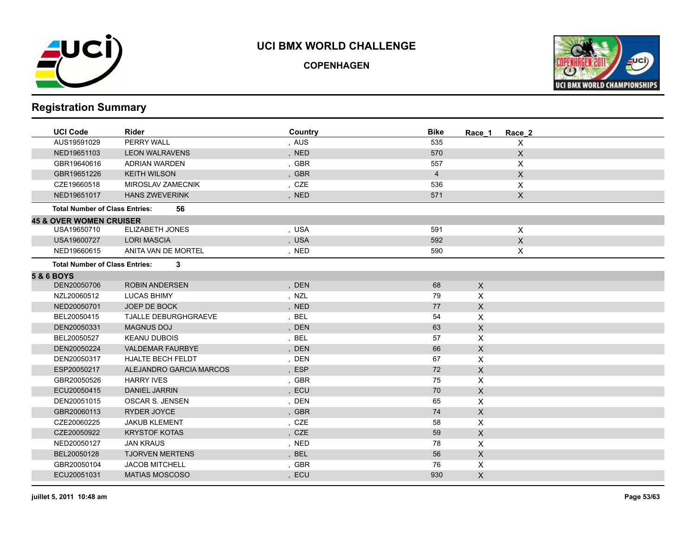

**COPENHAGEN**



| <b>UCI Code</b>                       | Rider                       | Country | <b>Bike</b>    | Race 1       | Race 2       |
|---------------------------------------|-----------------------------|---------|----------------|--------------|--------------|
| AUS19591029                           | PERRY WALL                  | , AUS   | 535            |              | X            |
| NED19651103                           | <b>LEON WALRAVENS</b>       | , NED   | 570            |              | $\mathsf X$  |
| GBR19640616                           | <b>ADRIAN WARDEN</b>        | , GBR   | 557            |              | X            |
| GBR19651226                           | <b>KEITH WILSON</b>         | , GBR   | $\overline{4}$ |              | $\mathsf X$  |
| CZE19660518                           | MIROSLAV ZAMECNIK           | , CZE   | 536            |              | X            |
| NED19651017                           | <b>HANS ZWEVERINK</b>       | , NED   | 571            |              | $\mathsf X$  |
| <b>Total Number of Class Entries:</b> | 56                          |         |                |              |              |
| <b>45 &amp; OVER WOMEN CRUISER</b>    |                             |         |                |              |              |
| USA19650710                           | <b>ELIZABETH JONES</b>      | , USA   | 591            |              | $\mathsf X$  |
| USA19600727                           | <b>LORI MASCIA</b>          | , USA   | 592            |              | $\mathsf{X}$ |
| NED19660615                           | ANITA VAN DE MORTEL         | , NED   | 590            |              | X.           |
| <b>Total Number of Class Entries:</b> | 3                           |         |                |              |              |
| <b>5 &amp; 6 BOYS</b>                 |                             |         |                |              |              |
| DEN20050706                           | <b>ROBIN ANDERSEN</b>       | , DEN   | 68             | $\mathsf{X}$ |              |
| NZL20060512                           | <b>LUCAS BHIMY</b>          | , NZL   | 79             | X            |              |
| NED20050701                           | JOEP DE BOCK                | , NED   | 77             | $\mathsf{X}$ |              |
| BEL20050415                           | <b>TJALLE DEBURGHGRAEVE</b> | , BEL   | 54             | X            |              |
| DEN20050331                           | <b>MAGNUS DOJ</b>           | , DEN   | 63             | $\mathsf{X}$ |              |
| BEL20050527                           | <b>KEANU DUBOIS</b>         | , BEL   | 57             | $\mathsf{X}$ |              |
| DEN20050224                           | <b>VALDEMAR FAURBYE</b>     | , DEN   | 66             | $\mathsf X$  |              |
| DEN20050317                           | <b>HJALTE BECH FELDT</b>    | , DEN   | 67             | X            |              |
| ESP20050217                           | ALEJANDRO GARCIA MARCOS     | , ESP   | 72             | $\mathsf{X}$ |              |
| GBR20050526                           | <b>HARRY IVES</b>           | , GBR   | 75             | X            |              |
| ECU20050415                           | <b>DANIEL JARRIN</b>        | , ECU   | 70             | $\mathsf{X}$ |              |
| DEN20051015                           | OSCAR S. JENSEN             | , DEN   | 65             | X            |              |
| GBR20060113                           | <b>RYDER JOYCE</b>          | , GBR   | 74             | $\mathsf{X}$ |              |
| CZE20060225                           | <b>JAKUB KLEMENT</b>        | , CZE   | 58             | X            |              |
| CZE20050922                           | <b>KRYSTOF KOTAS</b>        | , CZE   | 59             | $\mathsf{X}$ |              |
| NED20050127                           | <b>JAN KRAUS</b>            | , NED   | 78             | $\mathsf{X}$ |              |
| BEL20050128                           | <b>TJORVEN MERTENS</b>      | , BEL   | 56             | $\mathsf{X}$ |              |
| GBR20050104                           | <b>JACOB MITCHELL</b>       | , GBR   | 76             | X            |              |
| ECU20051031                           | <b>MATIAS MOSCOSO</b>       | , ECU   | 930            | $\mathsf{X}$ |              |
|                                       |                             |         |                |              |              |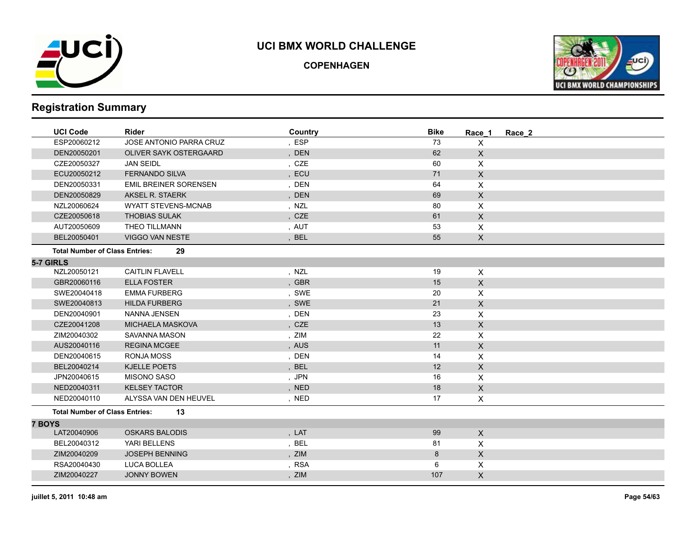

**COPENHAGEN**



|               | <b>UCI Code</b>                       | <b>Rider</b>                 | Country | <b>Bike</b> | Race 1       | Race 2 |
|---------------|---------------------------------------|------------------------------|---------|-------------|--------------|--------|
|               | ESP20060212                           | JOSE ANTONIO PARRA CRUZ      | , ESP   | 73          | X            |        |
|               | DEN20050201                           | OLIVER SAYK OSTERGAARD       | , DEN   | 62          | $\mathsf{X}$ |        |
|               | CZE20050327                           | <b>JAN SEIDL</b>             | , CZE   | 60          | X            |        |
|               | ECU20050212                           | <b>FERNANDO SILVA</b>        | , ECU   | 71          | $\mathsf{X}$ |        |
|               | DEN20050331                           | <b>EMIL BREINER SORENSEN</b> | , DEN   | 64          | X            |        |
|               | DEN20050829                           | AKSEL R. STAERK              | , DEN   | 69          | $\mathsf{X}$ |        |
|               | NZL20060624                           | <b>WYATT STEVENS-MCNAB</b>   | , NZL   | 80          | X            |        |
|               | CZE20050618                           | <b>THOBIAS SULAK</b>         | , CZE   | 61          | $\mathsf{X}$ |        |
|               | AUT20050609                           | THEO TILLMANN                | , AUT   | 53          | X            |        |
|               | BEL20050401                           | <b>VIGGO VAN NESTE</b>       | , BEL   | 55          | $\mathsf{X}$ |        |
|               | <b>Total Number of Class Entries:</b> | 29                           |         |             |              |        |
|               | 5-7 GIRLS                             |                              |         |             |              |        |
|               | NZL20050121                           | <b>CAITLIN FLAVELL</b>       | , NZL   | 19          | X            |        |
|               | GBR20060116                           | <b>ELLA FOSTER</b>           | , GBR   | 15          | $\mathsf{X}$ |        |
|               | SWE20040418                           | <b>EMMA FURBERG</b>          | , SWE   | 20          | X            |        |
|               | SWE20040813                           | <b>HILDA FURBERG</b>         | , SWE   | 21          | $\mathsf{X}$ |        |
|               | DEN20040901                           | NANNA JENSEN                 | , DEN   | 23          | X            |        |
|               | CZE20041208                           | <b>MICHAELA MASKOVA</b>      | , CZE   | 13          | $\mathsf{X}$ |        |
|               | ZIM20040302                           | <b>SAVANNA MASON</b>         | , ZIM   | 22          | X            |        |
|               | AUS20040116                           | <b>REGINA MCGEE</b>          | , AUS   | 11          | $\mathsf{X}$ |        |
|               | DEN20040615                           | <b>RONJA MOSS</b>            | , DEN   | 14          | X            |        |
|               | BEL20040214                           | KJELLE POETS                 | , BEL   | 12          | $\mathsf{X}$ |        |
|               | JPN20040615                           | <b>MISONO SASO</b>           | , JPN   | 16          | X            |        |
|               | NED20040311                           | <b>KELSEY TACTOR</b>         | , NED   | 18          | $\mathsf{X}$ |        |
|               | NED20040110                           | ALYSSA VAN DEN HEUVEL        | , NED   | 17          | $\mathsf{X}$ |        |
|               | <b>Total Number of Class Entries:</b> | 13                           |         |             |              |        |
| <b>7 BOYS</b> |                                       |                              |         |             |              |        |
|               | LAT20040906                           | <b>OSKARS BALODIS</b>        | , LAT   | 99          | $\mathsf{X}$ |        |
|               | BEL20040312                           | YARI BELLENS                 | , BEL   | 81          | X            |        |
|               | ZIM20040209                           | <b>JOSEPH BENNING</b>        | , ZIM   | 8           | $\mathsf{X}$ |        |
|               | RSA20040430                           | LUCA BOLLEA                  | , RSA   | 6           | X            |        |
|               | ZIM20040227                           | <b>JONNY BOWEN</b>           | , ZIM   | 107         | X            |        |
|               |                                       |                              |         |             |              |        |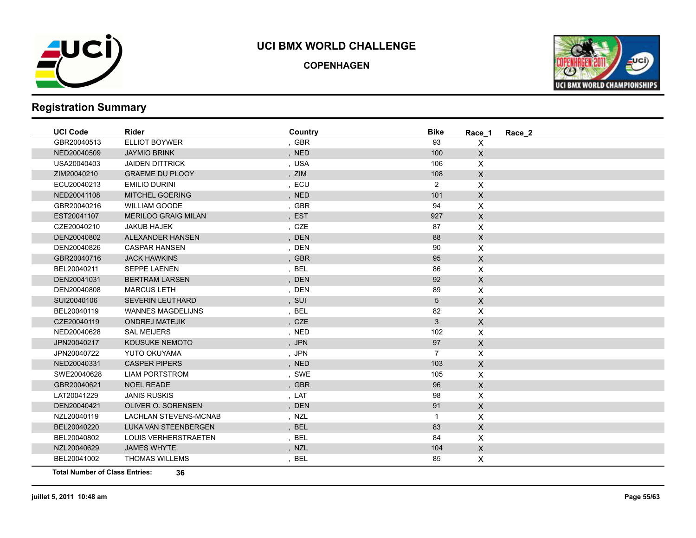

**COPENHAGEN**



# **Registration Summary**

| <b>UCI Code</b> | <b>Rider</b>                 | Country | <b>Bike</b>    | Race 1                    | Race 2 |
|-----------------|------------------------------|---------|----------------|---------------------------|--------|
| GBR20040513     | <b>ELLIOT BOYWER</b>         | , GBR   | 93             | $\boldsymbol{\mathsf{X}}$ |        |
| NED20040509     | <b>JAYMIO BRINK</b>          | , NED   | 100            | $\mathsf X$               |        |
| USA20040403     | <b>JAIDEN DITTRICK</b>       | , USA   | 106            | X                         |        |
| ZIM20040210     | <b>GRAEME DU PLOOY</b>       | ZIM     | 108            | $\mathsf X$               |        |
| ECU20040213     | <b>EMILIO DURINI</b>         | , ECU   | $\overline{2}$ | $\boldsymbol{\mathsf{X}}$ |        |
| NED20041108     | <b>MITCHEL GOERING</b>       | , NED   | 101            | $\mathsf X$               |        |
| GBR20040216     | <b>WILLIAM GOODE</b>         | , GBR   | 94             | $\mathsf{X}$              |        |
| EST20041107     | <b>MERILOO GRAIG MILAN</b>   | , EST   | 927            | $\mathsf X$               |        |
| CZE20040210     | <b>JAKUB HAJEK</b>           | , CZE   | 87             | X                         |        |
| DEN20040802     | ALEXANDER HANSEN             | , DEN   | 88             | $\mathsf{X}$              |        |
| DEN20040826     | <b>CASPAR HANSEN</b>         | , DEN   | 90             | X                         |        |
| GBR20040716     | <b>JACK HAWKINS</b>          | , GBR   | 95             | $\mathsf{X}$              |        |
| BEL20040211     | <b>SEPPE LAENEN</b>          | , BEL   | 86             | X                         |        |
| DEN20041031     | <b>BERTRAM LARSEN</b>        | , DEN   | 92             | $\mathsf X$               |        |
| DEN20040808     | <b>MARCUS LETH</b>           | , DEN   | 89             | X                         |        |
| SUI20040106     | <b>SEVERIN LEUTHARD</b>      | , SUI   | 5              | $\mathsf X$               |        |
| BEL20040119     | <b>WANNES MAGDELIJNS</b>     | , BEL   | 82             | X                         |        |
| CZE20040119     | <b>ONDREJ MATEJIK</b>        | , CZE   | 3              | $\mathsf{X}$              |        |
| NED20040628     | <b>SAL MEIJERS</b>           | , NED   | 102            | X                         |        |
| JPN20040217     | <b>KOUSUKE NEMOTO</b>        | , JPN   | 97             | $\mathsf X$               |        |
| JPN20040722     | YUTO OKUYAMA                 | , JPN   | $\overline{7}$ | X                         |        |
| NED20040331     | <b>CASPER PIPERS</b>         | , NED   | 103            | $\mathsf{X}$              |        |
| SWE20040628     | <b>LIAM PORTSTROM</b>        | , SWE   | 105            | $\boldsymbol{\mathsf{X}}$ |        |
| GBR20040621     | <b>NOEL READE</b>            | , GBR   | 96             | $\mathsf{X}$              |        |
| LAT20041229     | <b>JANIS RUSKIS</b>          | , LAT   | 98             | X                         |        |
| DEN20040421     | OLIVER O. SORENSEN           | , DEN   | 91             | $\mathsf{X}$              |        |
| NZL20040119     | <b>LACHLAN STEVENS-MCNAB</b> | , NZL   | -1             | $\boldsymbol{\mathsf{X}}$ |        |
| BEL20040220     | LUKA VAN STEENBERGEN         | , BEL   | 83             | $\mathsf X$               |        |
| BEL20040802     | <b>LOUIS VERHERSTRAETEN</b>  | , BEL   | 84             | $\boldsymbol{\mathsf{X}}$ |        |
| NZL20040629     | <b>JAMES WHYTE</b>           | , NZL   | 104            | $\mathsf X$               |        |
| BEL20041002     | <b>THOMAS WILLEMS</b>        | BEL     | 85             | X                         |        |
|                 |                              |         |                |                           |        |

**Total Number of Class Entries: 36**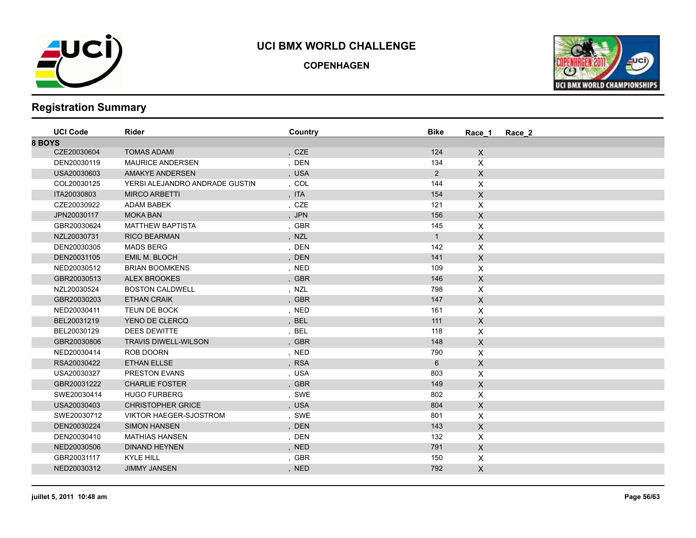

**COPENHAGEN**



| <b>UCI Code</b> | Rider                          | Country | <b>Bike</b>  | Race 1       | Race 2 |
|-----------------|--------------------------------|---------|--------------|--------------|--------|
| 8 BOYS          |                                |         |              |              |        |
| CZE20030604     | <b>TOMAS ADAMI</b>             | , CZE   | 124          | $\mathsf{X}$ |        |
| DEN20030119     | <b>MAURICE ANDERSEN</b>        | , DEN   | 134          | X.           |        |
| USA20030603     | <b>AMAKYE ANDERSEN</b>         | , USA   | $2^{\circ}$  | $\mathsf{X}$ |        |
| COL20030125     | YERSI ALEJANDRO ANDRADE GUSTIN | , COL   | 144          | X.           |        |
| ITA20030803     | <b>MIRCO ARBETTI</b>           | , ITA   | 154          | $\mathsf{X}$ |        |
| CZE20030922     | ADAM BABEK                     | , CZE   | 121          | X.           |        |
| JPN20030117     | <b>MOKA BAN</b>                | , JPN   | 156          | X            |        |
| GBR20030624     | <b>MATTHEW BAPTISTA</b>        | , GBR   | 145          | X.           |        |
| NZL20030731     | <b>RICO BEARMAN</b>            | , NZL   | $\mathbf{1}$ | $\mathsf{X}$ |        |
| DEN20030305     | <b>MADS BERG</b>               | , DEN   | 142          | X            |        |
| DEN20031105     | EMIL M. BLOCH                  | , DEN   | 141          | $\mathsf X$  |        |
| NED20030512     | <b>BRIAN BOOMKENS</b>          | , NED   | 109          | X            |        |
| GBR20030513     | <b>ALEX BROOKES</b>            | , GBR   | 146          | $\mathsf{X}$ |        |
| NZL20030524     | <b>BOSTON CALDWELL</b>         | , NZL   | 798          | X            |        |
| GBR20030203     | <b>ETHAN CRAIK</b>             | , GBR   | 147          | $\mathsf{X}$ |        |
| NED20030411     | TEUN DE BOCK                   | , NED   | 161          | X            |        |
| BEL20031219     | YENO DE CLERCQ                 | , BEL   | 111          | $\mathsf{X}$ |        |
| BEL20030129     | <b>DEES DEWITTE</b>            | , BEL   | 118          | X            |        |
| GBR20030806     | <b>TRAVIS DIWELL-WILSON</b>    | , GBR   | 148          | X            |        |
| NED20030414     | ROB DOORN                      | , NED   | 790          | X            |        |
| RSA20030422     | <b>ETHAN ELLSE</b>             | , RSA   | 6            | X            |        |
| USA20030327     | <b>PRESTON EVANS</b>           | , USA   | 803          | X            |        |
| GBR20031222     | <b>CHARLIE FOSTER</b>          | , GBR   | 149          | X            |        |
| SWE20030414     | <b>HUGO FURBERG</b>            | , SWE   | 802          | X.           |        |
| USA20030403     | <b>CHRISTOPHER GRICE</b>       | , USA   | 804          | $\mathsf{X}$ |        |
| SWE20030712     | <b>VIKTOR HAEGER-SJOSTROM</b>  | , SWE   | 801          | X            |        |
| DEN20030224     | <b>SIMON HANSEN</b>            | , DEN   | 143          | X            |        |
| DEN20030410     | <b>MATHIAS HANSEN</b>          | , DEN   | 132          | X            |        |
| NED20030506     | <b>DINAND HEYNEN</b>           | , NED   | 791          | X            |        |
| GBR20031117     | <b>KYLE HILL</b>               | , GBR   | 150          | X            |        |
| NED20030312     | <b>JIMMY JANSEN</b>            | , NED   | 792          | X            |        |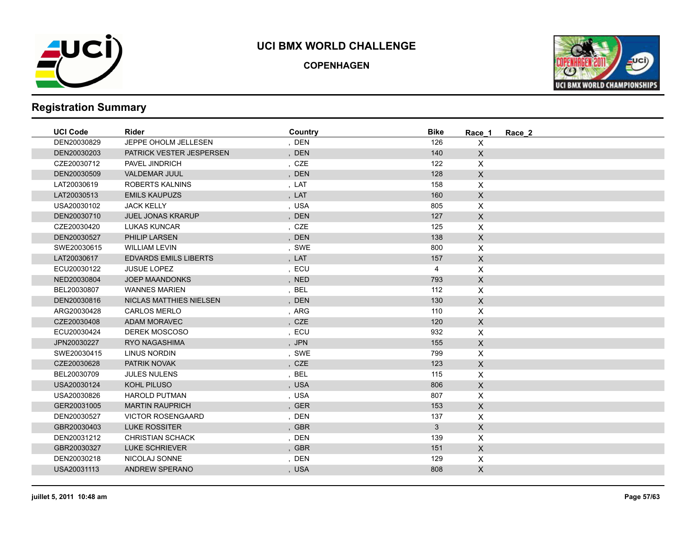

**COPENHAGEN**



| <b>UCI Code</b> | <b>Rider</b>                 | Country | <b>Bike</b>  | Race 1             | Race 2 |
|-----------------|------------------------------|---------|--------------|--------------------|--------|
| DEN20030829     | JEPPE OHOLM JELLESEN         | , DEN   | 126          | $\mathsf{X}$       |        |
| DEN20030203     | PATRICK VESTER JESPERSEN     | , DEN   | 140          | $\mathsf{X}$       |        |
| CZE20030712     | PAVEL JINDRICH               | , CZE   | 122          | $\pmb{\times}$     |        |
| DEN20030509     | <b>VALDEMAR JUUL</b>         | , DEN   | 128          | $\mathsf{X}$       |        |
| LAT20030619     | <b>ROBERTS KALNINS</b>       | , LAT   | 158          | $\pmb{\times}$     |        |
| LAT20030513     | <b>EMILS KAUPUZS</b>         | , LAT   | 160          | $\mathsf{X}$       |        |
| USA20030102     | <b>JACK KELLY</b>            | , USA   | 805          | $\mathsf{X}$       |        |
| DEN20030710     | <b>JUEL JONAS KRARUP</b>     | , DEN   | 127          | $\mathsf{X}$       |        |
| CZE20030420     | <b>LUKAS KUNCAR</b>          | , CZE   | 125          | $\pmb{\mathsf{X}}$ |        |
| DEN20030527     | PHILIP LARSEN                | , DEN   | 138          | $\mathsf X$        |        |
| SWE20030615     | <b>WILLIAM LEVIN</b>         | , SWE   | 800          | $\mathsf{X}$       |        |
| LAT20030617     | <b>EDVARDS EMILS LIBERTS</b> | , LAT   | 157          | $\mathsf{X}$       |        |
| ECU20030122     | <b>JUSUE LOPEZ</b>           | , ECU   | 4            | $\pmb{\mathsf{X}}$ |        |
| NED20030804     | <b>JOEP MAANDONKS</b>        | , NED   | 793          | $\mathsf{X}$       |        |
| BEL20030807     | <b>WANNES MARIEN</b>         | , BEL   | 112          | $\mathsf{X}$       |        |
| DEN20030816     | NICLAS MATTHIES NIELSEN      | , DEN   | 130          | $\mathsf{X}$       |        |
| ARG20030428     | <b>CARLOS MERLO</b>          | , ARG   | 110          | $\mathsf{X}$       |        |
| CZE20030408     | <b>ADAM MORAVEC</b>          | , CZE   | 120          | $\mathsf{X}$       |        |
| ECU20030424     | DEREK MOSCOSO                | , ECU   | 932          | $\pmb{\times}$     |        |
| JPN20030227     | <b>RYO NAGASHIMA</b>         | , JPN   | 155          | $\mathsf{X}$       |        |
| SWE20030415     | <b>LINUS NORDIN</b>          | , SWE   | 799          | $\mathsf{X}$       |        |
| CZE20030628     | PATRIK NOVAK                 | , CZE   | 123          | $\mathsf{X}$       |        |
| BEL20030709     | <b>JULES NULENS</b>          | , BEL   | 115          | $\mathsf{X}$       |        |
| USA20030124     | KOHL PILUSO                  | , USA   | 806          | $\mathsf{X}$       |        |
| USA20030826     | <b>HAROLD PUTMAN</b>         | , USA   | 807          | $\mathsf{X}$       |        |
| GER20031005     | <b>MARTIN RAUPRICH</b>       | , GER   | 153          | $\mathsf{X}$       |        |
| DEN20030527     | <b>VICTOR ROSENGAARD</b>     | , DEN   | 137          | $\mathsf{X}$       |        |
| GBR20030403     | <b>LUKE ROSSITER</b>         | , GBR   | $\mathbf{3}$ | $\mathsf{X}$       |        |
| DEN20031212     | <b>CHRISTIAN SCHACK</b>      | , DEN   | 139          | $\pmb{\times}$     |        |
| GBR20030327     | <b>LUKE SCHRIEVER</b>        | , GBR   | 151          | $\mathsf{X}$       |        |
| DEN20030218     | NICOLAJ SONNE                | , DEN   | 129          | $\mathsf{X}$       |        |
| USA20031113     | <b>ANDREW SPERANO</b>        | , USA   | 808          | $\mathsf{X}$       |        |
|                 |                              |         |              |                    |        |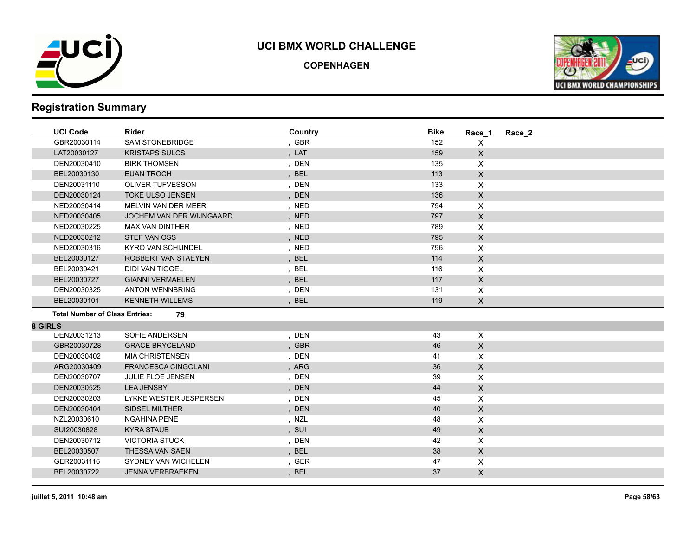

**COPENHAGEN**



|                | <b>UCI Code</b>                       | Rider                      | Country | <b>Bike</b> | Race 1                    | Race 2 |
|----------------|---------------------------------------|----------------------------|---------|-------------|---------------------------|--------|
|                | GBR20030114                           | SAM STONEBRIDGE            | , GBR   | 152         | $\mathsf{X}$              |        |
|                | LAT20030127                           | <b>KRISTAPS SULCS</b>      | , LAT   | 159         | $\pmb{\times}$            |        |
|                | DEN20030410                           | <b>BIRK THOMSEN</b>        | , DEN   | 135         | X                         |        |
|                | BEL20030130                           | <b>EUAN TROCH</b>          | , BEL   | 113         | $\mathsf{X}$              |        |
|                | DEN20031110                           | <b>OLIVER TUFVESSON</b>    | , DEN   | 133         | X                         |        |
|                | DEN20030124                           | <b>TOKE ULSO JENSEN</b>    | , DEN   | 136         | $\mathsf X$               |        |
|                | NED20030414                           | MELVIN VAN DER MEER        | , NED   | 794         | X                         |        |
|                | NED20030405                           | JOCHEM VAN DER WIJNGAARD   | , NED   | 797         | $\mathsf X$               |        |
|                | NED20030225                           | <b>MAX VAN DINTHER</b>     | , NED   | 789         | X                         |        |
|                | NED20030212                           | STEF VAN OSS               | , NED   | 795         | $\pmb{\times}$            |        |
|                | NED20030316                           | <b>KYRO VAN SCHIJNDEL</b>  | , NED   | 796         | $\pmb{\times}$            |        |
|                | BEL20030127                           | ROBBERT VAN STAEYEN        | , BEL   | 114         | $\pmb{\times}$            |        |
|                | BEL20030421                           | <b>DIDI VAN TIGGEL</b>     | , BEL   | 116         | X                         |        |
|                | BEL20030727                           | <b>GIANNI VERMAELEN</b>    | , BEL   | 117         | $\mathsf{X}$              |        |
|                | DEN20030325                           | <b>ANTON WENNBRING</b>     | , DEN   | 131         | X                         |        |
|                | BEL20030101                           | <b>KENNETH WILLEMS</b>     | , BEL   | 119         | $\mathsf{X}$              |        |
|                | <b>Total Number of Class Entries:</b> | 79                         |         |             |                           |        |
| <b>8 GIRLS</b> |                                       |                            |         |             |                           |        |
|                | DEN20031213                           | SOFIE ANDERSEN             | , DEN   | 43          | $\boldsymbol{\mathsf{X}}$ |        |
|                | GBR20030728                           | <b>GRACE BRYCELAND</b>     | , GBR   | 46          | $\mathsf X$               |        |
|                | DEN20030402                           | <b>MIA CHRISTENSEN</b>     | , DEN   | 41          | X                         |        |
|                | ARG20030409                           | <b>FRANCESCA CINGOLANI</b> | , ARG   | 36          | $\mathsf X$               |        |
|                | DEN20030707                           | <b>JULIE FLOE JENSEN</b>   | , DEN   | 39          | $\pmb{\times}$            |        |
|                | DEN20030525                           | <b>LEA JENSBY</b>          | , DEN   | 44          | X                         |        |
|                | DEN20030203                           | LYKKE WESTER JESPERSEN     | , DEN   | 45          | X                         |        |
|                | DEN20030404                           | <b>SIDSEL MILTHER</b>      | , DEN   | 40          | $\pmb{\times}$            |        |
|                | NZL20030610                           | <b>NGAHINA PENE</b>        | , NZL   | 48          | X                         |        |
|                | SUI20030828                           | <b>KYRA STAUB</b>          | , SUI   | 49          | $\mathsf{X}$              |        |
|                | DEN20030712                           | <b>VICTORIA STUCK</b>      | , DEN   | 42          | X                         |        |
|                | BEL20030507                           | THESSA VAN SAEN            | , BEL   | 38          | $\mathsf{X}$              |        |
|                | GER20031116                           | SYDNEY VAN WICHELEN        | , GER   | 47          | X                         |        |
|                | BEL20030722                           | <b>JENNA VERBRAEKEN</b>    | , BEL   | 37          | $\pmb{\times}$            |        |
|                |                                       |                            |         |             |                           |        |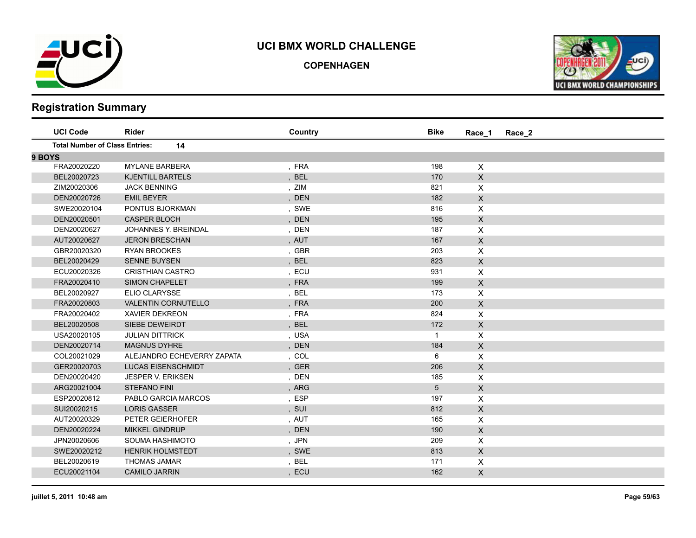

**COPENHAGEN**



| <b>UCI Code</b>                       | <b>Rider</b>                | Country | <b>Bike</b>  | Race_2<br>Race 1 |  |
|---------------------------------------|-----------------------------|---------|--------------|------------------|--|
| <b>Total Number of Class Entries:</b> | 14                          |         |              |                  |  |
| 9 BOYS                                |                             |         |              |                  |  |
| FRA20020220                           | <b>MYLANE BARBERA</b>       | , FRA   | 198          | $\times$         |  |
| BEL20020723                           | <b>KJENTILL BARTELS</b>     | , BEL   | 170          | X                |  |
| ZIM20020306                           | <b>JACK BENNING</b>         | , ZIM   | 821          | X.               |  |
| DEN20020726                           | <b>EMIL BEYER</b>           | DEN     | 182          | $\mathsf{X}$     |  |
| SWE20020104                           | PONTUS BJORKMAN             | , SWE   | 816          | X                |  |
| DEN20020501                           | <b>CASPER BLOCH</b>         | , DEN   | 195          | $\mathsf{X}$     |  |
| DEN20020627                           | <b>JOHANNES Y. BREINDAL</b> | , DEN   | 187          | X                |  |
| AUT20020627                           | <b>JERON BRESCHAN</b>       | , AUT   | 167          | $\mathsf{X}$     |  |
| GBR20020320                           | <b>RYAN BROOKES</b>         | , GBR   | 203          | X                |  |
| BEL20020429                           | <b>SENNE BUYSEN</b>         | , BEL   | 823          | $\mathsf{X}$     |  |
| ECU20020326                           | <b>CRISTHIAN CASTRO</b>     | , ECU   | 931          | X                |  |
| FRA20020410                           | <b>SIMON CHAPELET</b>       | , FRA   | 199          | X                |  |
| BEL20020927                           | <b>ELIO CLARYSSE</b>        | , BEL   | 173          | X.               |  |
| FRA20020803                           | <b>VALENTIN CORNUTELLO</b>  | , FRA   | 200          | $\mathsf{X}$     |  |
| FRA20020402                           | <b>XAVIER DEKREON</b>       | , FRA   | 824          | X                |  |
| BEL20020508                           | SIEBE DEWEIRDT              | , BEL   | 172          | X                |  |
| USA20020105                           | <b>JULIAN DITTRICK</b>      | , USA   | $\mathbf{1}$ | X                |  |
| DEN20020714                           | <b>MAGNUS DYHRE</b>         | , DEN   | 184          | $\mathsf{X}$     |  |
| COL20021029                           | ALEJANDRO ECHEVERRY ZAPATA  | , COL   | 6            | X                |  |
| GER20020703                           | <b>LUCAS EISENSCHMIDT</b>   | , GER   | 206          | $\mathsf{X}$     |  |
| DEN20020420                           | <b>JESPER V. ERIKSEN</b>    | , DEN   | 185          | X                |  |
| ARG20021004                           | <b>STEFANO FINI</b>         | , ARG   | 5            | X                |  |
| ESP20020812                           | PABLO GARCIA MARCOS         | , ESP   | 197          | X.               |  |
| SUI20020215                           | <b>LORIS GASSER</b>         | , SUI   | 812          | $\mathsf{X}$     |  |
| AUT20020329                           | PETER GEIERHOFER            | , AUT   | 165          | X                |  |
| DEN20020224                           | <b>MIKKEL GINDRUP</b>       | , DEN   | 190          | X                |  |
| JPN20020606                           | SOUMA HASHIMOTO             | , JPN   | 209          | X                |  |
| SWE20020212                           | <b>HENRIK HOLMSTEDT</b>     | , SWE   | 813          | X                |  |
| BEL20020619                           | <b>THOMAS JAMAR</b>         | , BEL   | 171          | X                |  |
| ECU20021104                           | <b>CAMILO JARRIN</b>        | , ECU   | 162          | $\mathsf{X}$     |  |
|                                       |                             |         |              |                  |  |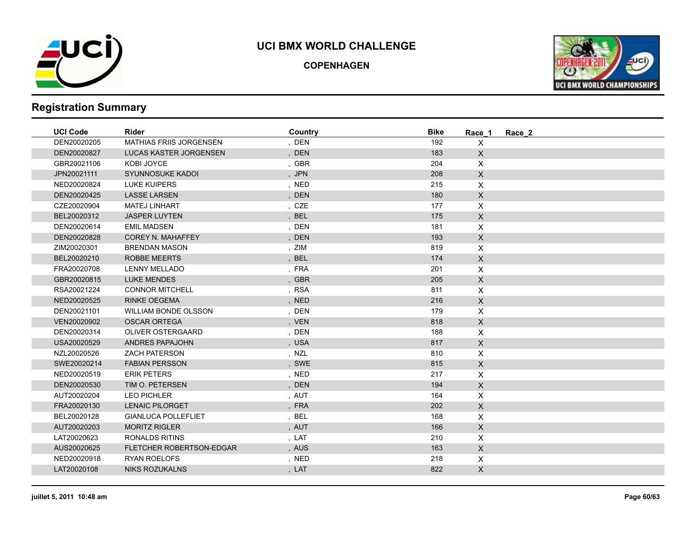

**COPENHAGEN**



| <b>UCI Code</b> | <b>Rider</b>                   | Country | <b>Bike</b> | Race 1             | Race 2 |
|-----------------|--------------------------------|---------|-------------|--------------------|--------|
| DEN20020205     | <b>MATHIAS FRIIS JORGENSEN</b> | , DEN   | 192         | $\mathsf{X}$       |        |
| DEN20020827     | LUCAS KASTER JORGENSEN         | , DEN   | 183         | $\mathsf{X}$       |        |
| GBR20021106     | KOBI JOYCE                     | , GBR   | 204         | $\mathsf{X}$       |        |
| JPN20021111     | SYUNNOSUKE KADOI               | , JPN   | 208         | $\mathsf{X}$       |        |
| NED20020824     | <b>LUKE KUIPERS</b>            | , NED   | 215         | $\pmb{\mathsf{X}}$ |        |
| DEN20020425     | <b>LASSE LARSEN</b>            | , DEN   | 180         | $\mathsf{X}$       |        |
| CZE20020904     | <b>MATEJ LINHART</b>           | , CZE   | 177         | $\pmb{\times}$     |        |
| BEL20020312     | <b>JASPER LUYTEN</b>           | , BEL   | 175         | $\mathsf{X}$       |        |
| DEN20020614     | <b>EMIL MADSEN</b>             | , DEN   | 181         | $\mathsf{X}$       |        |
| DEN20020828     | <b>COREY N. MAHAFFEY</b>       | , DEN   | 193         | $\mathsf{X}$       |        |
| ZIM20020301     | <b>BRENDAN MASON</b>           | , ZIM   | 819         | $\pmb{\times}$     |        |
| BEL20020210     | <b>ROBBE MEERTS</b>            | , BEL   | 174         | $\mathsf{X}$       |        |
| FRA20020708     | <b>LENNY MELLADO</b>           | , FRA   | 201         | $\pmb{\times}$     |        |
| GBR20020815     | <b>LUKE MENDES</b>             | , GBR   | 205         | $\mathsf{X}$       |        |
| RSA20021224     | <b>CONNOR MITCHELL</b>         | , RSA   | 811         | $\mathsf{X}$       |        |
| NED20020525     | <b>RINKE OEGEMA</b>            | , NED   | 216         | $\mathsf{X}$       |        |
| DEN20021101     | <b>WILLIAM BONDE OLSSON</b>    | , DEN   | 179         | $\mathsf{X}$       |        |
| VEN20020902     | <b>OSCAR ORTEGA</b>            | , VEN   | 818         | $\mathsf{X}$       |        |
| DEN20020314     | OLIVER OSTERGAARD              | , DEN   | 188         | $\mathsf{X}$       |        |
| USA20020529     | ANDRES PAPAJOHN                | , USA   | 817         | $\mathsf{X}$       |        |
| NZL20020526     | <b>ZACH PATERSON</b>           | , NZL   | 810         | $\mathsf{X}$       |        |
| SWE20020214     | <b>FABIAN PERSSON</b>          | , SWE   | 815         | $\mathsf{X}$       |        |
| NED20020519     | <b>ERIK PETERS</b>             | , NED   | 217         | $\times$           |        |
| DEN20020530     | TIM O. PETERSEN                | , DEN   | 194         | $\mathsf{X}$       |        |
| AUT20020204     | <b>LEO PICHLER</b>             | , AUT   | 164         | $\pmb{\times}$     |        |
| FRA20020130     | <b>LENAIC PILORGET</b>         | , FRA   | 202         | $\mathsf{X}$       |        |
| BEL20020128     | <b>GIANLUCA POLLEFLIET</b>     | , BEL   | 168         | $\pmb{\times}$     |        |
| AUT20020203     | <b>MORITZ RIGLER</b>           | , AUT   | 166         | $\mathsf{X}$       |        |
| LAT20020623     | <b>RONALDS RITINS</b>          | , LAT   | 210         | $\mathsf{X}$       |        |
| AUS20020625     | FLETCHER ROBERTSON-EDGAR       | , AUS   | 163         | $\mathsf{X}$       |        |
| NED20020918     | <b>RYAN ROELOFS</b>            | , NED   | 218         | $\mathsf{X}$       |        |
| LAT20020108     | <b>NIKS ROZUKALNS</b>          | , LAT   | 822         | $\mathsf{X}$       |        |
|                 |                                |         |             |                    |        |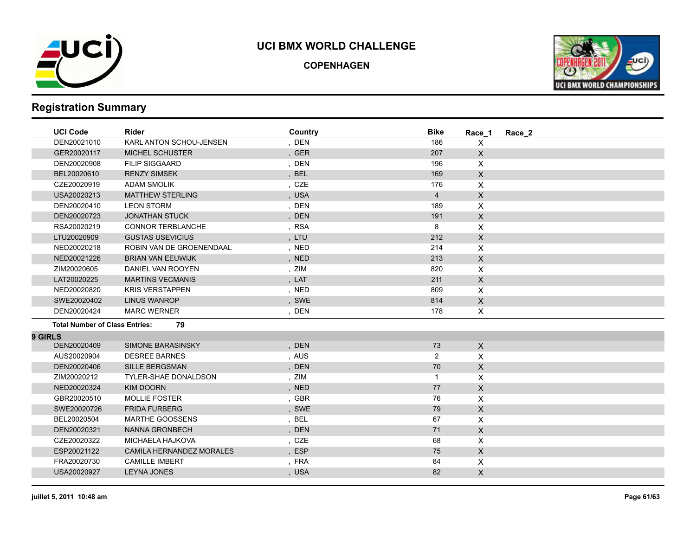

**COPENHAGEN**



|                | <b>UCI Code</b>                       | Rider                          | Country | <b>Bike</b>    | Race 1       | Race 2 |
|----------------|---------------------------------------|--------------------------------|---------|----------------|--------------|--------|
|                | DEN20021010                           | <b>KARL ANTON SCHOU-JENSEN</b> | , DEN   | 186            | X            |        |
|                | GER20020117                           | <b>MICHEL SCHUSTER</b>         | , GER   | 207            | $\mathsf{X}$ |        |
|                | DEN20020908                           | <b>FILIP SIGGAARD</b>          | , DEN   | 196            | X            |        |
|                | BEL20020610                           | <b>RENZY SIMSEK</b>            | , BEL   | 169            | $\mathsf{X}$ |        |
|                | CZE20020919                           | <b>ADAM SMOLIK</b>             | , CZE   | 176            | X            |        |
|                | USA20020213                           | <b>MATTHEW STERLING</b>        | , USA   | $\overline{4}$ | X            |        |
|                | DEN20020410                           | <b>LEON STORM</b>              | , DEN   | 189            | X            |        |
|                | DEN20020723                           | <b>JONATHAN STUCK</b>          | , DEN   | 191            | $\mathsf{X}$ |        |
|                | RSA20020219                           | <b>CONNOR TERBLANCHE</b>       | , RSA   | 8              | X            |        |
|                | LTU20020909                           | <b>GUSTAS USEVICIUS</b>        | , LTU   | 212            | $\mathsf{X}$ |        |
|                | NED20020218                           | ROBIN VAN DE GROENENDAAL       | , NED   | 214            | X            |        |
|                | NED20021226                           | <b>BRIAN VAN EEUWIJK</b>       | , NED   | 213            | $\mathsf{X}$ |        |
|                | ZIM20020605                           | DANIEL VAN ROOYEN              | , ZIM   | 820            | X            |        |
|                | LAT20020225                           | <b>MARTINS VECMANIS</b>        | , LAT   | 211            | $\mathsf{X}$ |        |
|                | NED20020820                           | <b>KRIS VERSTAPPEN</b>         | , NED   | 809            | X            |        |
|                | SWE20020402                           | <b>LINUS WANROP</b>            | , SWE   | 814            | $\mathsf{X}$ |        |
|                | DEN20020424                           | <b>MARC WERNER</b>             | , DEN   | 178            | X            |        |
|                | <b>Total Number of Class Entries:</b> | 79                             |         |                |              |        |
| <b>9 GIRLS</b> |                                       |                                |         |                |              |        |
|                | DEN20020409                           | SIMONE BARASINSKY              | , DEN   | 73             | $\mathsf{X}$ |        |
|                | AUS20020904                           | <b>DESREE BARNES</b>           | , AUS   | $\overline{2}$ | X            |        |
|                | DEN20020406                           | <b>SILLE BERGSMAN</b>          | , DEN   | 70             | $\mathsf{X}$ |        |
|                | ZIM20020212                           | <b>TYLER-SHAE DONALDSON</b>    | , ZIM   | $\mathbf{1}$   | X            |        |
|                | NED20020324                           | <b>KIM DOORN</b>               | , NED   | 77             | X            |        |
|                | GBR20020510                           | <b>MOLLIE FOSTER</b>           | , GBR   | 76             | X            |        |
|                | SWE20020726                           | <b>FRIDA FURBERG</b>           | , SWE   | 79             | $\mathsf{X}$ |        |
|                | BEL20020504                           | <b>MARTHE GOOSSENS</b>         | , BEL   | 67             | X            |        |
|                | DEN20020321                           | <b>NANNA GRONBECH</b>          | , DEN   | 71             | X            |        |
|                | CZE20020322                           | <b>MICHAELA HAJKOVA</b>        | , CZE   | 68             | X            |        |
|                | ESP20021122                           | CAMILA HERNANDEZ MORALES       | , ESP   | 75             | $\mathsf{x}$ |        |
|                | FRA20020730                           | <b>CAMILLE IMBERT</b>          | , FRA   | 84             | X            |        |
|                | USA20020927                           | <b>LEYNA JONES</b>             | , USA   | 82             | X            |        |
|                |                                       |                                |         |                |              |        |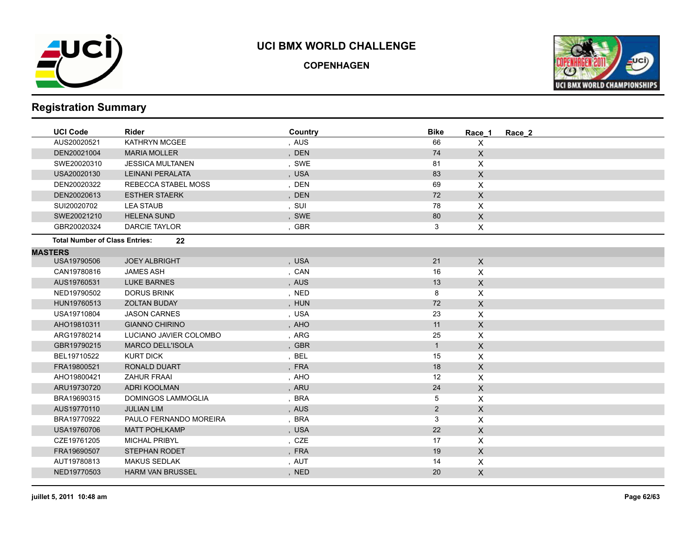

**COPENHAGEN**



| <b>UCI Code</b>                       | Rider                   | Country | <b>Bike</b>    | Race 1         | Race 2 |
|---------------------------------------|-------------------------|---------|----------------|----------------|--------|
| AUS20020521                           | <b>KATHRYN MCGEE</b>    | , AUS   | 66             | X              |        |
| DEN20021004                           | <b>MARIA MOLLER</b>     | , DEN   | 74             | $\mathsf{X}$   |        |
| SWE20020310                           | <b>JESSICA MULTANEN</b> | , SWE   | 81             | X              |        |
| USA20020130                           | <b>LEINANI PERALATA</b> | , USA   | 83             | $\mathsf{X}$   |        |
| DEN20020322                           | REBECCA STABEL MOSS     | , DEN   | 69             | X              |        |
| DEN20020613                           | <b>ESTHER STAERK</b>    | , DEN   | 72             | $\mathsf{X}$   |        |
| SUI20020702                           | <b>LEA STAUB</b>        | , SUI   | 78             | X              |        |
| SWE20021210                           | <b>HELENA SUND</b>      | , SWE   | 80             | $\mathsf{X}$   |        |
| GBR20020324                           | <b>DARCIE TAYLOR</b>    | , GBR   | 3              | X              |        |
| <b>Total Number of Class Entries:</b> | 22                      |         |                |                |        |
| <b>MASTERS</b>                        |                         |         |                |                |        |
| USA19790506                           | <b>JOEY ALBRIGHT</b>    | , USA   | 21             | $\mathsf X$    |        |
| CAN19780816                           | <b>JAMES ASH</b>        | , CAN   | 16             | X              |        |
| AUS19760531                           | <b>LUKE BARNES</b>      | , AUS   | 13             | $\mathsf{X}$   |        |
| NED19790502                           | <b>DORUS BRINK</b>      | , NED   | 8              | X              |        |
| HUN19760513                           | <b>ZOLTAN BUDAY</b>     | , HUN   | 72             | $\mathsf{X}$   |        |
| USA19710804                           | <b>JASON CARNES</b>     | , USA   | 23             | X              |        |
| AHO19810311                           | <b>GIANNO CHIRINO</b>   | , AHO   | 11             | $\mathsf{X}$   |        |
| ARG19780214                           | LUCIANO JAVIER COLOMBO  | , ARG   | 25             | X              |        |
| GBR19790215                           | <b>MARCO DELL'ISOLA</b> | , GBR   | 1              | $\pmb{\times}$ |        |
| BEL19710522                           | <b>KURT DICK</b>        | , BEL   | 15             | X              |        |
| FRA19800521                           | <b>RONALD DUART</b>     | , FRA   | 18             | $\mathsf{X}$   |        |
| AHO19800421                           | <b>ZAHUR FRAAI</b>      | , AHO   | 12             | X              |        |
| ARU19730720                           | <b>ADRI KOOLMAN</b>     | , ARU   | 24             | $\mathsf{X}$   |        |
| BRA19690315                           | DOMINGOS LAMMOGLIA      | , BRA   | 5              | X              |        |
| AUS19770110                           | <b>JULIAN LIM</b>       | , AUS   | $\overline{2}$ | $\mathsf{X}$   |        |
| BRA19770922                           | PAULO FERNANDO MOREIRA  | , BRA   | 3              | X              |        |
| USA19760706                           | <b>MATT POHLKAMP</b>    | , USA   | 22             | $\mathsf{X}$   |        |
| CZE19761205                           | <b>MICHAL PRIBYL</b>    | , CZE   | 17             | X              |        |
| FRA19690507                           | <b>STEPHAN RODET</b>    | , FRA   | 19             | $\mathsf{X}$   |        |
| AUT19780813                           | <b>MAKUS SEDLAK</b>     | , AUT   | 14             | X              |        |
| NED19770503                           | <b>HARM VAN BRUSSEL</b> | , NED   | 20             | $\mathsf{X}$   |        |
|                                       |                         |         |                |                |        |